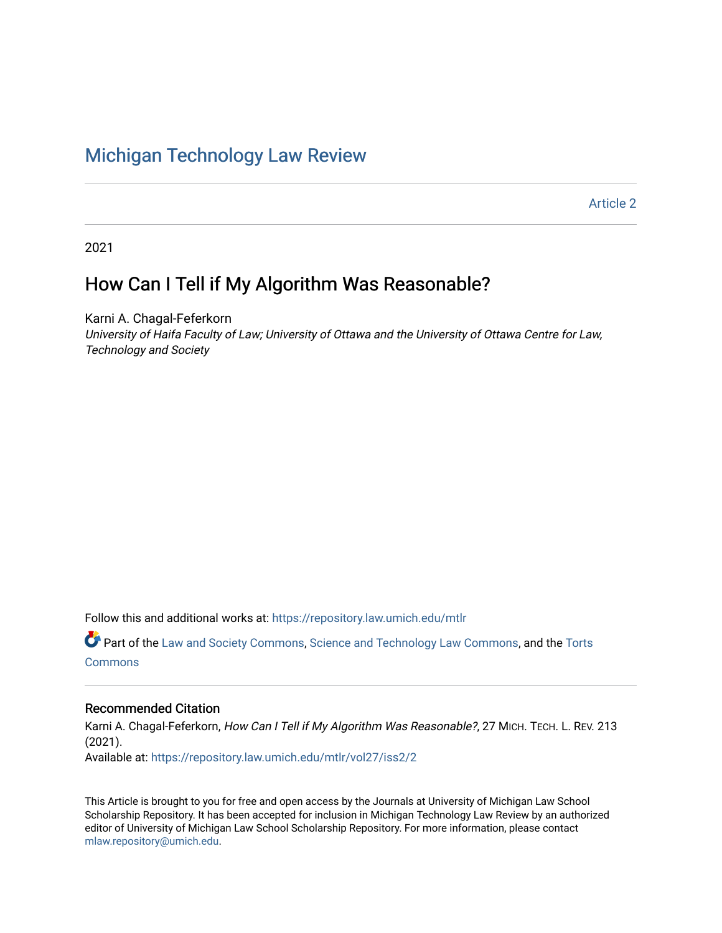# [Michigan Technology Law Review](https://repository.law.umich.edu/mtlr)

[Article 2](https://repository.law.umich.edu/mtlr/vol27/iss2/2) 

2021

# How Can I Tell if My Algorithm Was Reasonable?

Karni A. Chagal-Feferkorn University of Haifa Faculty of Law; University of Ottawa and the University of Ottawa Centre for Law, Technology and Society

Follow this and additional works at: [https://repository.law.umich.edu/mtlr](https://repository.law.umich.edu/mtlr?utm_source=repository.law.umich.edu%2Fmtlr%2Fvol27%2Fiss2%2F2&utm_medium=PDF&utm_campaign=PDFCoverPages) 

Part of the [Law and Society Commons](http://network.bepress.com/hgg/discipline/853?utm_source=repository.law.umich.edu%2Fmtlr%2Fvol27%2Fiss2%2F2&utm_medium=PDF&utm_campaign=PDFCoverPages), [Science and Technology Law Commons,](http://network.bepress.com/hgg/discipline/875?utm_source=repository.law.umich.edu%2Fmtlr%2Fvol27%2Fiss2%2F2&utm_medium=PDF&utm_campaign=PDFCoverPages) and the [Torts](http://network.bepress.com/hgg/discipline/913?utm_source=repository.law.umich.edu%2Fmtlr%2Fvol27%2Fiss2%2F2&utm_medium=PDF&utm_campaign=PDFCoverPages) **[Commons](http://network.bepress.com/hgg/discipline/913?utm_source=repository.law.umich.edu%2Fmtlr%2Fvol27%2Fiss2%2F2&utm_medium=PDF&utm_campaign=PDFCoverPages)** 

# Recommended Citation

Karni A. Chagal-Feferkorn, How Can I Tell if My Algorithm Was Reasonable?, 27 MICH. TECH. L. REV. 213 (2021). Available at: [https://repository.law.umich.edu/mtlr/vol27/iss2/2](https://repository.law.umich.edu/mtlr/vol27/iss2/2?utm_source=repository.law.umich.edu%2Fmtlr%2Fvol27%2Fiss2%2F2&utm_medium=PDF&utm_campaign=PDFCoverPages) 

This Article is brought to you for free and open access by the Journals at University of Michigan Law School Scholarship Repository. It has been accepted for inclusion in Michigan Technology Law Review by an authorized editor of University of Michigan Law School Scholarship Repository. For more information, please contact [mlaw.repository@umich.edu.](mailto:mlaw.repository@umich.edu)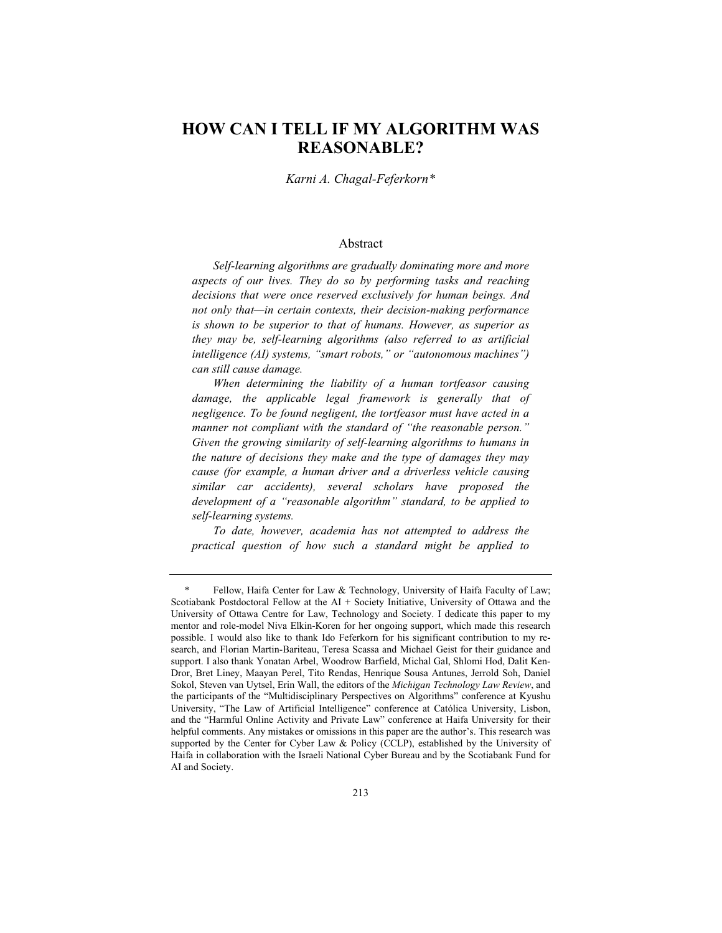# **HOW CAN I TELL IF MY ALGORITHM WAS REASONABLE?**

*Karni A. Chagal-Feferkorn\**

#### Abstract

*Self-learning algorithms are gradually dominating more and more aspects of our lives. They do so by performing tasks and reaching decisions that were once reserved exclusively for human beings. And not only that—in certain contexts, their decision-making performance is shown to be superior to that of humans. However, as superior as they may be, self-learning algorithms (also referred to as artificial intelligence (AI) systems, "smart robots," or "autonomous machines") can still cause damage.*

*When determining the liability of a human tortfeasor causing*  damage, the applicable legal framework is generally that of *negligence. To be found negligent, the tortfeasor must have acted in a manner not compliant with the standard of "the reasonable person." Given the growing similarity of self-learning algorithms to humans in the nature of decisions they make and the type of damages they may cause (for example, a human driver and a driverless vehicle causing similar car accidents), several scholars have proposed the development of a "reasonable algorithm" standard, to be applied to self-learning systems.*

*To date, however, academia has not attempted to address the practical question of how such a standard might be applied to* 

<sup>\*</sup> Fellow, Haifa Center for Law & Technology, University of Haifa Faculty of Law; Scotiabank Postdoctoral Fellow at the AI + Society Initiative, University of Ottawa and the University of Ottawa Centre for Law, Technology and Society. I dedicate this paper to my mentor and role-model Niva Elkin-Koren for her ongoing support, which made this research possible. I would also like to thank Ido Feferkorn for his significant contribution to my research, and Florian Martin-Bariteau, Teresa Scassa and Michael Geist for their guidance and support. I also thank Yonatan Arbel, Woodrow Barfield, Michal Gal, Shlomi Hod, Dalit Ken-Dror, Bret Liney, Maayan Perel, Tito Rendas, Henrique Sousa Antunes, Jerrold Soh, Daniel Sokol, Steven van Uytsel, Erin Wall, the editors of the *Michigan Technology Law Review*, and the participants of the "Multidisciplinary Perspectives on Algorithms" conference at Kyushu University, "The Law of Artificial Intelligence" conference at Católica University, Lisbon, and the "Harmful Online Activity and Private Law" conference at Haifa University for their helpful comments. Any mistakes or omissions in this paper are the author's. This research was supported by the Center for Cyber Law & Policy (CCLP), established by the University of Haifa in collaboration with the Israeli National Cyber Bureau and by the Scotiabank Fund for AI and Society.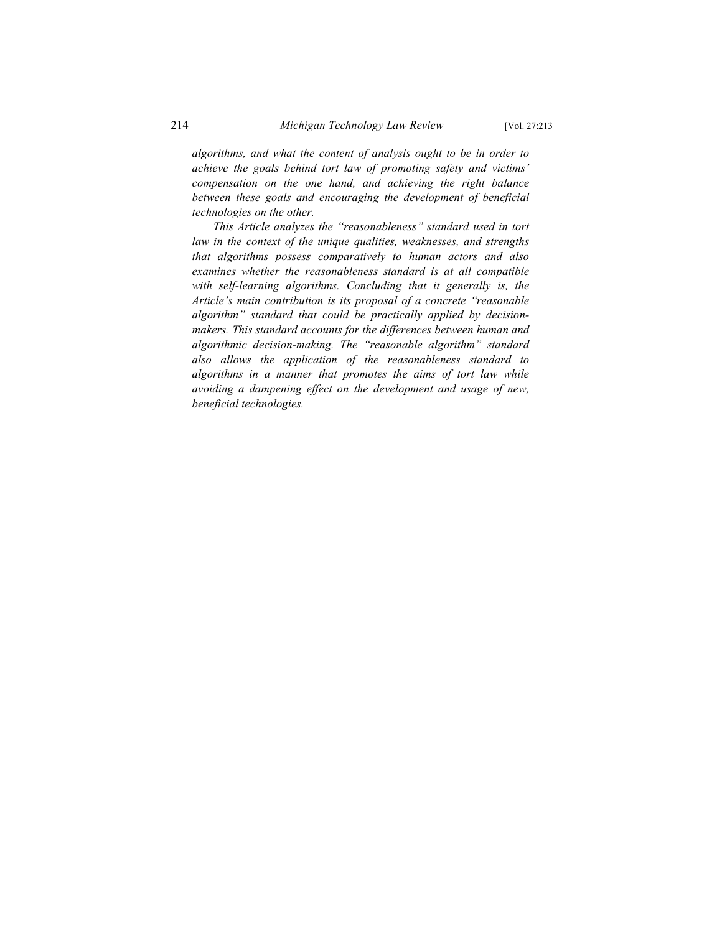*algorithms, and what the content of analysis ought to be in order to achieve the goals behind tort law of promoting safety and victims' compensation on the one hand, and achieving the right balance between these goals and encouraging the development of beneficial technologies on the other.*

*This Article analyzes the "reasonableness" standard used in tort law in the context of the unique qualities, weaknesses, and strengths that algorithms possess comparatively to human actors and also examines whether the reasonableness standard is at all compatible with self-learning algorithms. Concluding that it generally is, the Article's main contribution is its proposal of a concrete "reasonable algorithm" standard that could be practically applied by decisionmakers. This standard accounts for the differences between human and algorithmic decision-making. The "reasonable algorithm" standard also allows the application of the reasonableness standard to algorithms in a manner that promotes the aims of tort law while avoiding a dampening effect on the development and usage of new, beneficial technologies.*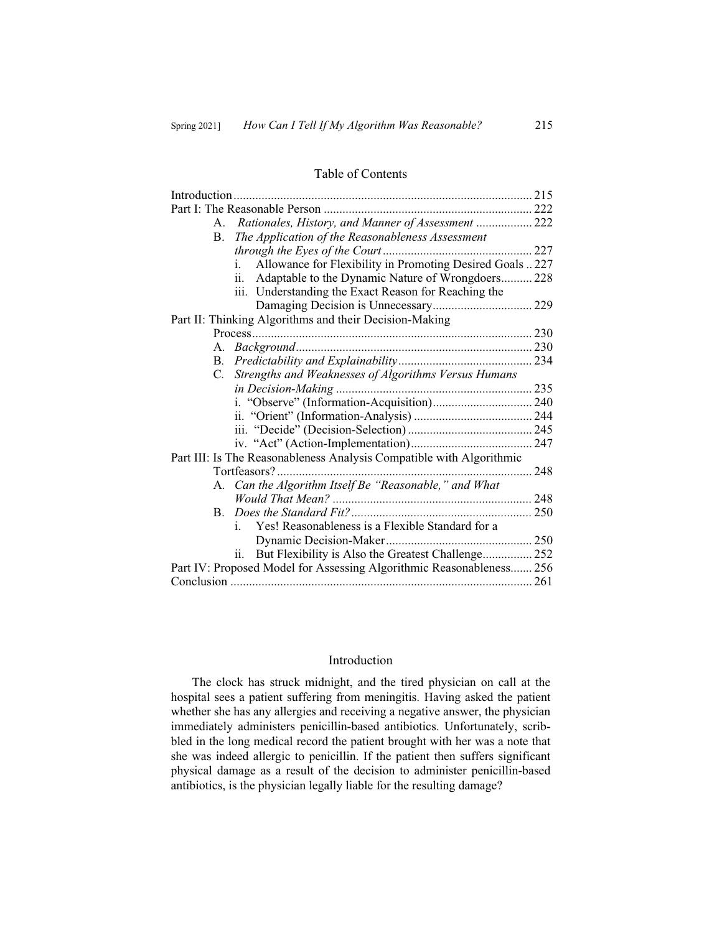#### Table of Contents

| Rationales, History, and Manner of Assessment  222<br>A.             |  |
|----------------------------------------------------------------------|--|
| The Application of the Reasonableness Assessment<br>B.               |  |
|                                                                      |  |
| Allowance for Flexibility in Promoting Desired Goals  227<br>$i$ .   |  |
| ii.<br>Adaptable to the Dynamic Nature of Wrongdoers 228             |  |
| iii. Understanding the Exact Reason for Reaching the                 |  |
|                                                                      |  |
| Part II: Thinking Algorithms and their Decision-Making               |  |
|                                                                      |  |
|                                                                      |  |
| B.                                                                   |  |
| Strengths and Weaknesses of Algorithms Versus Humans<br>C.           |  |
|                                                                      |  |
|                                                                      |  |
|                                                                      |  |
|                                                                      |  |
|                                                                      |  |
| Part III: Is The Reasonableness Analysis Compatible with Algorithmic |  |
| Tortfeasors?<br>. 248                                                |  |
| A. Can the Algorithm Itself Be "Reasonable," and What                |  |
|                                                                      |  |
|                                                                      |  |
| Yes! Reasonableness is a Flexible Standard for a<br>Ť.               |  |
|                                                                      |  |
| But Flexibility is Also the Greatest Challenge 252<br>ii.            |  |
| Part IV: Proposed Model for Assessing Algorithmic Reasonableness 256 |  |
|                                                                      |  |
|                                                                      |  |

# Introduction

The clock has struck midnight, and the tired physician on call at the hospital sees a patient suffering from meningitis. Having asked the patient whether she has any allergies and receiving a negative answer, the physician immediately administers penicillin-based antibiotics. Unfortunately, scribbled in the long medical record the patient brought with her was a note that she was indeed allergic to penicillin. If the patient then suffers significant physical damage as a result of the decision to administer penicillin-based antibiotics, is the physician legally liable for the resulting damage?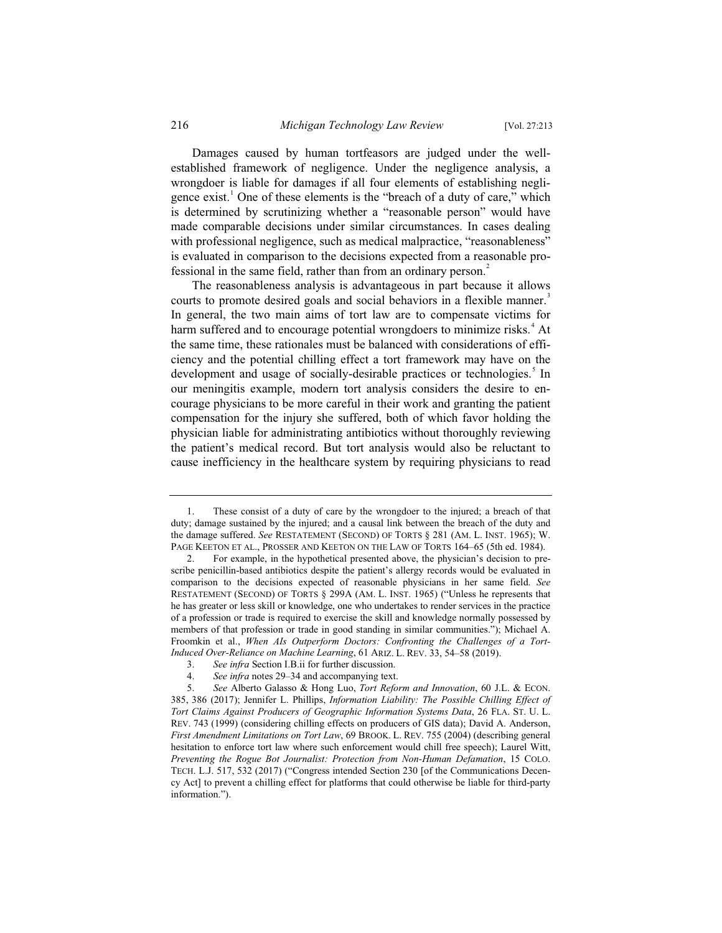Damages caused by human tortfeasors are judged under the wellestablished framework of negligence. Under the negligence analysis, a wrongdoer is liable for damages if all four elements of establishing negligence exist.<sup>1</sup> One of these elements is the "breach of a duty of care," which is determined by scrutinizing whether a "reasonable person" would have made comparable decisions under similar circumstances. In cases dealing with professional negligence, such as medical malpractice, "reasonableness" is evaluated in comparison to the decisions expected from a reasonable professional in the same field, rather than from an ordinary person.<sup>2</sup>

The reasonableness analysis is advantageous in part because it allows courts to promote desired goals and social behaviors in a flexible manner.<sup>3</sup> In general, the two main aims of tort law are to compensate victims for harm suffered and to encourage potential wrongdoers to minimize risks.<sup>4</sup> At the same time, these rationales must be balanced with considerations of efficiency and the potential chilling effect a tort framework may have on the development and usage of socially-desirable practices or technologies.<sup>5</sup> In our meningitis example, modern tort analysis considers the desire to encourage physicians to be more careful in their work and granting the patient compensation for the injury she suffered, both of which favor holding the physician liable for administrating antibiotics without thoroughly reviewing the patient's medical record. But tort analysis would also be reluctant to cause inefficiency in the healthcare system by requiring physicians to read

<sup>1.</sup> These consist of a duty of care by the wrongdoer to the injured; a breach of that duty; damage sustained by the injured; and a causal link between the breach of the duty and the damage suffered. *See* RESTATEMENT (SECOND) OF TORTS § 281 (AM. L. INST. 1965); W. PAGE KEETON ET AL., PROSSER AND KEETON ON THE LAW OF TORTS 164–65 (5th ed. 1984).

<sup>2.</sup> For example, in the hypothetical presented above, the physician's decision to prescribe penicillin-based antibiotics despite the patient's allergy records would be evaluated in comparison to the decisions expected of reasonable physicians in her same field. *See* RESTATEMENT (SECOND) OF TORTS § 299A (AM. L. INST. 1965) ("Unless he represents that he has greater or less skill or knowledge, one who undertakes to render services in the practice of a profession or trade is required to exercise the skill and knowledge normally possessed by members of that profession or trade in good standing in similar communities."); Michael A. Froomkin et al., *When AIs Outperform Doctors: Confronting the Challenges of a Tort-Induced Over-Reliance on Machine Learning*, 61 ARIZ. L. REV. 33, 54–58 (2019).

<sup>3.</sup> *See infra* Section I.B.ii for further discussion.<br>4. *See infra* notes 29–34 and accompanying text. See infra notes 29–34 and accompanying text.

<sup>5.</sup> *See* Alberto Galasso & Hong Luo, *Tort Reform and Innovation*, 60 J.L. & ECON. 385, 386 (2017); Jennifer L. Phillips, *Information Liability: The Possible Chilling Effect of Tort Claims Against Producers of Geographic Information Systems Data*, 26 FLA. ST. U. L. REV. 743 (1999) (considering chilling effects on producers of GIS data); David A. Anderson, *First Amendment Limitations on Tort Law*, 69 BROOK. L. REV. 755 (2004) (describing general hesitation to enforce tort law where such enforcement would chill free speech); Laurel Witt, *Preventing the Rogue Bot Journalist: Protection from Non-Human Defamation*, 15 COLO. TECH. L.J. 517, 532 (2017) ("Congress intended Section 230 [of the Communications Decency Act] to prevent a chilling effect for platforms that could otherwise be liable for third-party information.").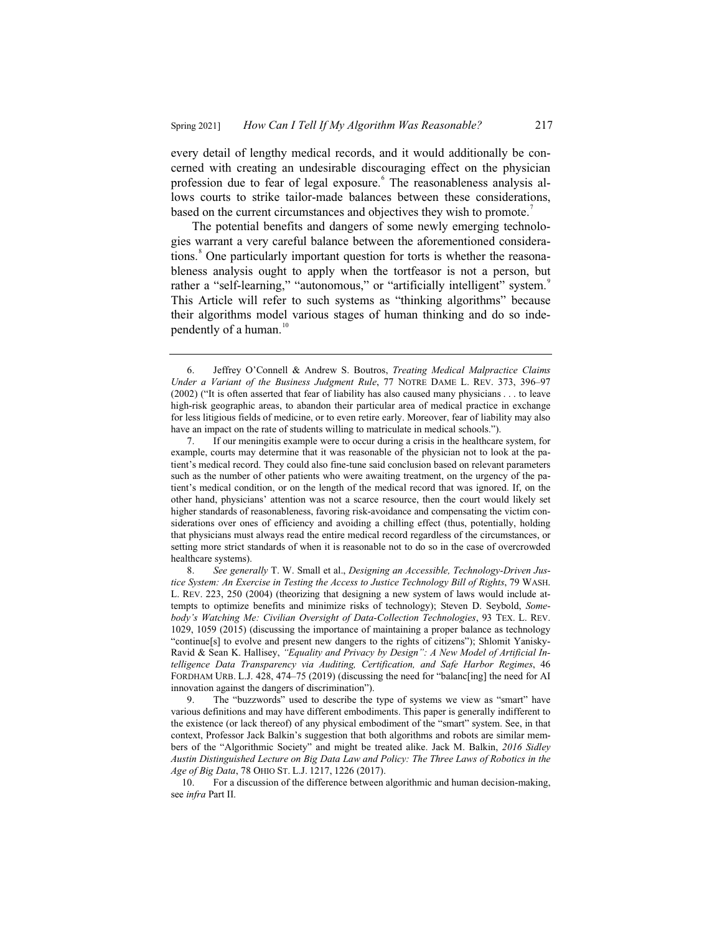every detail of lengthy medical records, and it would additionally be concerned with creating an undesirable discouraging effect on the physician profession due to fear of legal exposure. The reasonableness analysis allows courts to strike tailor-made balances between these considerations, based on the current circumstances and objectives they wish to promote.<sup>7</sup>

The potential benefits and dangers of some newly emerging technologies warrant a very careful balance between the aforementioned considerations.<sup>8</sup> One particularly important question for torts is whether the reasonableness analysis ought to apply when the tortfeasor is not a person, but rather a "self-learning," "autonomous," or "artificially intelligent" system. This Article will refer to such systems as "thinking algorithms" because their algorithms model various stages of human thinking and do so independently of a human. $10$ 

<sup>6.</sup> Jeffrey O'Connell & Andrew S. Boutros, *Treating Medical Malpractice Claims Under a Variant of the Business Judgment Rule*, 77 NOTRE DAME L. REV. 373, 396–97 (2002) ("It is often asserted that fear of liability has also caused many physicians . . . to leave high-risk geographic areas, to abandon their particular area of medical practice in exchange for less litigious fields of medicine, or to even retire early. Moreover, fear of liability may also have an impact on the rate of students willing to matriculate in medical schools.").

<sup>7.</sup> If our meningitis example were to occur during a crisis in the healthcare system, for example, courts may determine that it was reasonable of the physician not to look at the patient's medical record. They could also fine-tune said conclusion based on relevant parameters such as the number of other patients who were awaiting treatment, on the urgency of the patient's medical condition, or on the length of the medical record that was ignored. If, on the other hand, physicians' attention was not a scarce resource, then the court would likely set higher standards of reasonableness, favoring risk-avoidance and compensating the victim considerations over ones of efficiency and avoiding a chilling effect (thus, potentially, holding that physicians must always read the entire medical record regardless of the circumstances, or setting more strict standards of when it is reasonable not to do so in the case of overcrowded healthcare systems).

<sup>8.</sup> *See generally* T. W. Small et al., *Designing an Accessible, Technology-Driven Justice System: An Exercise in Testing the Access to Justice Technology Bill of Rights*, 79 WASH. L. REV. 223, 250 (2004) (theorizing that designing a new system of laws would include attempts to optimize benefits and minimize risks of technology); Steven D. Seybold, *Somebody's Watching Me: Civilian Oversight of Data-Collection Technologies*, 93 TEX. L. REV. 1029, 1059 (2015) (discussing the importance of maintaining a proper balance as technology "continue[s] to evolve and present new dangers to the rights of citizens"); Shlomit Yanisky-Ravid & Sean K. Hallisey, *"Equality and Privacy by Design": A New Model of Artificial Intelligence Data Transparency via Auditing, Certification, and Safe Harbor Regimes*, 46 FORDHAM URB. L.J. 428, 474–75 (2019) (discussing the need for "balanc[ing] the need for AI innovation against the dangers of discrimination").

<sup>9.</sup> The "buzzwords" used to describe the type of systems we view as "smart" have various definitions and may have different embodiments. This paper is generally indifferent to the existence (or lack thereof) of any physical embodiment of the "smart" system. See, in that context, Professor Jack Balkin's suggestion that both algorithms and robots are similar members of the "Algorithmic Society" and might be treated alike. Jack M. Balkin, *2016 Sidley Austin Distinguished Lecture on Big Data Law and Policy: The Three Laws of Robotics in the Age of Big Data*, 78 OHIO ST. L.J. 1217, 1226 (2017).

<sup>10.</sup> For a discussion of the difference between algorithmic and human decision-making, see *infra* Part II.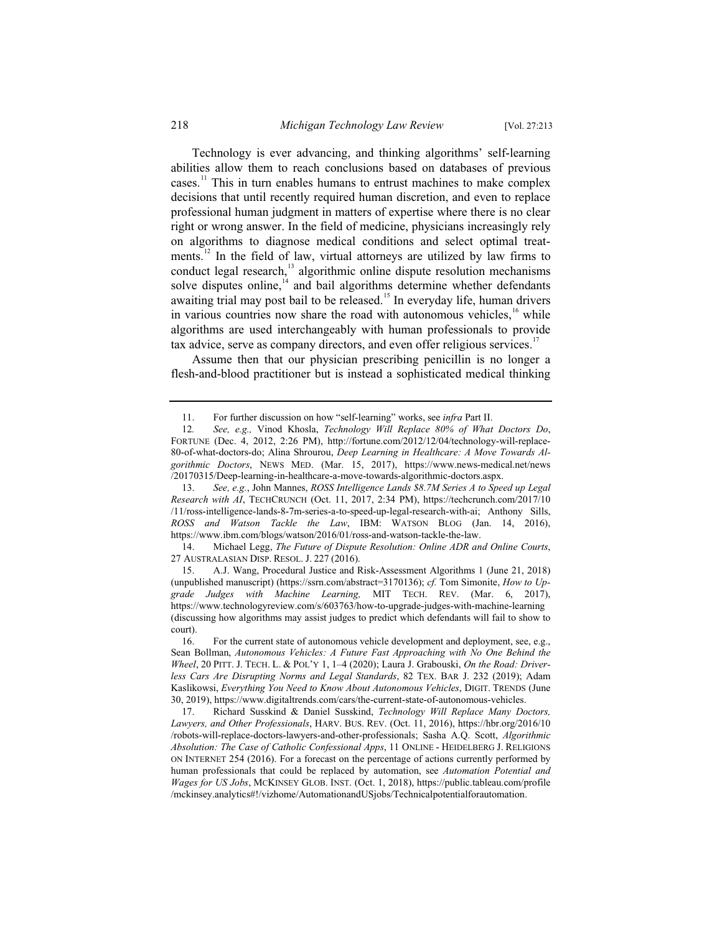Technology is ever advancing, and thinking algorithms' self-learning abilities allow them to reach conclusions based on databases of previous cases.<sup>11</sup> This in turn enables humans to entrust machines to make complex decisions that until recently required human discretion, and even to replace professional human judgment in matters of expertise where there is no clear right or wrong answer. In the field of medicine, physicians increasingly rely on algorithms to diagnose medical conditions and select optimal treatments.<sup>12</sup> In the field of law, virtual attorneys are utilized by law firms to conduct legal research,<sup>13</sup> algorithmic online dispute resolution mechanisms solve disputes online, $14$  and bail algorithms determine whether defendants awaiting trial may post bail to be released.<sup>15</sup> In everyday life, human drivers in various countries now share the road with autonomous vehicles, $16$  while algorithms are used interchangeably with human professionals to provide tax advice, serve as company directors, and even offer religious services.<sup>17</sup>

Assume then that our physician prescribing penicillin is no longer a flesh-and-blood practitioner but is instead a sophisticated medical thinking

14. Michael Legg, *The Future of Dispute Resolution: Online ADR and Online Courts*, 27 AUSTRALASIAN DISP. RESOL. J. 227 (2016).

<sup>11.</sup> For further discussion on how "self-learning" works, see *infra* Part II.

<sup>12</sup>*. See, e.g.,* Vinod Khosla, *Technology Will Replace 80% of What Doctors Do*, FORTUNE (Dec. 4, 2012, 2:26 PM), http://fortune.com/2012/12/04/technology-will-replace-80-of-what-doctors-do; Alina Shrourou, *Deep Learning in Healthcare: A Move Towards Algorithmic Doctors*, NEWS MED. (Mar. 15, 2017), https://www.news-medical.net/news /20170315/Deep-learning-in-healthcare-a-move-towards-algorithmic-doctors.aspx.

<sup>13.</sup> *See, e.g.*, John Mannes, *ROSS Intelligence Lands \$8.7M Series A to Speed up Legal Research with AI*, TECHCRUNCH (Oct. 11, 2017, 2:34 PM), https://techcrunch.com/2017/10 /11/ross-intelligence-lands-8-7m-series-a-to-speed-up-legal-research-with-ai; Anthony Sills, *ROSS and Watson Tackle the Law*, IBM: WATSON BLOG (Jan. 14, 2016), https://www.ibm.com/blogs/watson/2016/01/ross-and-watson-tackle-the-law.

<sup>15.</sup> A.J. Wang, Procedural Justice and Risk-Assessment Algorithms 1 (June 21, 2018) (unpublished manuscript) (https://ssrn.com/abstract=3170136); *cf.* Tom Simonite, *How to Upgrade Judges with Machine Learning,* MIT TECH. REV. (Mar. 6, 2017), https://www.technologyreview.com/s/603763/how-to-upgrade-judges-with-machine-learning (discussing how algorithms may assist judges to predict which defendants will fail to show to  $\frac{\text{court}}{16}$ .

For the current state of autonomous vehicle development and deployment, see, e.g., Sean Bollman, *Autonomous Vehicles: A Future Fast Approaching with No One Behind the Wheel*, 20 PITT. J. TECH. L. & POL'Y 1, 1–4 (2020); Laura J. Grabouski, *On the Road: Driverless Cars Are Disrupting Norms and Legal Standards*, 82 TEX. BAR J. 232 (2019); Adam Kaslikowsi, *Everything You Need to Know About Autonomous Vehicles*, DIGIT. TRENDS (June 30, 2019), https://www.digitaltrends.com/cars/the-current-state-of-autonomous-vehicles.

<sup>17.</sup> Richard Susskind & Daniel Susskind, *Technology Will Replace Many Doctors, Lawyers, and Other Professionals*, HARV. BUS. REV. (Oct. 11, 2016), https://hbr.org/2016/10 /robots-will-replace-doctors-lawyers-and-other-professionals; Sasha A.Q. Scott, *Algorithmic Absolution: The Case of Catholic Confessional Apps*, 11 ONLINE - HEIDELBERG J. RELIGIONS ON INTERNET 254 (2016). For a forecast on the percentage of actions currently performed by human professionals that could be replaced by automation, see *Automation Potential and Wages for US Jobs*, MCKINSEY GLOB. INST. (Oct. 1, 2018), https://public.tableau.com/profile /mckinsey.analytics#!/vizhome/AutomationandUSjobs/Technicalpotentialforautomation.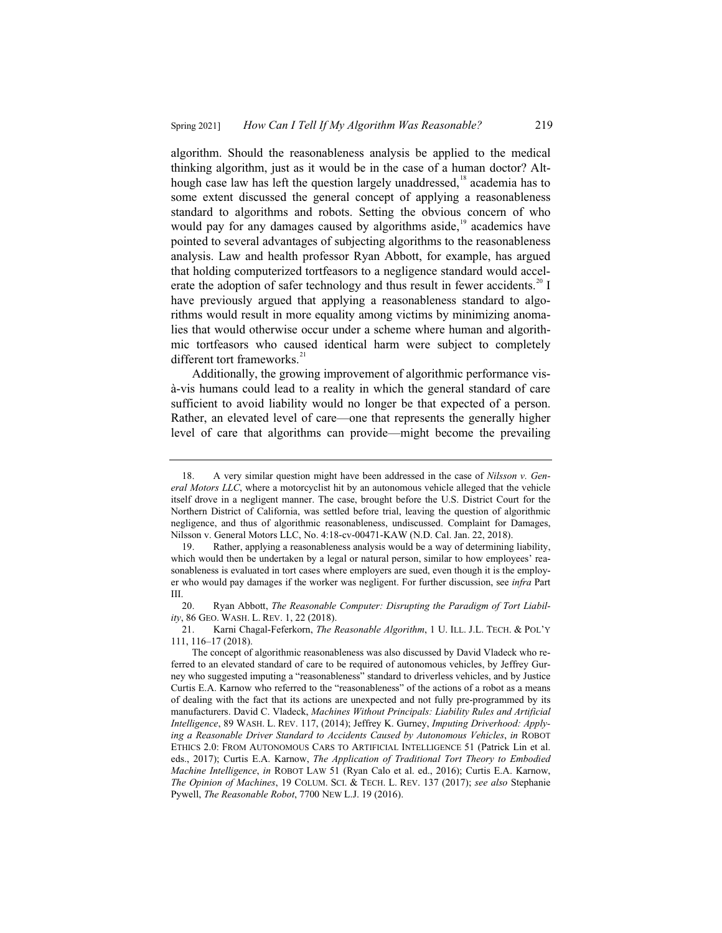algorithm. Should the reasonableness analysis be applied to the medical thinking algorithm, just as it would be in the case of a human doctor? Although case law has left the question largely unaddressed,<sup>18</sup> academia has to some extent discussed the general concept of applying a reasonableness standard to algorithms and robots. Setting the obvious concern of who would pay for any damages caused by algorithms aside, $19$  academics have pointed to several advantages of subjecting algorithms to the reasonableness analysis. Law and health professor Ryan Abbott, for example, has argued that holding computerized tortfeasors to a negligence standard would accelerate the adoption of safer technology and thus result in fewer accidents.<sup>20</sup> I have previously argued that applying a reasonableness standard to algorithms would result in more equality among victims by minimizing anomalies that would otherwise occur under a scheme where human and algorithmic tortfeasors who caused identical harm were subject to completely different tort frameworks.<sup>21</sup>

Additionally, the growing improvement of algorithmic performance visà-vis humans could lead to a reality in which the general standard of care sufficient to avoid liability would no longer be that expected of a person. Rather, an elevated level of care—one that represents the generally higher level of care that algorithms can provide—might become the prevailing

<sup>18.</sup> A very similar question might have been addressed in the case of *Nilsson v. General Motors LLC*, where a motorcyclist hit by an autonomous vehicle alleged that the vehicle itself drove in a negligent manner. The case, brought before the U.S. District Court for the Northern District of California, was settled before trial, leaving the question of algorithmic negligence, and thus of algorithmic reasonableness, undiscussed. Complaint for Damages, Nilsson v. General Motors LLC, No. 4:18-cv-00471-KAW (N.D. Cal. Jan. 22, 2018).

<sup>19.</sup> Rather, applying a reasonableness analysis would be a way of determining liability, which would then be undertaken by a legal or natural person, similar to how employees' reasonableness is evaluated in tort cases where employers are sued, even though it is the employer who would pay damages if the worker was negligent. For further discussion, see *infra* Part III.

<sup>20.</sup> Ryan Abbott, *The Reasonable Computer: Disrupting the Paradigm of Tort Liability*, 86 GEO. WASH. L. REV. 1, 22 (2018).

<sup>21.</sup> Karni Chagal-Feferkorn, *The Reasonable Algorithm*, 1 U. ILL. J.L. TECH. & POL'Y 111, 116–17 (2018).

The concept of algorithmic reasonableness was also discussed by David Vladeck who referred to an elevated standard of care to be required of autonomous vehicles, by Jeffrey Gurney who suggested imputing a "reasonableness" standard to driverless vehicles, and by Justice Curtis E.A. Karnow who referred to the "reasonableness" of the actions of a robot as a means of dealing with the fact that its actions are unexpected and not fully pre-programmed by its manufacturers. David C. Vladeck, *Machines Without Principals: Liability Rules and Artificial Intelligence*, 89 WASH. L. REV. 117, (2014); Jeffrey K. Gurney, *Imputing Driverhood: Applying a Reasonable Driver Standard to Accidents Caused by Autonomous Vehicles*, *in* ROBOT ETHICS 2.0: FROM AUTONOMOUS CARS TO ARTIFICIAL INTELLIGENCE 51 (Patrick Lin et al. eds., 2017); Curtis E.A. Karnow, *The Application of Traditional Tort Theory to Embodied Machine Intelligence*, *in* ROBOT LAW 51 (Ryan Calo et al. ed., 2016); Curtis E.A. Karnow, *The Opinion of Machines*, 19 COLUM. SCI.&TECH. L. REV. 137 (2017); *see also* Stephanie Pywell, *The Reasonable Robot*, 7700 NEW L.J. 19 (2016).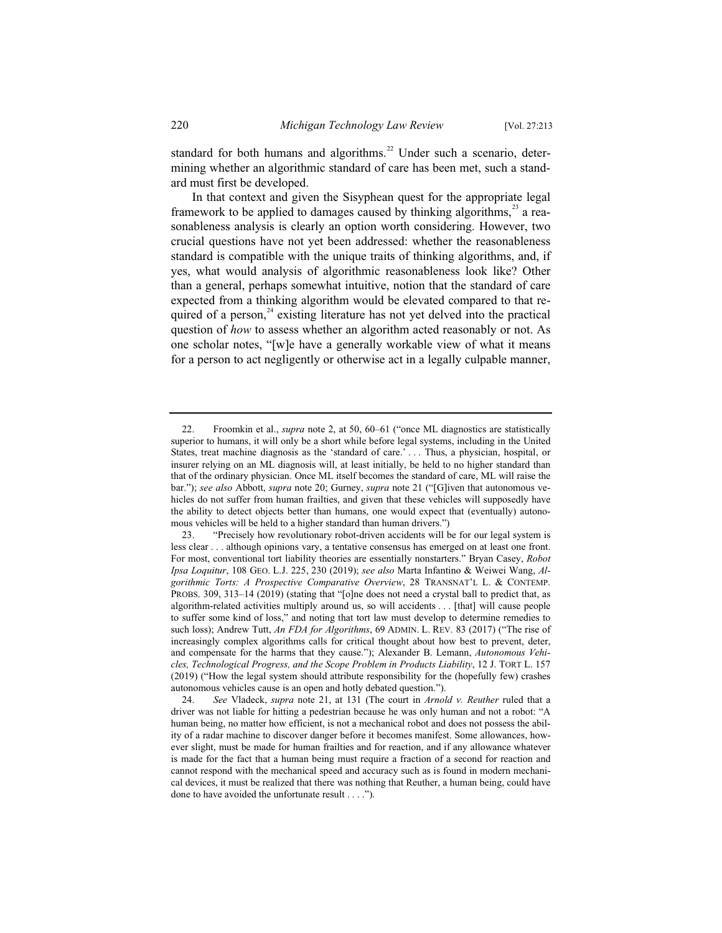standard for both humans and algorithms. $^{22}$  Under such a scenario, determining whether an algorithmic standard of care has been met, such a standard must first be developed.

In that context and given the Sisyphean quest for the appropriate legal framework to be applied to damages caused by thinking algorithms, $^{23}$  a reasonableness analysis is clearly an option worth considering. However, two crucial questions have not yet been addressed: whether the reasonableness standard is compatible with the unique traits of thinking algorithms, and, if yes, what would analysis of algorithmic reasonableness look like? Other than a general, perhaps somewhat intuitive, notion that the standard of care expected from a thinking algorithm would be elevated compared to that required of a person, $24$  existing literature has not yet delved into the practical question of *how* to assess whether an algorithm acted reasonably or not. As one scholar notes, "[w]e have a generally workable view of what it means for a person to act negligently or otherwise act in a legally culpable manner,

<sup>22.</sup> Froomkin et al., *supra* note 2, at 50, 60–61 ("once ML diagnostics are statistically superior to humans, it will only be a short while before legal systems, including in the United States, treat machine diagnosis as the 'standard of care.' . . . Thus, a physician, hospital, or insurer relying on an ML diagnosis will, at least initially, be held to no higher standard than that of the ordinary physician. Once ML itself becomes the standard of care, ML will raise the bar."); *see also* Abbott, *supra* note 20; Gurney, *supra* note 21 ("[G]iven that autonomous vehicles do not suffer from human frailties, and given that these vehicles will supposedly have the ability to detect objects better than humans, one would expect that (eventually) autonomous vehicles will be held to a higher standard than human drivers.")

<sup>23. &</sup>quot;Precisely how revolutionary robot-driven accidents will be for our legal system is less clear . . . although opinions vary, a tentative consensus has emerged on at least one front. For most, conventional tort liability theories are essentially nonstarters." Bryan Casey, *Robot Ipsa Loquitur*, 108 GEO. L.J. 225, 230 (2019); *see also* Marta Infantino & Weiwei Wang, *Algorithmic Torts: A Prospective Comparative Overview*, 28 TRANSNAT'L L. & CONTEMP. PROBS. 309, 313–14 (2019) (stating that "[o]ne does not need a crystal ball to predict that, as algorithm-related activities multiply around us, so will accidents . . . [that] will cause people to suffer some kind of loss," and noting that tort law must develop to determine remedies to such loss); Andrew Tutt, *An FDA for Algorithms*, 69 ADMIN. L. REV. 83 (2017) ("The rise of increasingly complex algorithms calls for critical thought about how best to prevent, deter, and compensate for the harms that they cause."); Alexander B. Lemann, *Autonomous Vehicles, Technological Progress, and the Scope Problem in Products Liability*, 12 J. TORT L. 157 (2019) ("How the legal system should attribute responsibility for the (hopefully few) crashes autonomous vehicles cause is an open and hotly debated question.").

<sup>24.</sup> *See* Vladeck, *supra* note 21, at 131 (The court in *Arnold v. Reuther* ruled that a driver was not liable for hitting a pedestrian because he was only human and not a robot: "A human being, no matter how efficient, is not a mechanical robot and does not possess the ability of a radar machine to discover danger before it becomes manifest. Some allowances, however slight, must be made for human frailties and for reaction, and if any allowance whatever is made for the fact that a human being must require a fraction of a second for reaction and cannot respond with the mechanical speed and accuracy such as is found in modern mechanical devices, it must be realized that there was nothing that Reuther, a human being, could have done to have avoided the unfortunate result . . . .").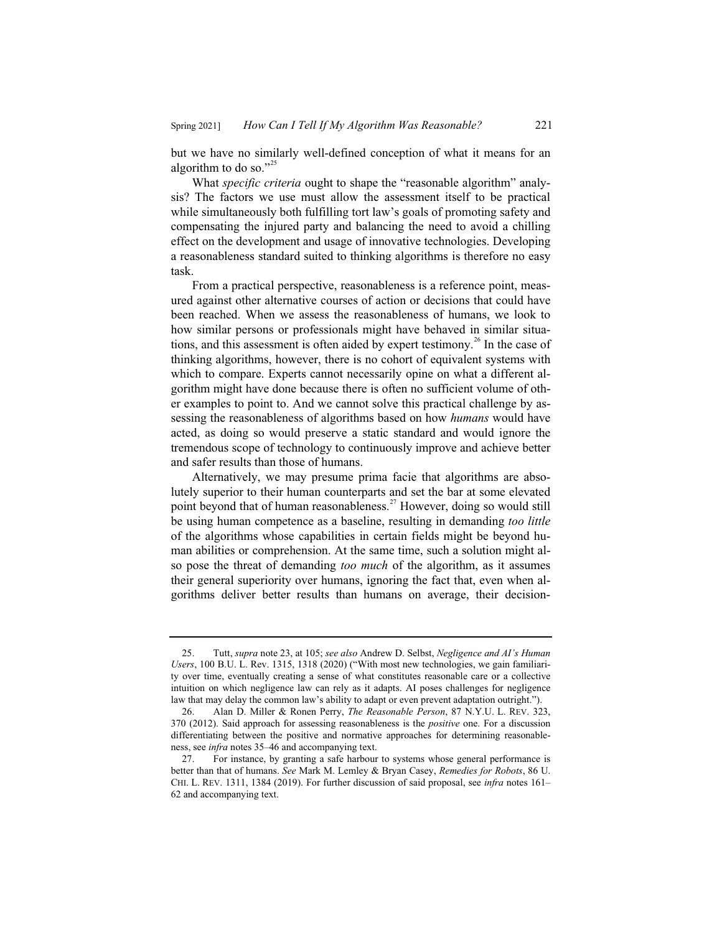but we have no similarly well-defined conception of what it means for an algorithm to do so."<sup>25</sup>

What *specific criteria* ought to shape the "reasonable algorithm" analysis? The factors we use must allow the assessment itself to be practical while simultaneously both fulfilling tort law's goals of promoting safety and compensating the injured party and balancing the need to avoid a chilling effect on the development and usage of innovative technologies. Developing a reasonableness standard suited to thinking algorithms is therefore no easy task.

From a practical perspective, reasonableness is a reference point, measured against other alternative courses of action or decisions that could have been reached. When we assess the reasonableness of humans, we look to how similar persons or professionals might have behaved in similar situations, and this assessment is often aided by expert testimony.<sup>26</sup> In the case of thinking algorithms, however, there is no cohort of equivalent systems with which to compare. Experts cannot necessarily opine on what a different algorithm might have done because there is often no sufficient volume of other examples to point to. And we cannot solve this practical challenge by assessing the reasonableness of algorithms based on how *humans* would have acted, as doing so would preserve a static standard and would ignore the tremendous scope of technology to continuously improve and achieve better and safer results than those of humans.

Alternatively, we may presume prima facie that algorithms are absolutely superior to their human counterparts and set the bar at some elevated point beyond that of human reasonableness.<sup>27</sup> However, doing so would still be using human competence as a baseline, resulting in demanding *too little* of the algorithms whose capabilities in certain fields might be beyond human abilities or comprehension. At the same time, such a solution might also pose the threat of demanding *too much* of the algorithm, as it assumes their general superiority over humans, ignoring the fact that, even when algorithms deliver better results than humans on average, their decision-

<sup>25.</sup> Tutt, *supra* note 23, at 105; *see also* Andrew D. Selbst, *Negligence and AI's Human Users*, 100 B.U. L. Rev. 1315, 1318 (2020) ("With most new technologies, we gain familiarity over time, eventually creating a sense of what constitutes reasonable care or a collective intuition on which negligence law can rely as it adapts. AI poses challenges for negligence law that may delay the common law's ability to adapt or even prevent adaptation outright.").

<sup>26.</sup> Alan D. Miller & Ronen Perry, *The Reasonable Person*, 87 N.Y.U. L. REV. 323, 370 (2012). Said approach for assessing reasonableness is the *positive* one. For a discussion differentiating between the positive and normative approaches for determining reasonableness, see *infra* notes 35–46 and accompanying text.

<sup>27.</sup> For instance, by granting a safe harbour to systems whose general performance is better than that of humans. *See* Mark M. Lemley & Bryan Casey, *Remedies for Robots*, 86 U. CHI. L. REV. 1311, 1384 (2019). For further discussion of said proposal, see *infra* notes 161– 62 and accompanying text.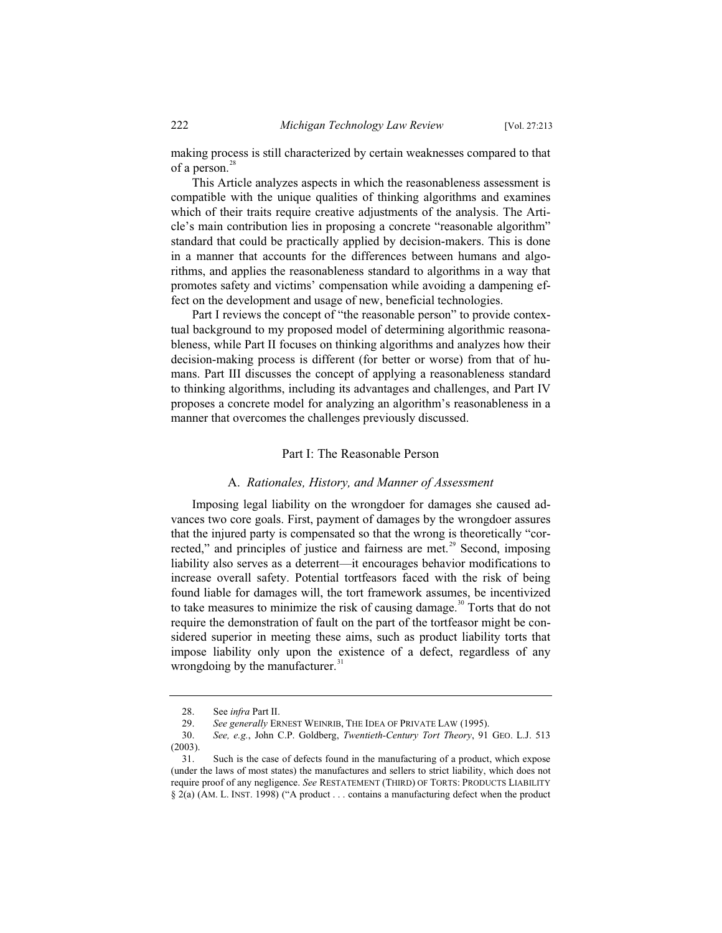making process is still characterized by certain weaknesses compared to that of a person. $^{28}$ 

This Article analyzes aspects in which the reasonableness assessment is compatible with the unique qualities of thinking algorithms and examines which of their traits require creative adjustments of the analysis. The Article's main contribution lies in proposing a concrete "reasonable algorithm" standard that could be practically applied by decision-makers. This is done in a manner that accounts for the differences between humans and algorithms, and applies the reasonableness standard to algorithms in a way that promotes safety and victims' compensation while avoiding a dampening effect on the development and usage of new, beneficial technologies.

Part I reviews the concept of "the reasonable person" to provide contextual background to my proposed model of determining algorithmic reasonableness, while Part II focuses on thinking algorithms and analyzes how their decision-making process is different (for better or worse) from that of humans. Part III discusses the concept of applying a reasonableness standard to thinking algorithms, including its advantages and challenges, and Part IV proposes a concrete model for analyzing an algorithm's reasonableness in a manner that overcomes the challenges previously discussed.

#### Part I: The Reasonable Person

#### A. *Rationales, History, and Manner of Assessment*

Imposing legal liability on the wrongdoer for damages she caused advances two core goals. First, payment of damages by the wrongdoer assures that the injured party is compensated so that the wrong is theoretically "corrected," and principles of justice and fairness are met. $^{29}$  Second, imposing liability also serves as a deterrent—it encourages behavior modifications to increase overall safety. Potential tortfeasors faced with the risk of being found liable for damages will, the tort framework assumes, be incentivized to take measures to minimize the risk of causing damage.<sup>30</sup> Torts that do not require the demonstration of fault on the part of the tortfeasor might be considered superior in meeting these aims, such as product liability torts that impose liability only upon the existence of a defect, regardless of any wrongdoing by the manufacturer.<sup>31</sup>

<sup>28.</sup> See *infra* Part II.

<sup>29.</sup> *See generally* ERNEST WEINRIB, THE IDEA OF PRIVATE LAW (1995).

<sup>30.</sup> *See, e.g.*, John C.P. Goldberg, *Twentieth-Century Tort Theory*, 91 GEO. L.J. 513 (2003).

<sup>31.</sup> Such is the case of defects found in the manufacturing of a product, which expose (under the laws of most states) the manufactures and sellers to strict liability, which does not require proof of any negligence. *See* RESTATEMENT (THIRD) OF TORTS: PRODUCTS LIABILITY § 2(a) (AM. L. INST. 1998) ("A product . . . contains a manufacturing defect when the product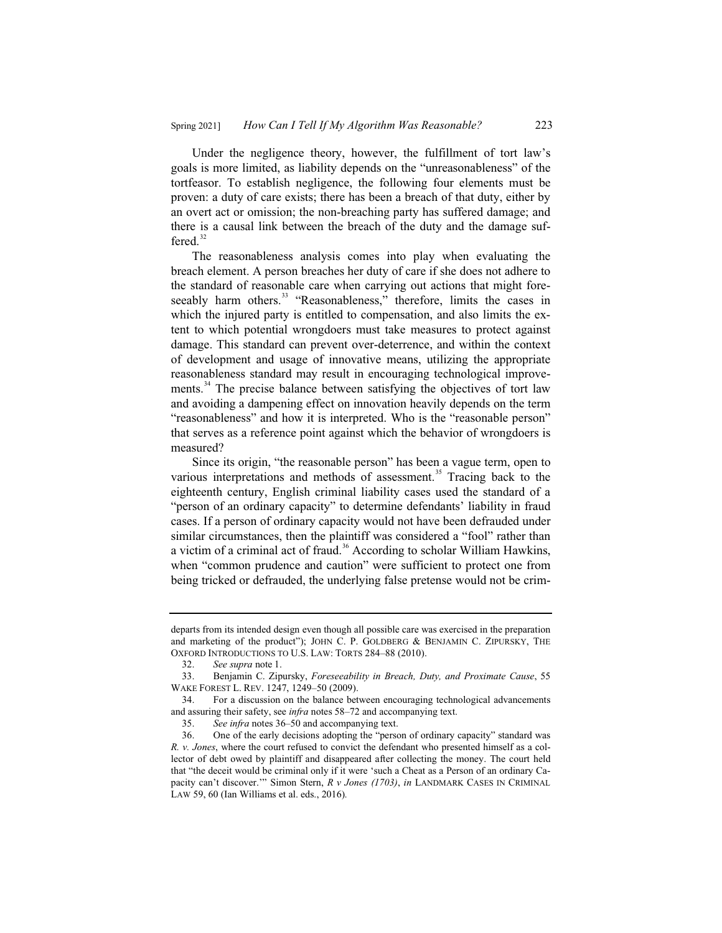Under the negligence theory, however, the fulfillment of tort law's goals is more limited, as liability depends on the "unreasonableness" of the tortfeasor. To establish negligence, the following four elements must be proven: a duty of care exists; there has been a breach of that duty, either by an overt act or omission; the non-breaching party has suffered damage; and there is a causal link between the breach of the duty and the damage suffered. $32$ 

The reasonableness analysis comes into play when evaluating the breach element. A person breaches her duty of care if she does not adhere to the standard of reasonable care when carrying out actions that might foreseeably harm others.<sup>33</sup> "Reasonableness," therefore, limits the cases in which the injured party is entitled to compensation, and also limits the extent to which potential wrongdoers must take measures to protect against damage. This standard can prevent over-deterrence, and within the context of development and usage of innovative means, utilizing the appropriate reasonableness standard may result in encouraging technological improvements.<sup>34</sup> The precise balance between satisfying the objectives of tort law and avoiding a dampening effect on innovation heavily depends on the term "reasonableness" and how it is interpreted. Who is the "reasonable person" that serves as a reference point against which the behavior of wrongdoers is measured?

Since its origin, "the reasonable person" has been a vague term, open to various interpretations and methods of assessment.<sup>35</sup> Tracing back to the eighteenth century, English criminal liability cases used the standard of a "person of an ordinary capacity" to determine defendants' liability in fraud cases. If a person of ordinary capacity would not have been defrauded under similar circumstances, then the plaintiff was considered a "fool" rather than a victim of a criminal act of fraud.<sup>36</sup> According to scholar William Hawkins, when "common prudence and caution" were sufficient to protect one from being tricked or defrauded, the underlying false pretense would not be crim-

departs from its intended design even though all possible care was exercised in the preparation and marketing of the product"); JOHN C. P. GOLDBERG & BENJAMIN C. ZIPURSKY, THE OXFORD INTRODUCTIONS TO U.S. LAW: TORTS 284–88 (2010).

<sup>32.</sup> *See supra* note 1.

<sup>33.</sup> Benjamin C. Zipursky, *Foreseeability in Breach, Duty, and Proximate Cause*, 55 WAKE FOREST L. REV. 1247, 1249–50 (2009).

<sup>34.</sup> For a discussion on the balance between encouraging technological advancements and assuring their safety, see *infra* notes 58–72 and accompanying text.

<sup>35.</sup> *See infra* notes 36–50 and accompanying text.

<sup>36.</sup> One of the early decisions adopting the "person of ordinary capacity" standard was *R. v. Jones*, where the court refused to convict the defendant who presented himself as a collector of debt owed by plaintiff and disappeared after collecting the money. The court held that "the deceit would be criminal only if it were 'such a Cheat as a Person of an ordinary Capacity can't discover.'" Simon Stern, *R v Jones (1703)*, *in* LANDMARK CASES IN CRIMINAL LAW 59, 60 (Ian Williams et al. eds., 2016)*.*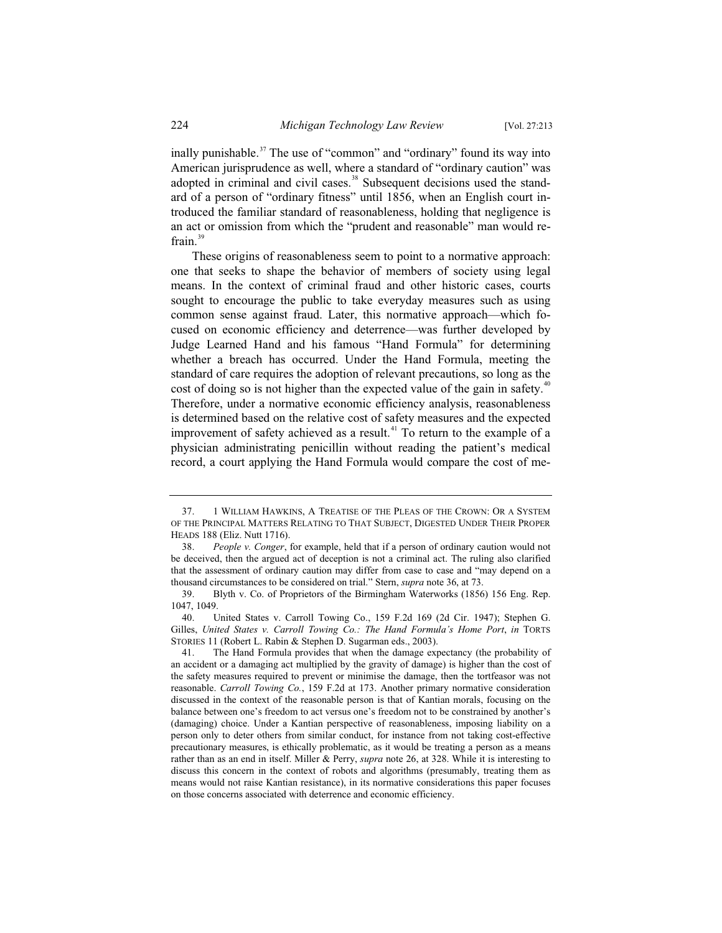inally punishable.<sup>37</sup> The use of "common" and "ordinary" found its way into American jurisprudence as well, where a standard of "ordinary caution" was adopted in criminal and civil cases.<sup>38</sup> Subsequent decisions used the standard of a person of "ordinary fitness" until 1856, when an English court introduced the familiar standard of reasonableness, holding that negligence is an act or omission from which the "prudent and reasonable" man would refrain.<sup>39</sup>

These origins of reasonableness seem to point to a normative approach: one that seeks to shape the behavior of members of society using legal means. In the context of criminal fraud and other historic cases, courts sought to encourage the public to take everyday measures such as using common sense against fraud. Later, this normative approach—which focused on economic efficiency and deterrence—was further developed by Judge Learned Hand and his famous "Hand Formula" for determining whether a breach has occurred. Under the Hand Formula, meeting the standard of care requires the adoption of relevant precautions, so long as the cost of doing so is not higher than the expected value of the gain in safety.<sup>40</sup> Therefore, under a normative economic efficiency analysis, reasonableness is determined based on the relative cost of safety measures and the expected improvement of safety achieved as a result.<sup>41</sup> To return to the example of a physician administrating penicillin without reading the patient's medical record, a court applying the Hand Formula would compare the cost of me-

<sup>37. 1</sup> WILLIAM HAWKINS, A TREATISE OF THE PLEAS OF THE CROWN: OR A SYSTEM OF THE PRINCIPAL MATTERS RELATING TO THAT SUBJECT, DIGESTED UNDER THEIR PROPER HEADS 188 (Eliz. Nutt 1716).

<sup>38.</sup> *People v. Conger*, for example, held that if a person of ordinary caution would not be deceived, then the argued act of deception is not a criminal act. The ruling also clarified that the assessment of ordinary caution may differ from case to case and "may depend on a thousand circumstances to be considered on trial." Stern, *supra* note 36, at 73.

<sup>39.</sup> Blyth v. Co. of Proprietors of the Birmingham Waterworks (1856) 156 Eng. Rep. 1047, 1049.

<sup>40.</sup> United States v. Carroll Towing Co., 159 F.2d 169 (2d Cir. 1947); Stephen G. Gilles, *United States v. Carroll Towing Co.: The Hand Formula's Home Port*, *in* TORTS STORIES 11 (Robert L. Rabin & Stephen D. Sugarman eds., 2003).

<sup>41.</sup> The Hand Formula provides that when the damage expectancy (the probability of an accident or a damaging act multiplied by the gravity of damage) is higher than the cost of the safety measures required to prevent or minimise the damage, then the tortfeasor was not reasonable. *Carroll Towing Co.*, 159 F.2d at 173. Another primary normative consideration discussed in the context of the reasonable person is that of Kantian morals, focusing on the balance between one's freedom to act versus one's freedom not to be constrained by another's (damaging) choice. Under a Kantian perspective of reasonableness, imposing liability on a person only to deter others from similar conduct, for instance from not taking cost-effective precautionary measures, is ethically problematic, as it would be treating a person as a means rather than as an end in itself. Miller & Perry, *supra* note 26, at 328. While it is interesting to discuss this concern in the context of robots and algorithms (presumably, treating them as means would not raise Kantian resistance), in its normative considerations this paper focuses on those concerns associated with deterrence and economic efficiency.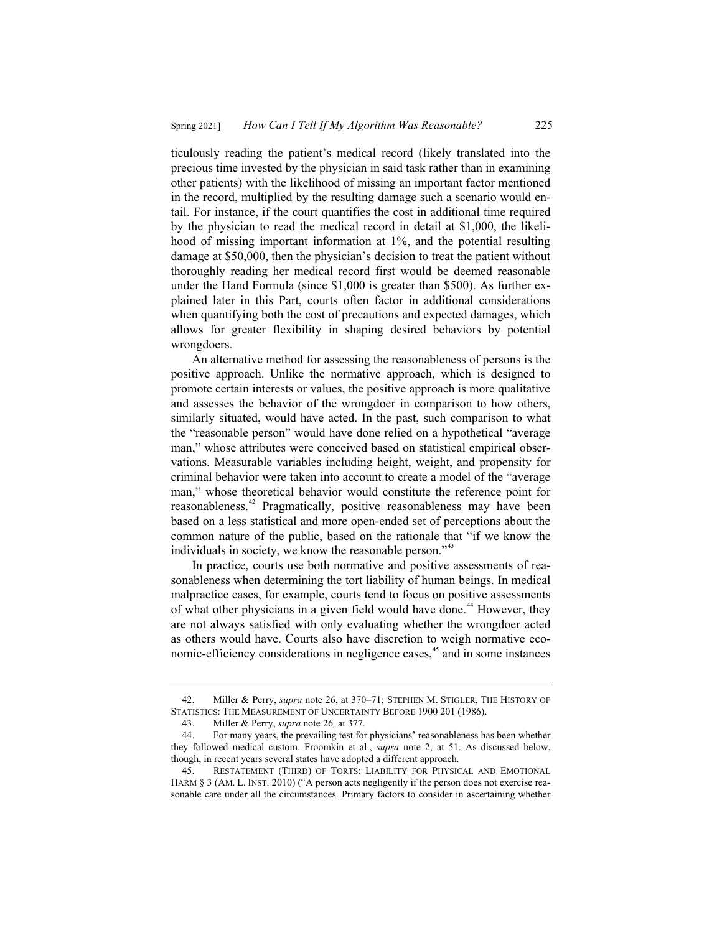ticulously reading the patient's medical record (likely translated into the precious time invested by the physician in said task rather than in examining other patients) with the likelihood of missing an important factor mentioned in the record, multiplied by the resulting damage such a scenario would entail. For instance, if the court quantifies the cost in additional time required by the physician to read the medical record in detail at \$1,000, the likelihood of missing important information at 1%, and the potential resulting damage at \$50,000, then the physician's decision to treat the patient without thoroughly reading her medical record first would be deemed reasonable under the Hand Formula (since \$1,000 is greater than \$500). As further explained later in this Part, courts often factor in additional considerations when quantifying both the cost of precautions and expected damages, which allows for greater flexibility in shaping desired behaviors by potential wrongdoers.

An alternative method for assessing the reasonableness of persons is the positive approach. Unlike the normative approach, which is designed to promote certain interests or values, the positive approach is more qualitative and assesses the behavior of the wrongdoer in comparison to how others, similarly situated, would have acted. In the past, such comparison to what the "reasonable person" would have done relied on a hypothetical "average man," whose attributes were conceived based on statistical empirical observations. Measurable variables including height, weight, and propensity for criminal behavior were taken into account to create a model of the "average man," whose theoretical behavior would constitute the reference point for reasonableness.<sup>42</sup> Pragmatically, positive reasonableness may have been based on a less statistical and more open-ended set of perceptions about the common nature of the public, based on the rationale that "if we know the individuals in society, we know the reasonable person."<sup>43</sup>

In practice, courts use both normative and positive assessments of reasonableness when determining the tort liability of human beings. In medical malpractice cases, for example, courts tend to focus on positive assessments of what other physicians in a given field would have done.<sup>44</sup> However, they are not always satisfied with only evaluating whether the wrongdoer acted as others would have. Courts also have discretion to weigh normative economic-efficiency considerations in negligence cases,<sup>45</sup> and in some instances

<sup>42.</sup> Miller & Perry, *supra* note 26, at 370–71; STEPHEN M. STIGLER, THE HISTORY OF STATISTICS: THE MEASUREMENT OF UNCERTAINTY BEFORE 1900 201 (1986).

<sup>43.</sup> Miller & Perry, *supra* note 26*,* at 377.

<sup>44.</sup> For many years, the prevailing test for physicians' reasonableness has been whether they followed medical custom. Froomkin et al., *supra* note 2, at 51. As discussed below, though, in recent years several states have adopted a different approach.

<sup>45.</sup> RESTATEMENT (THIRD) OF TORTS: LIABILITY FOR PHYSICAL AND EMOTIONAL HARM § 3 (AM. L. INST. 2010) ("A person acts negligently if the person does not exercise reasonable care under all the circumstances. Primary factors to consider in ascertaining whether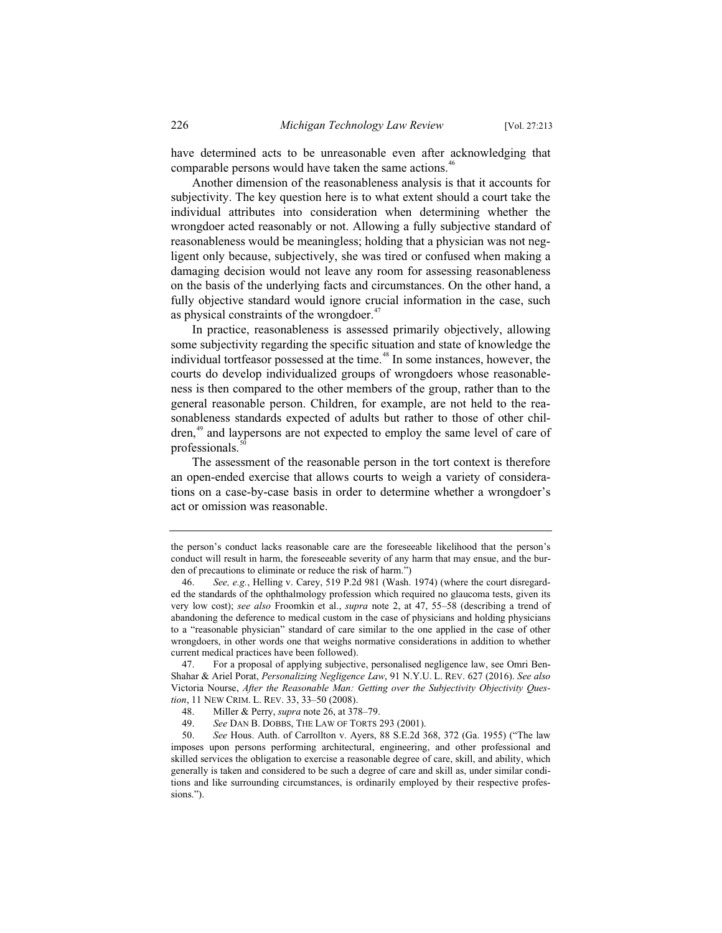have determined acts to be unreasonable even after acknowledging that comparable persons would have taken the same actions.<sup>46</sup>

Another dimension of the reasonableness analysis is that it accounts for subjectivity. The key question here is to what extent should a court take the individual attributes into consideration when determining whether the wrongdoer acted reasonably or not. Allowing a fully subjective standard of reasonableness would be meaningless; holding that a physician was not negligent only because, subjectively, she was tired or confused when making a damaging decision would not leave any room for assessing reasonableness on the basis of the underlying facts and circumstances. On the other hand, a fully objective standard would ignore crucial information in the case, such as physical constraints of the wrongdoer. $47$ 

In practice, reasonableness is assessed primarily objectively, allowing some subjectivity regarding the specific situation and state of knowledge the individual tortfeasor possessed at the time.<sup>48</sup> In some instances, however, the courts do develop individualized groups of wrongdoers whose reasonableness is then compared to the other members of the group, rather than to the general reasonable person. Children, for example, are not held to the reasonableness standards expected of adults but rather to those of other children,<sup>49</sup> and laypersons are not expected to employ the same level of care of professionals.

The assessment of the reasonable person in the tort context is therefore an open-ended exercise that allows courts to weigh a variety of considerations on a case-by-case basis in order to determine whether a wrongdoer's act or omission was reasonable.

the person's conduct lacks reasonable care are the foreseeable likelihood that the person's conduct will result in harm, the foreseeable severity of any harm that may ensue, and the burden of precautions to eliminate or reduce the risk of harm.")

<sup>46.</sup> *See, e.g.*, Helling v. Carey, 519 P.2d 981 (Wash. 1974) (where the court disregarded the standards of the ophthalmology profession which required no glaucoma tests, given its very low cost); *see also* Froomkin et al., *supra* note 2, at 47, 55–58 (describing a trend of abandoning the deference to medical custom in the case of physicians and holding physicians to a "reasonable physician" standard of care similar to the one applied in the case of other wrongdoers, in other words one that weighs normative considerations in addition to whether current medical practices have been followed).

<sup>47.</sup> For a proposal of applying subjective, personalised negligence law, see Omri Ben-Shahar & Ariel Porat, *Personalizing Negligence Law*, 91 N.Y.U. L. REV. 627 (2016). *See also* Victoria Nourse, *After the Reasonable Man: Getting over the Subjectivity Objectivity Question*, 11 NEW CRIM. L. REV. 33, 33–50 (2008).<br>48. Miller & Perry, *supra* note 26, at 37

<sup>48.</sup> Miller & Perry, *supra* note 26, at 378–79.

<sup>49.</sup> *See* DAN B. DOBBS, THE LAW OF TORTS 293 (2001).

<sup>50.</sup> *See* Hous. Auth. of Carrollton v. Ayers, 88 S.E.2d 368, 372 (Ga. 1955) ("The law imposes upon persons performing architectural, engineering, and other professional and skilled services the obligation to exercise a reasonable degree of care, skill, and ability, which generally is taken and considered to be such a degree of care and skill as, under similar conditions and like surrounding circumstances, is ordinarily employed by their respective professions.").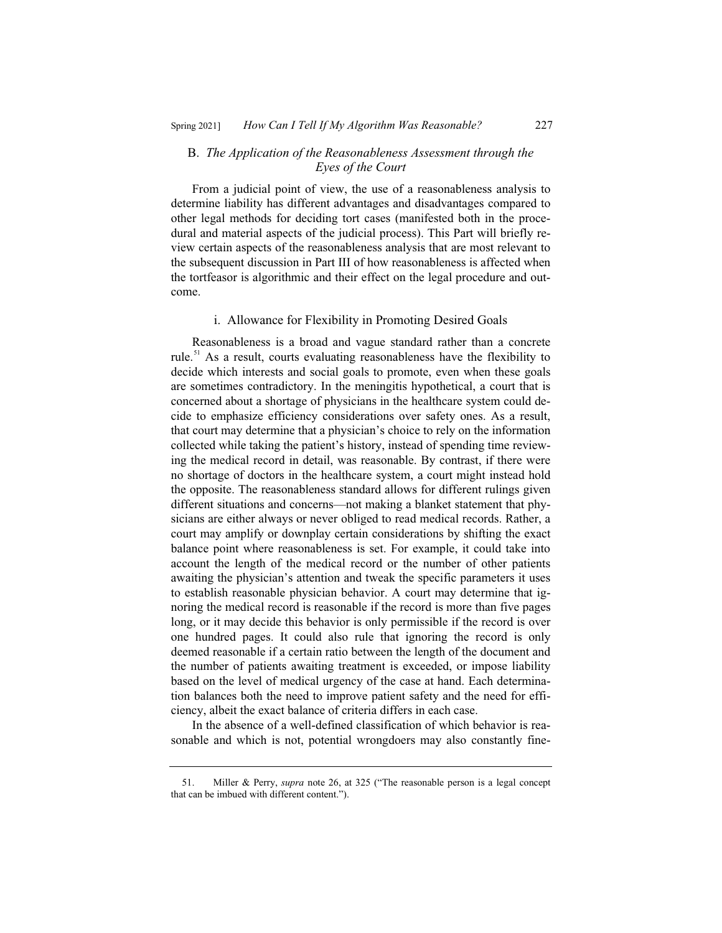#### B. *The Application of the Reasonableness Assessment through the Eyes of the Court*

From a judicial point of view, the use of a reasonableness analysis to determine liability has different advantages and disadvantages compared to other legal methods for deciding tort cases (manifested both in the procedural and material aspects of the judicial process). This Part will briefly review certain aspects of the reasonableness analysis that are most relevant to the subsequent discussion in Part III of how reasonableness is affected when the tortfeasor is algorithmic and their effect on the legal procedure and outcome.

#### i. Allowance for Flexibility in Promoting Desired Goals

Reasonableness is a broad and vague standard rather than a concrete rule.<sup>51</sup> As a result, courts evaluating reasonableness have the flexibility to decide which interests and social goals to promote, even when these goals are sometimes contradictory. In the meningitis hypothetical, a court that is concerned about a shortage of physicians in the healthcare system could decide to emphasize efficiency considerations over safety ones. As a result, that court may determine that a physician's choice to rely on the information collected while taking the patient's history, instead of spending time reviewing the medical record in detail, was reasonable. By contrast, if there were no shortage of doctors in the healthcare system, a court might instead hold the opposite. The reasonableness standard allows for different rulings given different situations and concerns—not making a blanket statement that physicians are either always or never obliged to read medical records. Rather, a court may amplify or downplay certain considerations by shifting the exact balance point where reasonableness is set. For example, it could take into account the length of the medical record or the number of other patients awaiting the physician's attention and tweak the specific parameters it uses to establish reasonable physician behavior. A court may determine that ignoring the medical record is reasonable if the record is more than five pages long, or it may decide this behavior is only permissible if the record is over one hundred pages. It could also rule that ignoring the record is only deemed reasonable if a certain ratio between the length of the document and the number of patients awaiting treatment is exceeded, or impose liability based on the level of medical urgency of the case at hand. Each determination balances both the need to improve patient safety and the need for efficiency, albeit the exact balance of criteria differs in each case.

In the absence of a well-defined classification of which behavior is reasonable and which is not, potential wrongdoers may also constantly fine-

<sup>51.</sup> Miller & Perry, *supra* note 26, at 325 ("The reasonable person is a legal concept that can be imbued with different content.").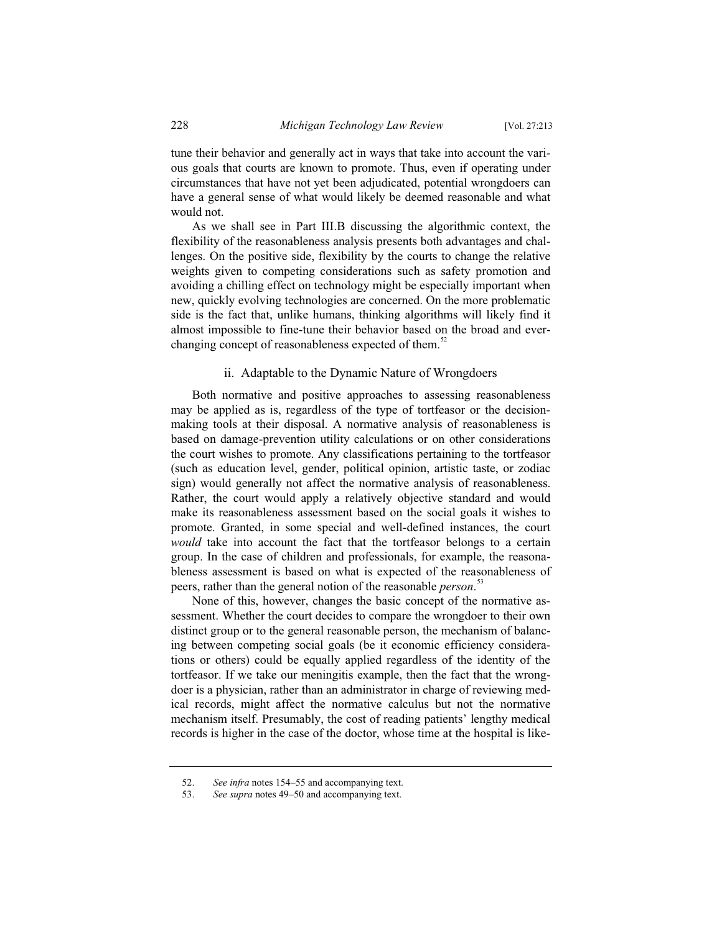tune their behavior and generally act in ways that take into account the various goals that courts are known to promote. Thus, even if operating under circumstances that have not yet been adjudicated, potential wrongdoers can have a general sense of what would likely be deemed reasonable and what would not.

As we shall see in Part III.B discussing the algorithmic context, the flexibility of the reasonableness analysis presents both advantages and challenges. On the positive side, flexibility by the courts to change the relative weights given to competing considerations such as safety promotion and avoiding a chilling effect on technology might be especially important when new, quickly evolving technologies are concerned. On the more problematic side is the fact that, unlike humans, thinking algorithms will likely find it almost impossible to fine-tune their behavior based on the broad and everchanging concept of reasonableness expected of them.<sup>52</sup>

# ii. Adaptable to the Dynamic Nature of Wrongdoers

Both normative and positive approaches to assessing reasonableness may be applied as is, regardless of the type of tortfeasor or the decisionmaking tools at their disposal. A normative analysis of reasonableness is based on damage-prevention utility calculations or on other considerations the court wishes to promote. Any classifications pertaining to the tortfeasor (such as education level, gender, political opinion, artistic taste, or zodiac sign) would generally not affect the normative analysis of reasonableness. Rather, the court would apply a relatively objective standard and would make its reasonableness assessment based on the social goals it wishes to promote. Granted, in some special and well-defined instances, the court *would* take into account the fact that the tortfeasor belongs to a certain group. In the case of children and professionals, for example, the reasonableness assessment is based on what is expected of the reasonableness of peers, rather than the general notion of the reasonable *person*. 53

None of this, however, changes the basic concept of the normative assessment. Whether the court decides to compare the wrongdoer to their own distinct group or to the general reasonable person, the mechanism of balancing between competing social goals (be it economic efficiency considerations or others) could be equally applied regardless of the identity of the tortfeasor. If we take our meningitis example, then the fact that the wrongdoer is a physician, rather than an administrator in charge of reviewing medical records, might affect the normative calculus but not the normative mechanism itself. Presumably, the cost of reading patients' lengthy medical records is higher in the case of the doctor, whose time at the hospital is like-

<sup>52.</sup> *See infra* notes 154–55 and accompanying text.

<sup>53.</sup> *See supra* notes 49–50 and accompanying text.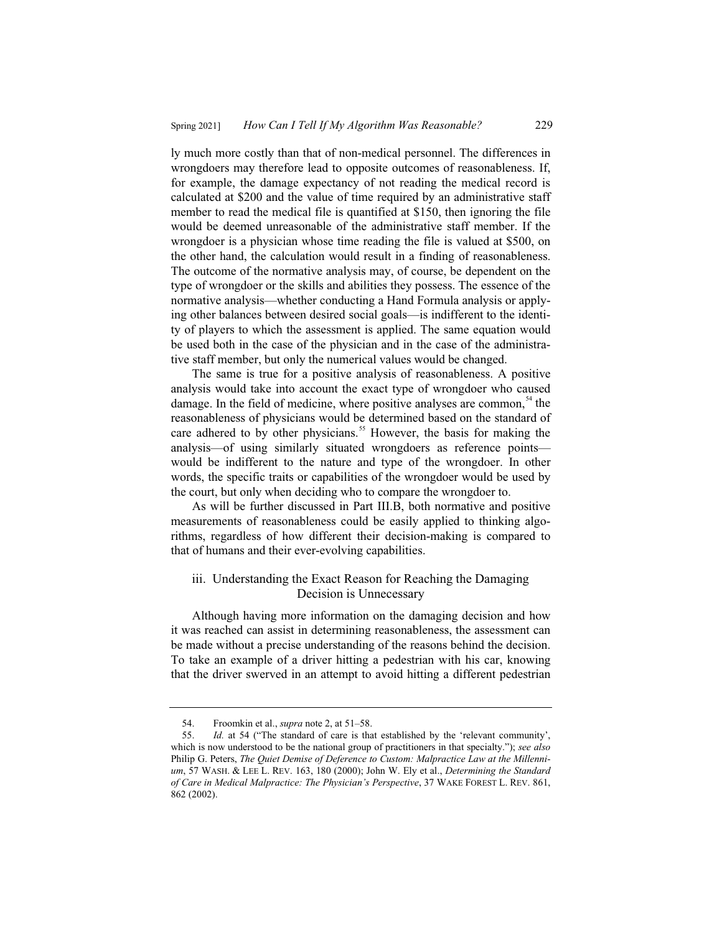ly much more costly than that of non-medical personnel. The differences in wrongdoers may therefore lead to opposite outcomes of reasonableness. If, for example, the damage expectancy of not reading the medical record is calculated at \$200 and the value of time required by an administrative staff member to read the medical file is quantified at \$150, then ignoring the file would be deemed unreasonable of the administrative staff member. If the wrongdoer is a physician whose time reading the file is valued at \$500, on the other hand, the calculation would result in a finding of reasonableness. The outcome of the normative analysis may, of course, be dependent on the type of wrongdoer or the skills and abilities they possess. The essence of the normative analysis—whether conducting a Hand Formula analysis or applying other balances between desired social goals—is indifferent to the identity of players to which the assessment is applied. The same equation would be used both in the case of the physician and in the case of the administrative staff member, but only the numerical values would be changed.

The same is true for a positive analysis of reasonableness. A positive analysis would take into account the exact type of wrongdoer who caused damage. In the field of medicine, where positive analyses are common,  $\delta$ <sup>4</sup> the reasonableness of physicians would be determined based on the standard of care adhered to by other physicians.<sup>55</sup> However, the basis for making the analysis—of using similarly situated wrongdoers as reference points would be indifferent to the nature and type of the wrongdoer. In other words, the specific traits or capabilities of the wrongdoer would be used by the court, but only when deciding who to compare the wrongdoer to.

As will be further discussed in Part III.B, both normative and positive measurements of reasonableness could be easily applied to thinking algorithms, regardless of how different their decision-making is compared to that of humans and their ever-evolving capabilities.

# iii. Understanding the Exact Reason for Reaching the Damaging Decision is Unnecessary

Although having more information on the damaging decision and how it was reached can assist in determining reasonableness, the assessment can be made without a precise understanding of the reasons behind the decision. To take an example of a driver hitting a pedestrian with his car, knowing that the driver swerved in an attempt to avoid hitting a different pedestrian

<sup>54.</sup> Froomkin et al., *supra* note 2, at 51–58.

<sup>55.</sup> *Id.* at 54 ("The standard of care is that established by the 'relevant community', which is now understood to be the national group of practitioners in that specialty."); *see also* Philip G. Peters, *The Quiet Demise of Deference to Custom: Malpractice Law at the Millennium*, 57 WASH.&LEE L. REV. 163, 180 (2000); John W. Ely et al., *Determining the Standard of Care in Medical Malpractice: The Physician's Perspective*, 37 WAKE FOREST L. REV. 861, 862 (2002).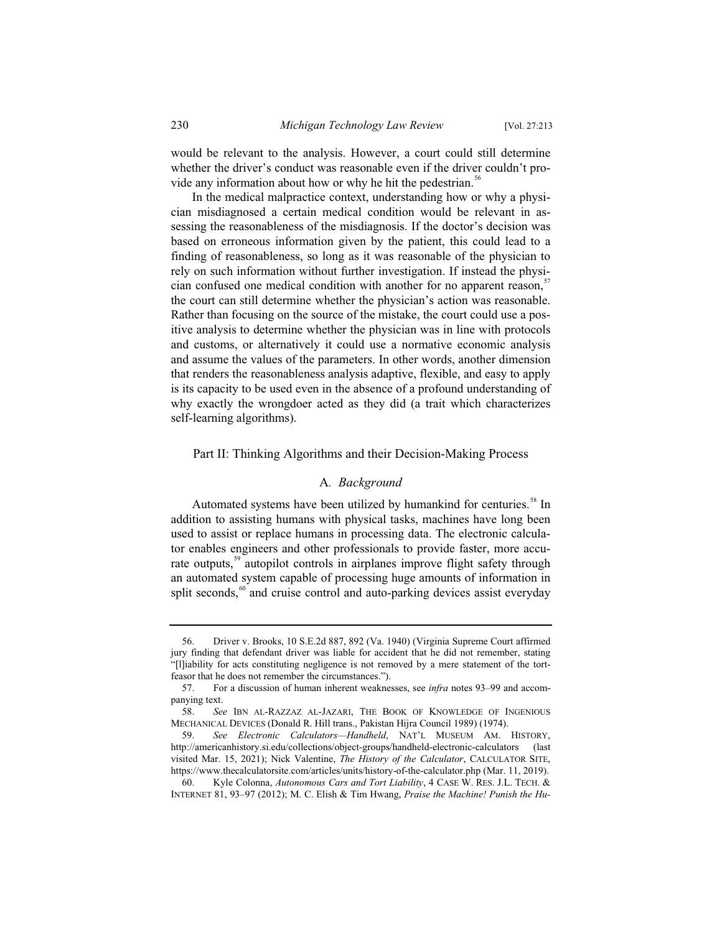would be relevant to the analysis. However, a court could still determine whether the driver's conduct was reasonable even if the driver couldn't provide any information about how or why he hit the pedestrian.<sup>56</sup>

In the medical malpractice context, understanding how or why a physician misdiagnosed a certain medical condition would be relevant in assessing the reasonableness of the misdiagnosis. If the doctor's decision was based on erroneous information given by the patient, this could lead to a finding of reasonableness, so long as it was reasonable of the physician to rely on such information without further investigation. If instead the physician confused one medical condition with another for no apparent reason,<sup>5</sup> the court can still determine whether the physician's action was reasonable. Rather than focusing on the source of the mistake, the court could use a positive analysis to determine whether the physician was in line with protocols and customs, or alternatively it could use a normative economic analysis and assume the values of the parameters. In other words, another dimension that renders the reasonableness analysis adaptive, flexible, and easy to apply is its capacity to be used even in the absence of a profound understanding of why exactly the wrongdoer acted as they did (a trait which characterizes self-learning algorithms).

#### Part II: Thinking Algorithms and their Decision-Making Process

#### A*. Background*

Automated systems have been utilized by humankind for centuries.<sup>58</sup> In addition to assisting humans with physical tasks, machines have long been used to assist or replace humans in processing data. The electronic calculator enables engineers and other professionals to provide faster, more accurate outputs,<sup>59</sup> autopilot controls in airplanes improve flight safety through an automated system capable of processing huge amounts of information in split seconds, $60$  and cruise control and auto-parking devices assist everyday

<sup>56.</sup> Driver v. Brooks, 10 S.E.2d 887, 892 (Va. 1940) (Virginia Supreme Court affirmed jury finding that defendant driver was liable for accident that he did not remember, stating "[l]iability for acts constituting negligence is not removed by a mere statement of the tortfeasor that he does not remember the circumstances.").

<sup>57.</sup> For a discussion of human inherent weaknesses, see *infra* notes 93–99 and accompanying text.

<sup>58.</sup> *See* IBN AL-RAZZAZ AL-JAZARI, THE BOOK OF KNOWLEDGE OF INGENIOUS MECHANICAL DEVICES (Donald R. Hill trans., Pakistan Hijra Council 1989) (1974).

<sup>59.</sup> *See Electronic Calculators—Handheld*, NAT'L MUSEUM AM. HISTORY, http://americanhistory.si.edu/collections/object-groups/handheld-electronic-calculators (last visited Mar. 15, 2021); Nick Valentine, *The History of the Calculator*, CALCULATOR SITE, https://www.thecalculatorsite.com/articles/units/history-of-the-calculator.php (Mar. 11, 2019).

<sup>60.</sup> Kyle Colonna, *Autonomous Cars and Tort Liability*, 4 CASE W. RES. J.L. TECH. & INTERNET 81, 93–97 (2012); M. C. Elish & Tim Hwang, *Praise the Machine! Punish the Hu-*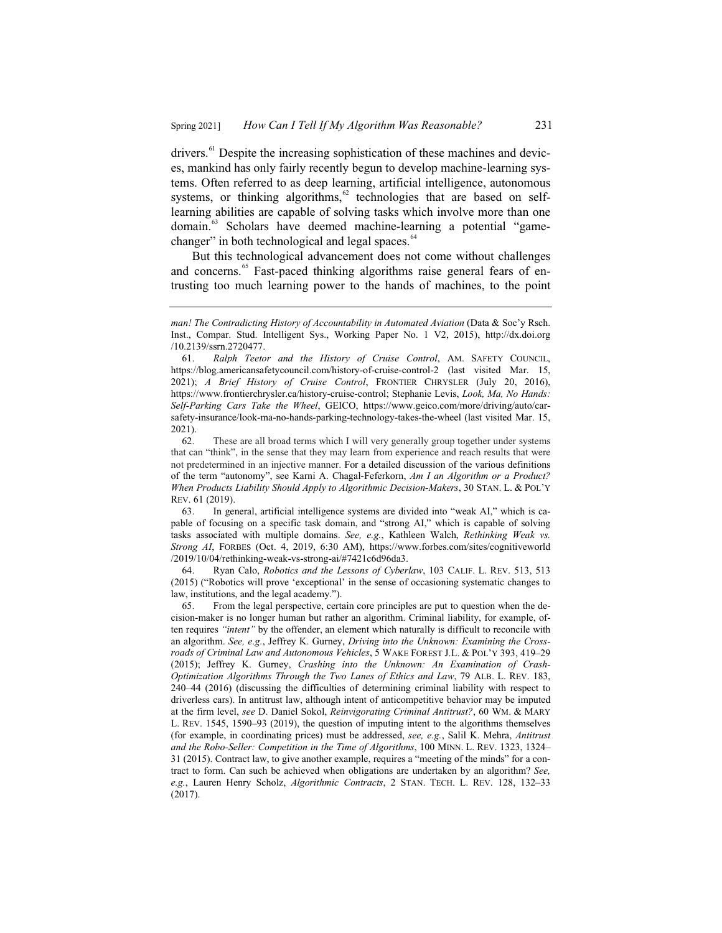drivers.<sup>61</sup> Despite the increasing sophistication of these machines and devices, mankind has only fairly recently begun to develop machine-learning systems. Often referred to as deep learning, artificial intelligence, autonomous systems, or thinking algorithms, $62$  technologies that are based on selflearning abilities are capable of solving tasks which involve more than one domain.<sup>63</sup> Scholars have deemed machine-learning a potential "gamechanger" in both technological and legal spaces.<sup>64</sup>

But this technological advancement does not come without challenges and concerns.<sup>65</sup> Fast-paced thinking algorithms raise general fears of entrusting too much learning power to the hands of machines, to the point

63. In general, artificial intelligence systems are divided into "weak AI," which is capable of focusing on a specific task domain, and "strong AI," which is capable of solving tasks associated with multiple domains. *See, e.g.*, Kathleen Walch, *Rethinking Weak vs. Strong AI*, FORBES (Oct. 4, 2019, 6:30 AM), https://www.forbes.com/sites/cognitiveworld /2019/10/04/rethinking-weak-vs-strong-ai/#7421c6d96da3.

64. Ryan Calo, *Robotics and the Lessons of Cyberlaw*, 103 CALIF. L. REV. 513, 513 (2015) ("Robotics will prove 'exceptional' in the sense of occasioning systematic changes to law, institutions, and the legal academy.").

65. From the legal perspective, certain core principles are put to question when the decision-maker is no longer human but rather an algorithm. Criminal liability, for example, often requires *"intent"* by the offender, an element which naturally is difficult to reconcile with an algorithm. *See, e.g.*, Jeffrey K. Gurney, *Driving into the Unknown: Examining the Crossroads of Criminal Law and Autonomous Vehicles*, 5 WAKE FOREST J.L. & POL'Y 393, 419–29 (2015); Jeffrey K. Gurney, *Crashing into the Unknown: An Examination of Crash-Optimization Algorithms Through the Two Lanes of Ethics and Law*, 79 ALB. L. REV. 183, 240–44 (2016) (discussing the difficulties of determining criminal liability with respect to driverless cars). In antitrust law, although intent of anticompetitive behavior may be imputed at the firm level, see D. Daniel Sokol, *Reinvigorating Criminal Antitrust?*, 60 WM. & MARY L. REV. 1545, 1590–93 (2019), the question of imputing intent to the algorithms themselves (for example, in coordinating prices) must be addressed, *see, e.g.*, Salil K. Mehra, *Antitrust and the Robo-Seller: Competition in the Time of Algorithms*, 100 MINN. L. REV. 1323, 1324– 31 (2015). Contract law, to give another example, requires a "meeting of the minds" for a contract to form. Can such be achieved when obligations are undertaken by an algorithm? *See, e.g.*, Lauren Henry Scholz, *Algorithmic Contracts*, 2 STAN. TECH. L. REV. 128, 132–33 (2017).

*man! The Contradicting History of Accountability in Automated Aviation* (Data & Soc'y Rsch. Inst., Compar. Stud. Intelligent Sys., Working Paper No. 1 V2, 2015), http://dx.doi.org /10.2139/ssrn.2720477.

<sup>61.</sup> *Ralph Teetor and the History of Cruise Control*, AM. SAFETY COUNCIL, https://blog.americansafetycouncil.com/history-of-cruise-control-2 (last visited Mar. 15, 2021); *A Brief History of Cruise Control*, FRONTIER CHRYSLER (July 20, 2016), https://www.frontierchrysler.ca/history-cruise-control; Stephanie Levis, *Look, Ma, No Hands: Self-Parking Cars Take the Wheel*, GEICO, https://www.geico.com/more/driving/auto/carsafety-insurance/look-ma-no-hands-parking-technology-takes-the-wheel (last visited Mar. 15, 2021).

<sup>62.</sup> These are all broad terms which I will very generally group together under systems that can "think", in the sense that they may learn from experience and reach results that were not predetermined in an injective manner. For a detailed discussion of the various definitions of the term "autonomy", see Karni A. Chagal-Feferkorn, *Am I an Algorithm or a Product? When Products Liability Should Apply to Algorithmic Decision-Makers*, 30 STAN. L. & POL'Y REV. 61 (2019).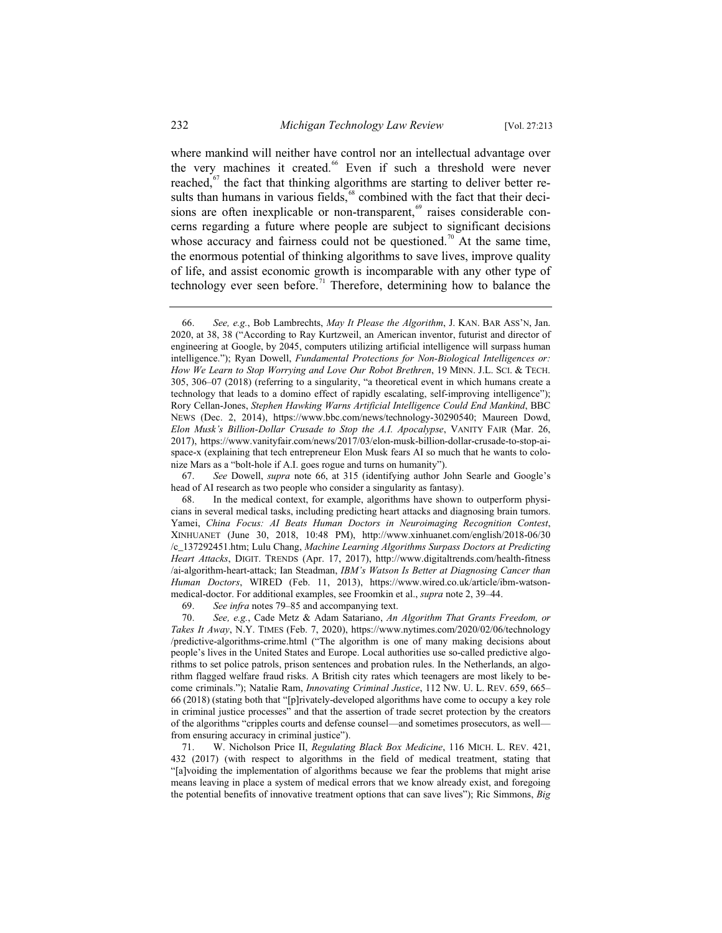where mankind will neither have control nor an intellectual advantage over the very machines it created.<sup>66</sup> Even if such a threshold were never reached, $67$  the fact that thinking algorithms are starting to deliver better results than humans in various fields,<sup>68</sup> combined with the fact that their decisions are often inexplicable or non-transparent,<sup>69</sup> raises considerable concerns regarding a future where people are subject to significant decisions whose accuracy and fairness could not be questioned.<sup>70</sup> At the same time, the enormous potential of thinking algorithms to save lives, improve quality of life, and assist economic growth is incomparable with any other type of technology ever seen before.<sup>71</sup> Therefore, determining how to balance the

67. *See* Dowell, *supra* note 66, at 315 (identifying author John Searle and Google's head of AI research as two people who consider a singularity as fantasy).

69. *See infra* notes 79–85 and accompanying text.

70. *See, e.g.*, Cade Metz & Adam Satariano, *An Algorithm That Grants Freedom, or Takes It Away*, N.Y. TIMES (Feb. 7, 2020), https://www.nytimes.com/2020/02/06/technology /predictive-algorithms-crime.html ("The algorithm is one of many making decisions about people's lives in the United States and Europe. Local authorities use so-called predictive algorithms to set police patrols, prison sentences and probation rules. In the Netherlands, an algorithm flagged welfare fraud risks. A British city rates which teenagers are most likely to become criminals."); Natalie Ram, *Innovating Criminal Justice*, 112 NW. U. L. REV. 659, 665– 66 (2018) (stating both that "[p]rivately-developed algorithms have come to occupy a key role in criminal justice processes" and that the assertion of trade secret protection by the creators of the algorithms "cripples courts and defense counsel—and sometimes prosecutors, as well from ensuring accuracy in criminal justice").

71. W. Nicholson Price II, *Regulating Black Box Medicine*, 116 MICH. L. REV. 421, 432 (2017) (with respect to algorithms in the field of medical treatment, stating that "[a]voiding the implementation of algorithms because we fear the problems that might arise means leaving in place a system of medical errors that we know already exist, and foregoing the potential benefits of innovative treatment options that can save lives"); Ric Simmons, *Big* 

<sup>66.</sup> *See, e.g.*, Bob Lambrechts, *May It Please the Algorithm*, J. KAN. BAR ASS'N, Jan. 2020, at 38, 38 ("According to Ray Kurtzweil, an American inventor, futurist and director of engineering at Google, by 2045, computers utilizing artificial intelligence will surpass human intelligence."); Ryan Dowell, *Fundamental Protections for Non-Biological Intelligences or: How We Learn to Stop Worrying and Love Our Robot Brethren*, 19 MINN. J.L. SCI.&TECH. 305, 306–07 (2018) (referring to a singularity, "a theoretical event in which humans create a technology that leads to a domino effect of rapidly escalating, self-improving intelligence"); Rory Cellan-Jones, *Stephen Hawking Warns Artificial Intelligence Could End Mankind*, BBC NEWS (Dec. 2, 2014), https://www.bbc.com/news/technology-30290540; Maureen Dowd, *Elon Musk's Billion-Dollar Crusade to Stop the A.I. Apocalypse*, VANITY FAIR (Mar. 26, 2017), https://www.vanityfair.com/news/2017/03/elon-musk-billion-dollar-crusade-to-stop-aispace-x (explaining that tech entrepreneur Elon Musk fears AI so much that he wants to colonize Mars as a "bolt-hole if A.I. goes rogue and turns on humanity").

<sup>68.</sup> In the medical context, for example, algorithms have shown to outperform physicians in several medical tasks, including predicting heart attacks and diagnosing brain tumors. Yamei, *China Focus: AI Beats Human Doctors in Neuroimaging Recognition Contest*, XINHUANET (June 30, 2018, 10:48 PM), http://www.xinhuanet.com/english/2018-06/30 /c\_137292451.htm; Lulu Chang, *Machine Learning Algorithms Surpass Doctors at Predicting Heart Attacks*, DIGIT. TRENDS (Apr. 17, 2017), http://www.digitaltrends.com/health-fitness /ai-algorithm-heart-attack; Ian Steadman, *IBM's Watson Is Better at Diagnosing Cancer than Human Doctors*, WIRED (Feb. 11, 2013), https://www.wired.co.uk/article/ibm-watsonmedical-doctor. For additional examples, see Froomkin et al., *supra* note 2, 39–44.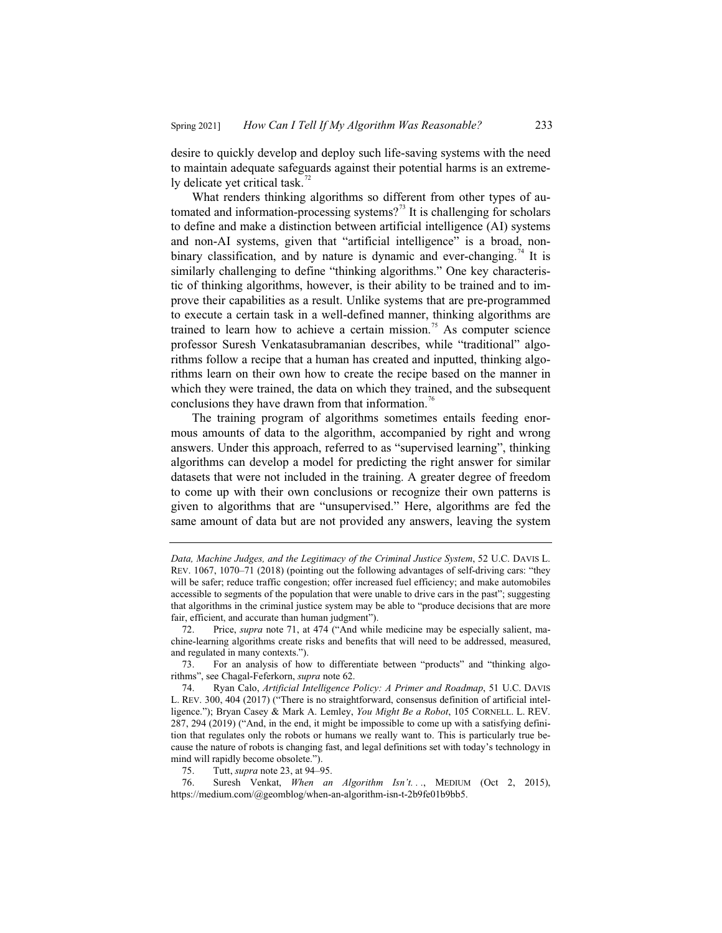desire to quickly develop and deploy such life-saving systems with the need to maintain adequate safeguards against their potential harms is an extremely delicate yet critical task.<sup>72</sup>

What renders thinking algorithms so different from other types of automated and information-processing systems?<sup>73</sup> It is challenging for scholars to define and make a distinction between artificial intelligence (AI) systems and non-AI systems, given that "artificial intelligence" is a broad, nonbinary classification, and by nature is dynamic and ever-changing.<sup>74</sup> It is similarly challenging to define "thinking algorithms." One key characteristic of thinking algorithms, however, is their ability to be trained and to improve their capabilities as a result. Unlike systems that are pre-programmed to execute a certain task in a well-defined manner, thinking algorithms are trained to learn how to achieve a certain mission.<sup>75</sup> As computer science professor Suresh Venkatasubramanian describes, while "traditional" algorithms follow a recipe that a human has created and inputted, thinking algorithms learn on their own how to create the recipe based on the manner in which they were trained, the data on which they trained, and the subsequent conclusions they have drawn from that information.<sup>76</sup>

The training program of algorithms sometimes entails feeding enormous amounts of data to the algorithm, accompanied by right and wrong answers. Under this approach, referred to as "supervised learning", thinking algorithms can develop a model for predicting the right answer for similar datasets that were not included in the training. A greater degree of freedom to come up with their own conclusions or recognize their own patterns is given to algorithms that are "unsupervised." Here, algorithms are fed the same amount of data but are not provided any answers, leaving the system

*Data, Machine Judges, and the Legitimacy of the Criminal Justice System*, 52 U.C. DAVIS L. REV. 1067, 1070–71 (2018) (pointing out the following advantages of self-driving cars: "they will be safer; reduce traffic congestion; offer increased fuel efficiency; and make automobiles accessible to segments of the population that were unable to drive cars in the past"; suggesting that algorithms in the criminal justice system may be able to "produce decisions that are more fair, efficient, and accurate than human judgment").

<sup>72.</sup> Price, *supra* note 71, at 474 ("And while medicine may be especially salient, machine-learning algorithms create risks and benefits that will need to be addressed, measured, and regulated in many contexts.").

<sup>73.</sup> For an analysis of how to differentiate between "products" and "thinking algorithms", see Chagal-Feferkorn, *supra* note 62.

<sup>74.</sup> Ryan Calo, *Artificial Intelligence Policy: A Primer and Roadmap*, 51 U.C. DAVIS L. REV. 300, 404 (2017) ("There is no straightforward, consensus definition of artificial intelligence."); Bryan Casey & Mark A. Lemley, *You Might Be a Robot*, 105 CORNELL. L. REV. 287, 294 (2019) ("And, in the end, it might be impossible to come up with a satisfying definition that regulates only the robots or humans we really want to. This is particularly true because the nature of robots is changing fast, and legal definitions set with today's technology in mind will rapidly become obsolete.").

<sup>75.</sup> Tutt, *supra* note 23, at 94–95.

Suresh Venkat, *When an Algorithm Isn't...*, MEDIUM (Oct 2, 2015), https://medium.com/@geomblog/when-an-algorithm-isn-t-2b9fe01b9bb5.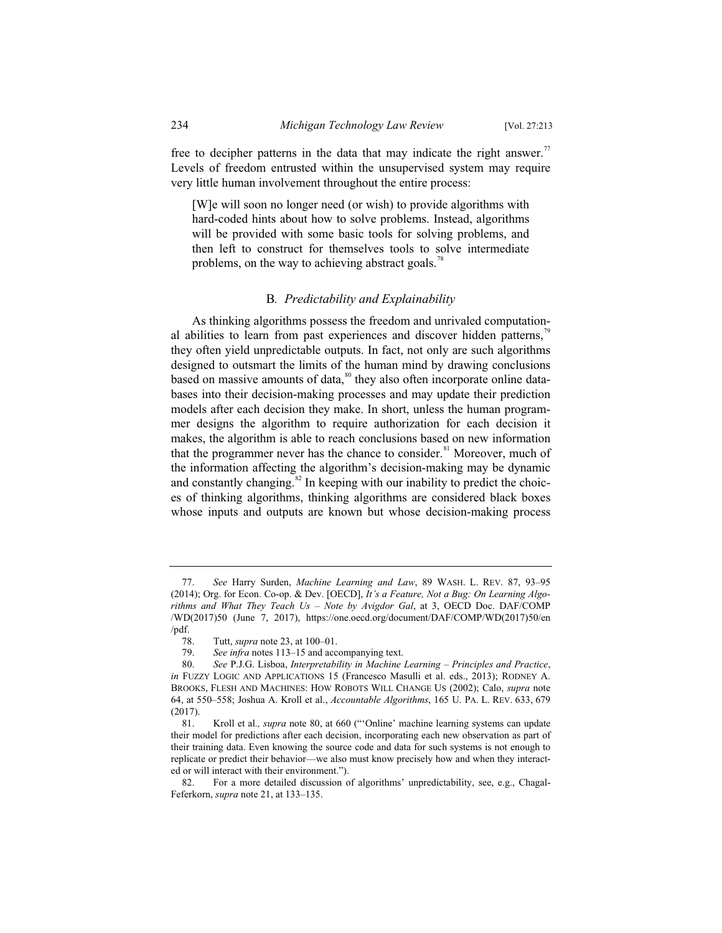free to decipher patterns in the data that may indicate the right answer.<sup>77</sup> Levels of freedom entrusted within the unsupervised system may require very little human involvement throughout the entire process:

[W]e will soon no longer need (or wish) to provide algorithms with hard-coded hints about how to solve problems. Instead, algorithms will be provided with some basic tools for solving problems, and then left to construct for themselves tools to solve intermediate problems, on the way to achieving abstract goals.<sup>78</sup>

#### B*. Predictability and Explainability*

As thinking algorithms possess the freedom and unrivaled computational abilities to learn from past experiences and discover hidden patterns,<sup>7</sup> they often yield unpredictable outputs. In fact, not only are such algorithms designed to outsmart the limits of the human mind by drawing conclusions based on massive amounts of data,<sup>80</sup> they also often incorporate online databases into their decision-making processes and may update their prediction models after each decision they make. In short, unless the human programmer designs the algorithm to require authorization for each decision it makes, the algorithm is able to reach conclusions based on new information that the programmer never has the chance to consider.<sup>81</sup> Moreover, much of the information affecting the algorithm's decision-making may be dynamic and constantly changing.<sup>82</sup> In keeping with our inability to predict the choices of thinking algorithms, thinking algorithms are considered black boxes whose inputs and outputs are known but whose decision-making process

<sup>77.</sup> *See* Harry Surden, *Machine Learning and Law*, 89 WASH. L. REV. 87, 93–95 (2014); Org. for Econ. Co-op. & Dev. [OECD], *It's a Feature, Not a Bug: On Learning Algorithms and What They Teach Us – Note by Avigdor Gal*, at 3, OECD Doc. DAF/COMP /WD(2017)50 (June 7, 2017), https://one.oecd.org/document/DAF/COMP/WD(2017)50/en  $\frac{78}{78}$ 

<sup>78.</sup> Tutt, *supra* note 23, at 100–01.

<sup>79.</sup> *See infra* notes 113–15 and accompanying text.

<sup>80.</sup> *See* P.J.G. Lisboa, *Interpretability in Machine Learning – Principles and Practice*, *in* FUZZY LOGIC AND APPLICATIONS 15 (Francesco Masulli et al. eds., 2013); RODNEY A. BROOKS, FLESH AND MACHINES: HOW ROBOTS WILL CHANGE US (2002); Calo, *supra* note 64, at 550–558; Joshua A. Kroll et al., *Accountable Algorithms*, 165 U. PA. L. REV. 633, 679 (2017).

<sup>81.</sup> Kroll et al*., supra* note 80, at 660 ("'Online' machine learning systems can update their model for predictions after each decision, incorporating each new observation as part of their training data. Even knowing the source code and data for such systems is not enough to replicate or predict their behavior—we also must know precisely how and when they interacted or will interact with their environment.").

<sup>82.</sup> For a more detailed discussion of algorithms' unpredictability, see, e.g., Chagal-Feferkorn, *supra* note 21, at 133–135.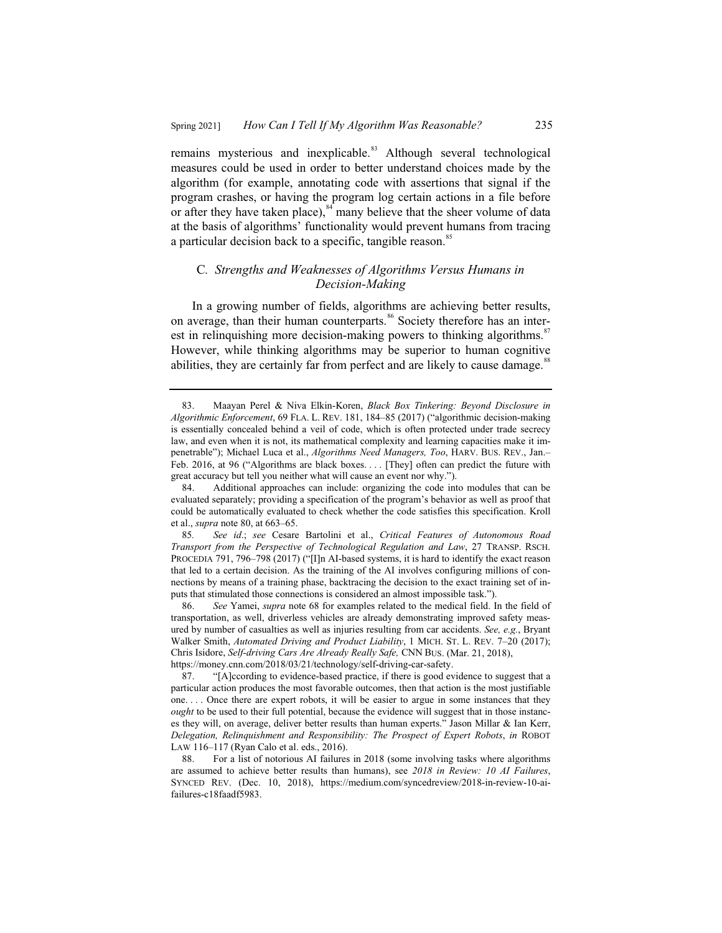remains mysterious and inexplicable.<sup>83</sup> Although several technological measures could be used in order to better understand choices made by the algorithm (for example, annotating code with assertions that signal if the program crashes, or having the program log certain actions in a file before or after they have taken place), $\frac{84}{3}$  many believe that the sheer volume of data at the basis of algorithms' functionality would prevent humans from tracing a particular decision back to a specific, tangible reason.<sup>85</sup>

#### C*. Strengths and Weaknesses of Algorithms Versus Humans in Decision-Making*

In a growing number of fields, algorithms are achieving better results, on average, than their human counterparts.<sup>86</sup> Society therefore has an interest in relinquishing more decision-making powers to thinking algorithms.<sup>87</sup> However, while thinking algorithms may be superior to human cognitive abilities, they are certainly far from perfect and are likely to cause damage.<sup>88</sup>

<sup>83.</sup> Maayan Perel & Niva Elkin-Koren, *Black Box Tinkering: Beyond Disclosure in Algorithmic Enforcement*, 69 FLA. L. REV. 181, 184–85 (2017) ("algorithmic decision-making is essentially concealed behind a veil of code, which is often protected under trade secrecy law, and even when it is not, its mathematical complexity and learning capacities make it impenetrable"); Michael Luca et al., *Algorithms Need Managers, Too*, HARV. BUS. REV., Jan.– Feb. 2016, at 96 ("Algorithms are black boxes.... [They] often can predict the future with great accuracy but tell you neither what will cause an event nor why.").

<sup>84.</sup> Additional approaches can include: organizing the code into modules that can be evaluated separately; providing a specification of the program's behavior as well as proof that could be automatically evaluated to check whether the code satisfies this specification. Kroll et al., *supra* note 80, at 663–65.

<sup>85</sup>*. See id*.; *see* Cesare Bartolini et al., *Critical Features of Autonomous Road Transport from the Perspective of Technological Regulation and Law*, 27 TRANSP. RSCH. PROCEDIA 791, 796–798 (2017) ("[I]n AI-based systems, it is hard to identify the exact reason that led to a certain decision. As the training of the AI involves configuring millions of connections by means of a training phase, backtracing the decision to the exact training set of inputs that stimulated those connections is considered an almost impossible task.").

<sup>86.</sup> *See* Yamei, *supra* note 68 for examples related to the medical field. In the field of transportation, as well, driverless vehicles are already demonstrating improved safety measured by number of casualties as well as injuries resulting from car accidents. *See, e.g.*, Bryant Walker Smith, *Automated Driving and Product Liability*,1MICH. ST. L. REV. 7–20 (2017); Chris Isidore, *Self-driving Cars Are Already Really Safe,* CNN BUS. (Mar. 21, 2018), https://money.cnn.com/2018/03/21/technology/self-driving-car-safety.

<sup>87. &</sup>quot;[A]ccording to evidence-based practice, if there is good evidence to suggest that a particular action produces the most favorable outcomes, then that action is the most justifiable one. . . . Once there are expert robots, it will be easier to argue in some instances that they *ought* to be used to their full potential, because the evidence will suggest that in those instances they will, on average, deliver better results than human experts." Jason Millar & Ian Kerr, *Delegation, Relinquishment and Responsibility: The Prospect of Expert Robots*, *in* ROBOT LAW 116–117 (Ryan Calo et al. eds., 2016).

<sup>88.</sup> For a list of notorious AI failures in 2018 (some involving tasks where algorithms are assumed to achieve better results than humans), see *2018 in Review: 10 AI Failures*, SYNCED REV. (Dec. 10, 2018), https://medium.com/syncedreview/2018-in-review-10-aifailures-c18faadf5983.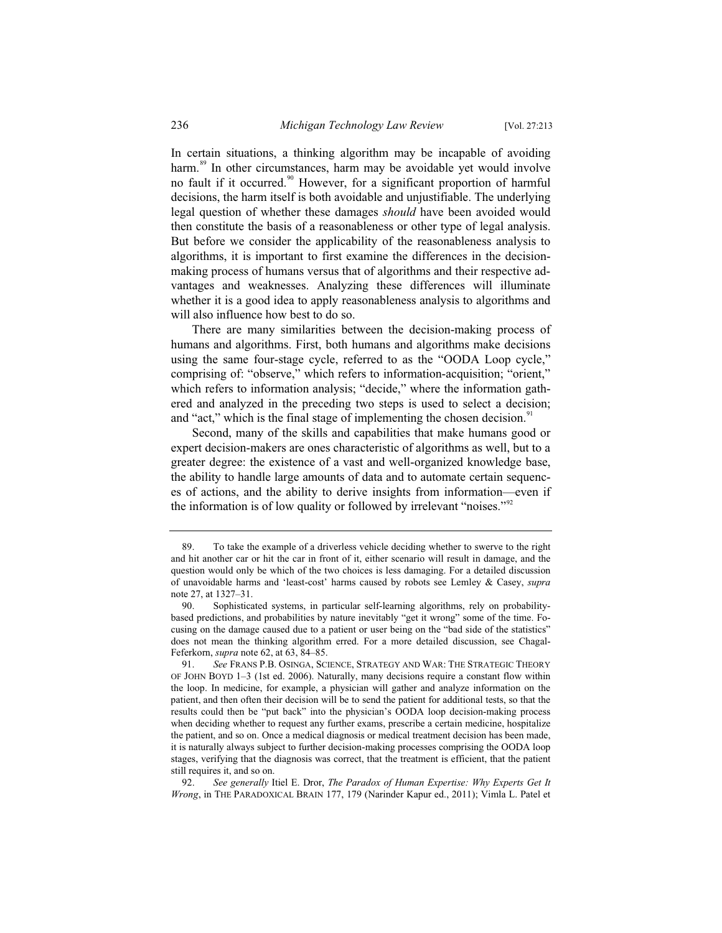In certain situations, a thinking algorithm may be incapable of avoiding harm.<sup>89</sup> In other circumstances, harm may be avoidable yet would involve no fault if it occurred.<sup>90</sup> However, for a significant proportion of harmful decisions, the harm itself is both avoidable and unjustifiable. The underlying legal question of whether these damages *should* have been avoided would then constitute the basis of a reasonableness or other type of legal analysis. But before we consider the applicability of the reasonableness analysis to algorithms, it is important to first examine the differences in the decisionmaking process of humans versus that of algorithms and their respective advantages and weaknesses. Analyzing these differences will illuminate whether it is a good idea to apply reasonableness analysis to algorithms and will also influence how best to do so.

There are many similarities between the decision-making process of humans and algorithms. First, both humans and algorithms make decisions using the same four-stage cycle, referred to as the "OODA Loop cycle," comprising of: "observe," which refers to information-acquisition; "orient," which refers to information analysis; "decide," where the information gathered and analyzed in the preceding two steps is used to select a decision; and "act," which is the final stage of implementing the chosen decision. $\frac{91}{10}$ 

Second, many of the skills and capabilities that make humans good or expert decision-makers are ones characteristic of algorithms as well, but to a greater degree: the existence of a vast and well-organized knowledge base, the ability to handle large amounts of data and to automate certain sequences of actions, and the ability to derive insights from information—even if the information is of low quality or followed by irrelevant "noises."<sup>92</sup>

92. *See generally* Itiel E. Dror, *The Paradox of Human Expertise: Why Experts Get It Wrong*, in THE PARADOXICAL BRAIN 177, 179 (Narinder Kapur ed., 2011); Vimla L. Patel et

<sup>89.</sup> To take the example of a driverless vehicle deciding whether to swerve to the right and hit another car or hit the car in front of it, either scenario will result in damage, and the question would only be which of the two choices is less damaging. For a detailed discussion of unavoidable harms and 'least-cost' harms caused by robots see Lemley & Casey, *supra*  note 27, at 1327–31.

<sup>90.</sup> Sophisticated systems, in particular self-learning algorithms, rely on probabilitybased predictions, and probabilities by nature inevitably "get it wrong" some of the time. Focusing on the damage caused due to a patient or user being on the "bad side of the statistics" does not mean the thinking algorithm erred. For a more detailed discussion, see Chagal-Feferkorn, *supra* note 62, at 63, 84–85.

<sup>91.</sup> *See* FRANS P.B. OSINGA, SCIENCE, STRATEGY AND WAR: THE STRATEGIC THEORY OF JOHN BOYD 1–3 (1st ed. 2006). Naturally, many decisions require a constant flow within the loop. In medicine, for example, a physician will gather and analyze information on the patient, and then often their decision will be to send the patient for additional tests, so that the results could then be "put back" into the physician's OODA loop decision-making process when deciding whether to request any further exams, prescribe a certain medicine, hospitalize the patient, and so on. Once a medical diagnosis or medical treatment decision has been made, it is naturally always subject to further decision-making processes comprising the OODA loop stages, verifying that the diagnosis was correct, that the treatment is efficient, that the patient still requires it, and so on.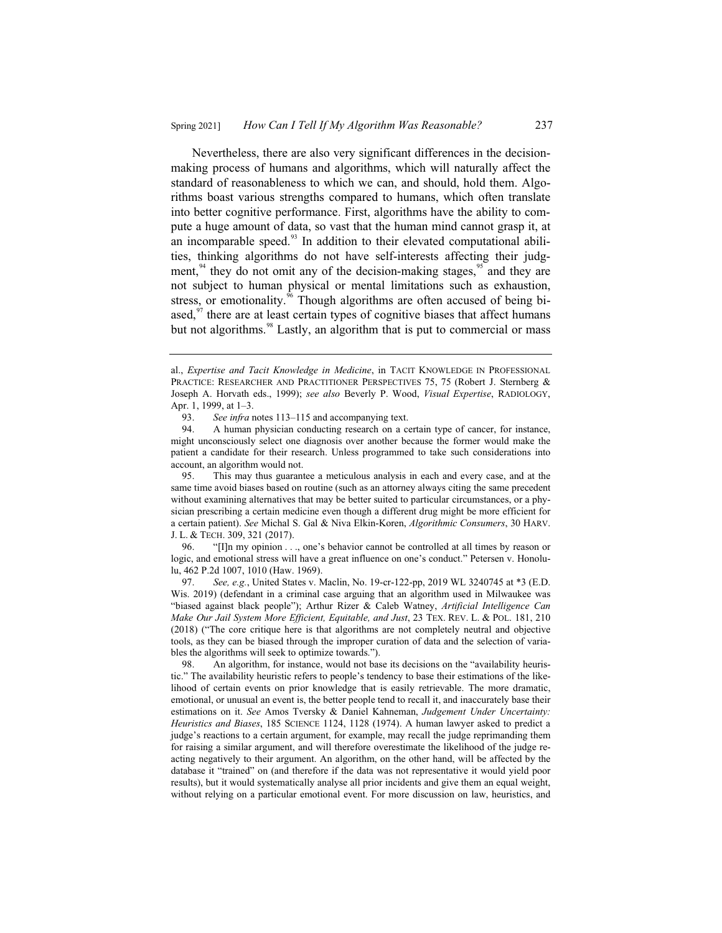Nevertheless, there are also very significant differences in the decisionmaking process of humans and algorithms, which will naturally affect the standard of reasonableness to which we can, and should, hold them. Algorithms boast various strengths compared to humans, which often translate into better cognitive performance. First, algorithms have the ability to compute a huge amount of data, so vast that the human mind cannot grasp it, at an incomparable speed. $93$  In addition to their elevated computational abilities, thinking algorithms do not have self-interests affecting their judgment, $94$  they do not omit any of the decision-making stages,  $95$  and they are not subject to human physical or mental limitations such as exhaustion, stress, or emotionality.<sup>96</sup> Though algorithms are often accused of being biased, $97$  there are at least certain types of cognitive biases that affect humans but not algorithms.<sup>98</sup> Lastly, an algorithm that is put to commercial or mass

al., *Expertise and Tacit Knowledge in Medicine*, in TACIT KNOWLEDGE IN PROFESSIONAL PRACTICE: RESEARCHER AND PRACTITIONER PERSPECTIVES 75, 75 (Robert J. Sternberg & Joseph A. Horvath eds., 1999); *see also* Beverly P. Wood, *Visual Expertise*, RADIOLOGY, Apr. 1, 1999, at 1–3.

<sup>93.</sup> *See infra* notes 113–115 and accompanying text.<br>94. A human physician conducting research on a c

A human physician conducting research on a certain type of cancer, for instance, might unconsciously select one diagnosis over another because the former would make the patient a candidate for their research. Unless programmed to take such considerations into account, an algorithm would not.

<sup>95.</sup> This may thus guarantee a meticulous analysis in each and every case, and at the same time avoid biases based on routine (such as an attorney always citing the same precedent without examining alternatives that may be better suited to particular circumstances, or a physician prescribing a certain medicine even though a different drug might be more efficient for a certain patient). *See* Michal S. Gal & Niva Elkin-Koren, *Algorithmic Consumers*, 30 HARV. J. L. & TECH. 309, 321 (2017).

<sup>96. &</sup>quot;[I]n my opinion . . ., one's behavior cannot be controlled at all times by reason or logic, and emotional stress will have a great influence on one's conduct." Petersen v. Honolulu, 462 P.2d 1007, 1010 (Haw. 1969).

<sup>97.</sup> *See, e.g.*, United States v. Maclin, No. 19-cr-122-pp, 2019 WL 3240745 at \*3 (E.D. Wis. 2019) (defendant in a criminal case arguing that an algorithm used in Milwaukee was "biased against black people"); Arthur Rizer & Caleb Watney, *Artificial Intelligence Can Make Our Jail System More Efficient, Equitable, and Just*, 23 TEX. REV. L. & POL. 181, 210 (2018) ("The core critique here is that algorithms are not completely neutral and objective tools, as they can be biased through the improper curation of data and the selection of variables the algorithms will seek to optimize towards.").

<sup>98.</sup> An algorithm, for instance, would not base its decisions on the "availability heuristic." The availability heuristic refers to people's tendency to base their estimations of the likelihood of certain events on prior knowledge that is easily retrievable. The more dramatic, emotional, or unusual an event is, the better people tend to recall it, and inaccurately base their estimations on it. *See* Amos Tversky & Daniel Kahneman, *Judgement Under Uncertainty: Heuristics and Biases*, 185 SCIENCE 1124, 1128 (1974). A human lawyer asked to predict a judge's reactions to a certain argument, for example, may recall the judge reprimanding them for raising a similar argument, and will therefore overestimate the likelihood of the judge reacting negatively to their argument. An algorithm, on the other hand, will be affected by the database it "trained" on (and therefore if the data was not representative it would yield poor results), but it would systematically analyse all prior incidents and give them an equal weight, without relying on a particular emotional event. For more discussion on law, heuristics, and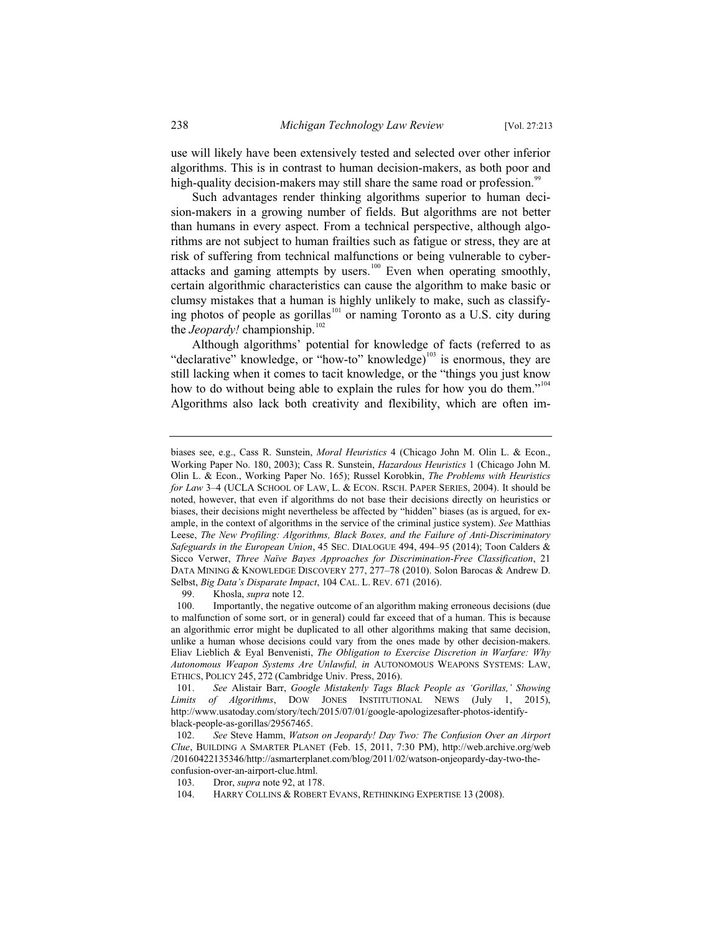use will likely have been extensively tested and selected over other inferior algorithms. This is in contrast to human decision-makers, as both poor and high-quality decision-makers may still share the same road or profession.<sup>99</sup>

Such advantages render thinking algorithms superior to human decision-makers in a growing number of fields. But algorithms are not better than humans in every aspect. From a technical perspective, although algorithms are not subject to human frailties such as fatigue or stress, they are at risk of suffering from technical malfunctions or being vulnerable to cyberattacks and gaming attempts by users.<sup>100</sup> Even when operating smoothly, certain algorithmic characteristics can cause the algorithm to make basic or clumsy mistakes that a human is highly unlikely to make, such as classifying photos of people as gorillas<sup>101</sup> or naming Toronto as a U.S. city during the *Jeopardy!* championship.<sup>102</sup>

Although algorithms' potential for knowledge of facts (referred to as "declarative" knowledge, or "how-to" knowledge) $103$  is enormous, they are still lacking when it comes to tacit knowledge, or the "things you just know how to do without being able to explain the rules for how you do them."<sup>104</sup> Algorithms also lack both creativity and flexibility, which are often im-

biases see, e.g., Cass R. Sunstein, *Moral Heuristics* 4 (Chicago John M. Olin L. & Econ., Working Paper No. 180, 2003); Cass R. Sunstein, *Hazardous Heuristics* 1 (Chicago John M. Olin L. & Econ., Working Paper No. 165); Russel Korobkin, *The Problems with Heuristics for Law* 3–4 (UCLA SCHOOL OF LAW, L. & ECON. RSCH. PAPER SERIES, 2004). It should be noted, however, that even if algorithms do not base their decisions directly on heuristics or biases, their decisions might nevertheless be affected by "hidden" biases (as is argued, for example, in the context of algorithms in the service of the criminal justice system). *See* Matthias Leese, *The New Profiling: Algorithms, Black Boxes, and the Failure of Anti-Discriminatory Safeguards in the European Union*, 45 SEC. DIALOGUE 494, 494–95 (2014); Toon Calders & Sicco Verwer, *Three Naïve Bayes Approaches for Discrimination-Free Classification*, 21 DATA MINING & KNOWLEDGE DISCOVERY 277, 277–78 (2010). Solon Barocas & Andrew D. Selbst, *Big Data's Disparate Impact*, 104 CAL. L. REV. 671 (2016).

<sup>99.</sup> Khosla, *supra* note 12.<br>100. Importantly, the negati

Importantly, the negative outcome of an algorithm making erroneous decisions (due to malfunction of some sort, or in general) could far exceed that of a human. This is because an algorithmic error might be duplicated to all other algorithms making that same decision, unlike a human whose decisions could vary from the ones made by other decision-makers. Eliav Lieblich & Eyal Benvenisti, *The Obligation to Exercise Discretion in Warfare: Why Autonomous Weapon Systems Are Unlawful, in* AUTONOMOUS WEAPONS SYSTEMS: LAW, ETHICS, POLICY 245, 272 (Cambridge Univ. Press, 2016).

<sup>101.</sup> *See* Alistair Barr, *Google Mistakenly Tags Black People as 'Gorillas,' Showing Limits of Algorithms*, DOW JONES INSTITUTIONAL NEWS (July 1, 2015), http://www.usatoday.com/story/tech/2015/07/01/google-apologizesafter-photos-identifyblack-people-as-gorillas/29567465.

<sup>102.</sup> *See* Steve Hamm, *Watson on Jeopardy! Day Two: The Confusion Over an Airport Clue*, BUILDING A SMARTER PLANET (Feb. 15, 2011, 7:30 PM), http://web.archive.org/web /20160422135346/http://asmarterplanet.com/blog/2011/02/watson-onjeopardy-day-two-theconfusion-over-an-airport-clue.html.

<sup>103.</sup> Dror, *supra* note 92, at 178.

<sup>104.</sup> HARRY COLLINS & ROBERT EVANS, RETHINKING EXPERTISE 13 (2008).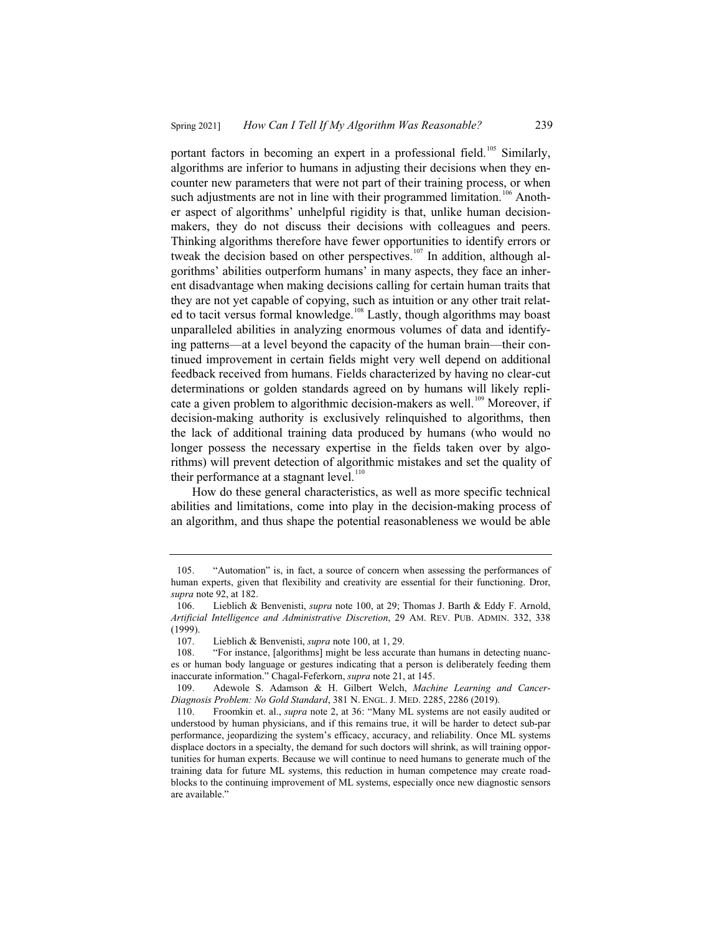portant factors in becoming an expert in a professional field.<sup>105</sup> Similarly, algorithms are inferior to humans in adjusting their decisions when they encounter new parameters that were not part of their training process, or when such adjustments are not in line with their programmed limitation.<sup>106</sup> Another aspect of algorithms' unhelpful rigidity is that, unlike human decisionmakers, they do not discuss their decisions with colleagues and peers. Thinking algorithms therefore have fewer opportunities to identify errors or tweak the decision based on other perspectives.<sup>107</sup> In addition, although algorithms' abilities outperform humans' in many aspects, they face an inherent disadvantage when making decisions calling for certain human traits that they are not yet capable of copying, such as intuition or any other trait related to tacit versus formal knowledge.<sup>108</sup> Lastly, though algorithms may boast unparalleled abilities in analyzing enormous volumes of data and identifying patterns—at a level beyond the capacity of the human brain—their continued improvement in certain fields might very well depend on additional feedback received from humans. Fields characterized by having no clear-cut determinations or golden standards agreed on by humans will likely replicate a given problem to algorithmic decision-makers as well.<sup>109</sup> Moreover, if decision-making authority is exclusively relinquished to algorithms, then the lack of additional training data produced by humans (who would no longer possess the necessary expertise in the fields taken over by algorithms) will prevent detection of algorithmic mistakes and set the quality of their performance at a stagnant level. $110$ 

How do these general characteristics, as well as more specific technical abilities and limitations, come into play in the decision-making process of an algorithm, and thus shape the potential reasonableness we would be able

<sup>105. &</sup>quot;Automation" is, in fact, a source of concern when assessing the performances of human experts, given that flexibility and creativity are essential for their functioning. Dror, *supra* note 92, at 182.

<sup>106.</sup> Lieblich & Benvenisti, *supra* note 100, at 29; Thomas J. Barth & Eddy F. Arnold, *Artificial Intelligence and Administrative Discretion*, 29 AM. REV. PUB. ADMIN. 332, 338  $(1999)$ .<br> $107$ .

Lieblich & Benvenisti, *supra* note 100, at 1, 29.

<sup>108. &</sup>quot;For instance, [algorithms] might be less accurate than humans in detecting nuances or human body language or gestures indicating that a person is deliberately feeding them inaccurate information." Chagal-Feferkorn, *supra* note 21, at 145.

<sup>109.</sup> Adewole S. Adamson & H. Gilbert Welch, *Machine Learning and Cancer-Diagnosis Problem: No Gold Standard*, 381 N. ENGL. J. MED. 2285, 2286 (2019).

<sup>110.</sup> Froomkin et. al., *supra* note 2, at 36: "Many ML systems are not easily audited or understood by human physicians, and if this remains true, it will be harder to detect sub-par performance, jeopardizing the system's efficacy, accuracy, and reliability. Once ML systems displace doctors in a specialty, the demand for such doctors will shrink, as will training opportunities for human experts. Because we will continue to need humans to generate much of the training data for future ML systems, this reduction in human competence may create roadblocks to the continuing improvement of ML systems, especially once new diagnostic sensors are available."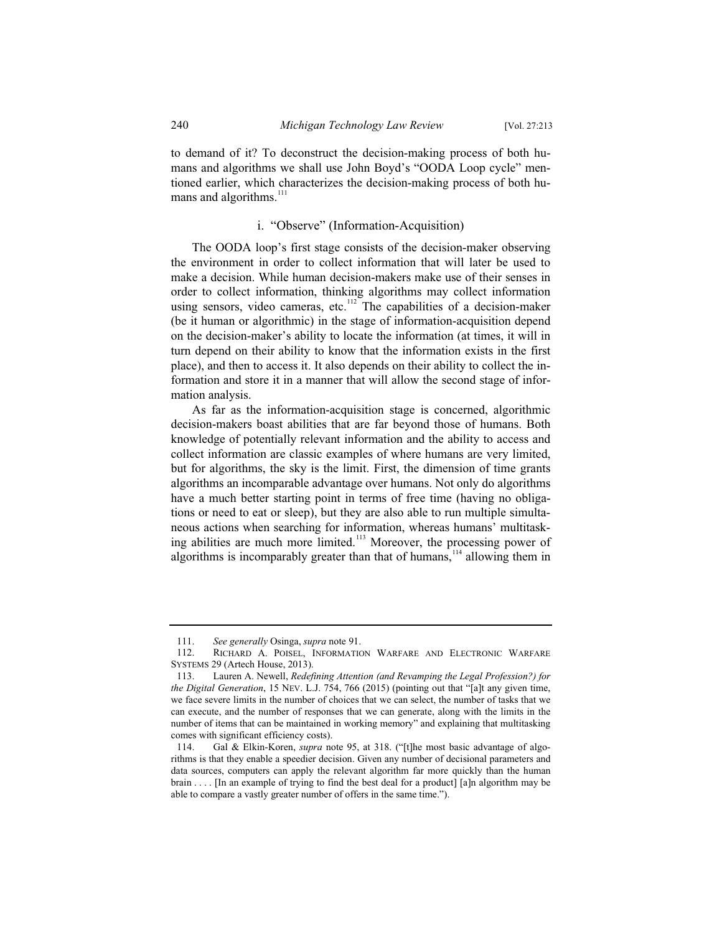to demand of it? To deconstruct the decision-making process of both humans and algorithms we shall use John Boyd's "OODA Loop cycle" mentioned earlier, which characterizes the decision-making process of both humans and algorithms.<sup>111</sup>

#### i. "Observe" (Information-Acquisition)

The OODA loop's first stage consists of the decision-maker observing the environment in order to collect information that will later be used to make a decision. While human decision-makers make use of their senses in order to collect information, thinking algorithms may collect information using sensors, video cameras, etc. $112$  The capabilities of a decision-maker (be it human or algorithmic) in the stage of information-acquisition depend on the decision-maker's ability to locate the information (at times, it will in turn depend on their ability to know that the information exists in the first place), and then to access it. It also depends on their ability to collect the information and store it in a manner that will allow the second stage of information analysis.

As far as the information-acquisition stage is concerned, algorithmic decision-makers boast abilities that are far beyond those of humans. Both knowledge of potentially relevant information and the ability to access and collect information are classic examples of where humans are very limited, but for algorithms, the sky is the limit. First, the dimension of time grants algorithms an incomparable advantage over humans. Not only do algorithms have a much better starting point in terms of free time (having no obligations or need to eat or sleep), but they are also able to run multiple simultaneous actions when searching for information, whereas humans' multitasking abilities are much more limited.<sup>113</sup> Moreover, the processing power of algorithms is incomparably greater than that of humans,<sup>114</sup> allowing them in

<sup>111.</sup> *See generally* Osinga, *supra* note 91.

<sup>112.</sup> RICHARD A. POISEL, INFORMATION WARFARE AND ELECTRONIC WARFARE SYSTEMS 29 (Artech House, 2013).

<sup>113.</sup> Lauren A. Newell, *Redefining Attention (and Revamping the Legal Profession?) for the Digital Generation*, 15 NEV. L.J. 754, 766 (2015) (pointing out that "[a]t any given time, we face severe limits in the number of choices that we can select, the number of tasks that we can execute, and the number of responses that we can generate, along with the limits in the number of items that can be maintained in working memory" and explaining that multitasking comes with significant efficiency costs).

<sup>114.</sup> Gal & Elkin-Koren, *supra* note 95, at 318. ("[t]he most basic advantage of algorithms is that they enable a speedier decision. Given any number of decisional parameters and data sources, computers can apply the relevant algorithm far more quickly than the human brain  $\dots$  [In an example of trying to find the best deal for a product] [a]n algorithm may be able to compare a vastly greater number of offers in the same time.").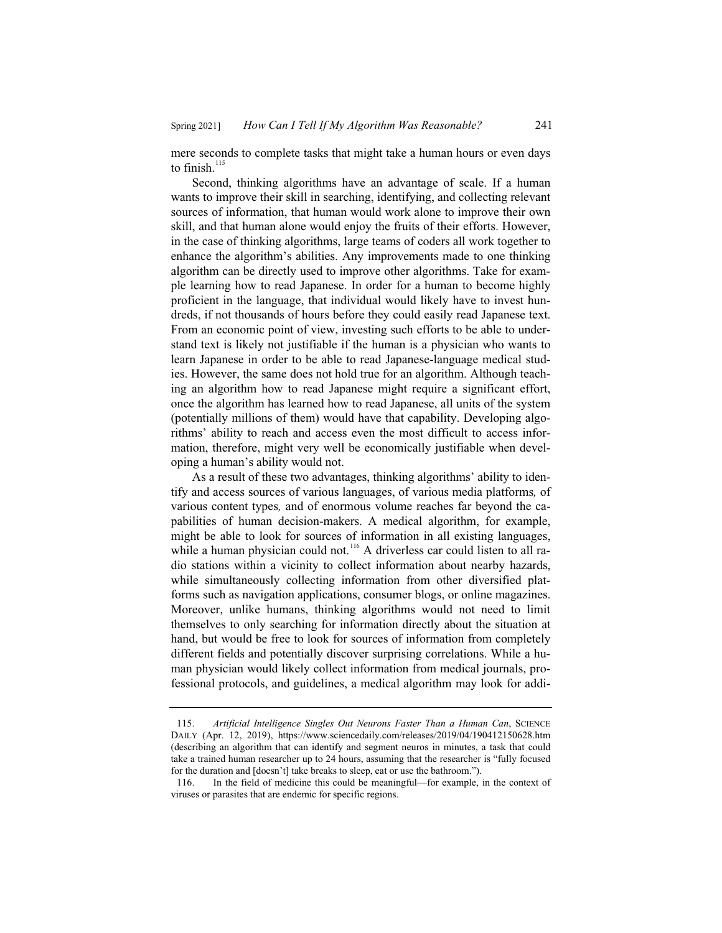mere seconds to complete tasks that might take a human hours or even days to finish. $115$ 

Second, thinking algorithms have an advantage of scale. If a human wants to improve their skill in searching, identifying, and collecting relevant sources of information, that human would work alone to improve their own skill, and that human alone would enjoy the fruits of their efforts. However, in the case of thinking algorithms, large teams of coders all work together to enhance the algorithm's abilities. Any improvements made to one thinking algorithm can be directly used to improve other algorithms. Take for example learning how to read Japanese. In order for a human to become highly proficient in the language, that individual would likely have to invest hundreds, if not thousands of hours before they could easily read Japanese text. From an economic point of view, investing such efforts to be able to understand text is likely not justifiable if the human is a physician who wants to learn Japanese in order to be able to read Japanese-language medical studies. However, the same does not hold true for an algorithm. Although teaching an algorithm how to read Japanese might require a significant effort, once the algorithm has learned how to read Japanese, all units of the system (potentially millions of them) would have that capability. Developing algorithms' ability to reach and access even the most difficult to access information, therefore, might very well be economically justifiable when developing a human's ability would not.

As a result of these two advantages, thinking algorithms' ability to identify and access sources of various languages, of various media platforms*,* of various content types*,* and of enormous volume reaches far beyond the capabilities of human decision-makers. A medical algorithm, for example, might be able to look for sources of information in all existing languages, while a human physician could not.<sup>116</sup> A driverless car could listen to all radio stations within a vicinity to collect information about nearby hazards, while simultaneously collecting information from other diversified platforms such as navigation applications, consumer blogs, or online magazines. Moreover, unlike humans, thinking algorithms would not need to limit themselves to only searching for information directly about the situation at hand, but would be free to look for sources of information from completely different fields and potentially discover surprising correlations. While a human physician would likely collect information from medical journals, professional protocols, and guidelines, a medical algorithm may look for addi-

<sup>115.</sup> *Artificial Intelligence Singles Out Neurons Faster Than a Human Can*, SCIENCE DAILY (Apr. 12, 2019), https://www.sciencedaily.com/releases/2019/04/190412150628.htm (describing an algorithm that can identify and segment neuros in minutes, a task that could take a trained human researcher up to 24 hours, assuming that the researcher is "fully focused for the duration and [doesn't] take breaks to sleep, eat or use the bathroom.").

<sup>116.</sup> In the field of medicine this could be meaningful—for example, in the context of viruses or parasites that are endemic for specific regions.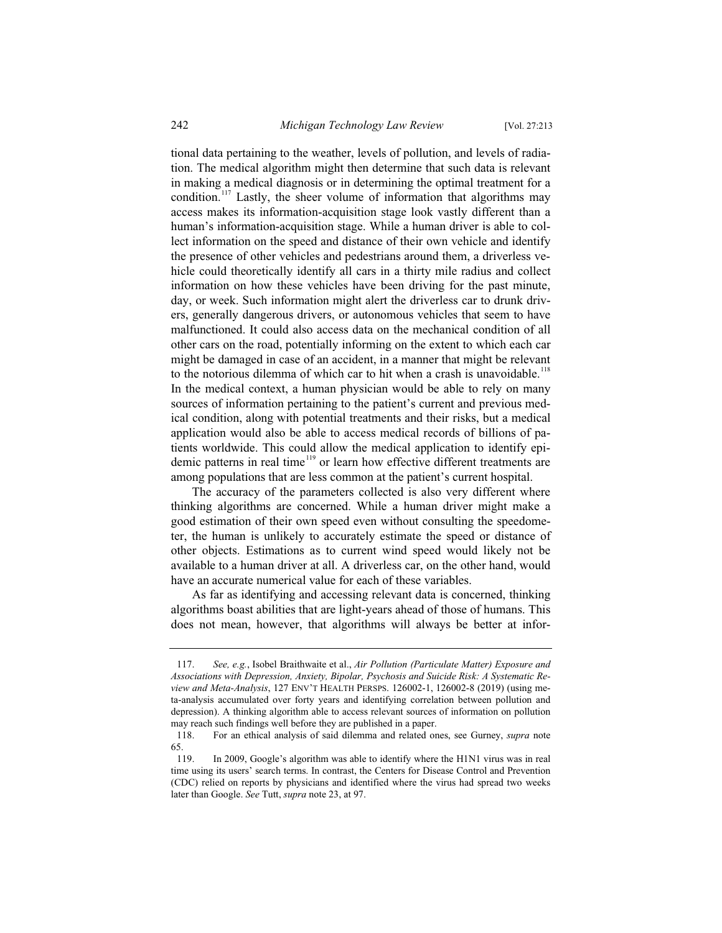tional data pertaining to the weather, levels of pollution, and levels of radiation. The medical algorithm might then determine that such data is relevant in making a medical diagnosis or in determining the optimal treatment for a condition.<sup>117</sup> Lastly, the sheer volume of information that algorithms may access makes its information-acquisition stage look vastly different than a human's information-acquisition stage. While a human driver is able to collect information on the speed and distance of their own vehicle and identify the presence of other vehicles and pedestrians around them, a driverless vehicle could theoretically identify all cars in a thirty mile radius and collect information on how these vehicles have been driving for the past minute, day, or week. Such information might alert the driverless car to drunk drivers, generally dangerous drivers, or autonomous vehicles that seem to have malfunctioned. It could also access data on the mechanical condition of all other cars on the road, potentially informing on the extent to which each car might be damaged in case of an accident, in a manner that might be relevant to the notorious dilemma of which car to hit when a crash is unavoidable.<sup>118</sup> In the medical context, a human physician would be able to rely on many sources of information pertaining to the patient's current and previous medical condition, along with potential treatments and their risks, but a medical application would also be able to access medical records of billions of patients worldwide. This could allow the medical application to identify epidemic patterns in real time <sup>119</sup> or learn how effective different treatments are among populations that are less common at the patient's current hospital.

The accuracy of the parameters collected is also very different where thinking algorithms are concerned. While a human driver might make a good estimation of their own speed even without consulting the speedometer, the human is unlikely to accurately estimate the speed or distance of other objects. Estimations as to current wind speed would likely not be available to a human driver at all. A driverless car, on the other hand, would have an accurate numerical value for each of these variables.

As far as identifying and accessing relevant data is concerned, thinking algorithms boast abilities that are light-years ahead of those of humans. This does not mean, however, that algorithms will always be better at infor-

<sup>117.</sup> *See, e.g.*, Isobel Braithwaite et al., *Air Pollution (Particulate Matter) Exposure and Associations with Depression, Anxiety, Bipolar, Psychosis and Suicide Risk: A Systematic Review and Meta-Analysis*, 127 ENV'T HEALTH PERSPS. 126002-1, 126002-8 (2019) (using meta-analysis accumulated over forty years and identifying correlation between pollution and depression). A thinking algorithm able to access relevant sources of information on pollution may reach such findings well before they are published in a paper.

<sup>118.</sup> For an ethical analysis of said dilemma and related ones, see Gurney, *supra* note 65.

<sup>119.</sup> In 2009, Google's algorithm was able to identify where the H1N1 virus was in real time using its users' search terms. In contrast, the Centers for Disease Control and Prevention (CDC) relied on reports by physicians and identified where the virus had spread two weeks later than Google. *See* Tutt, *supra* note 23, at 97.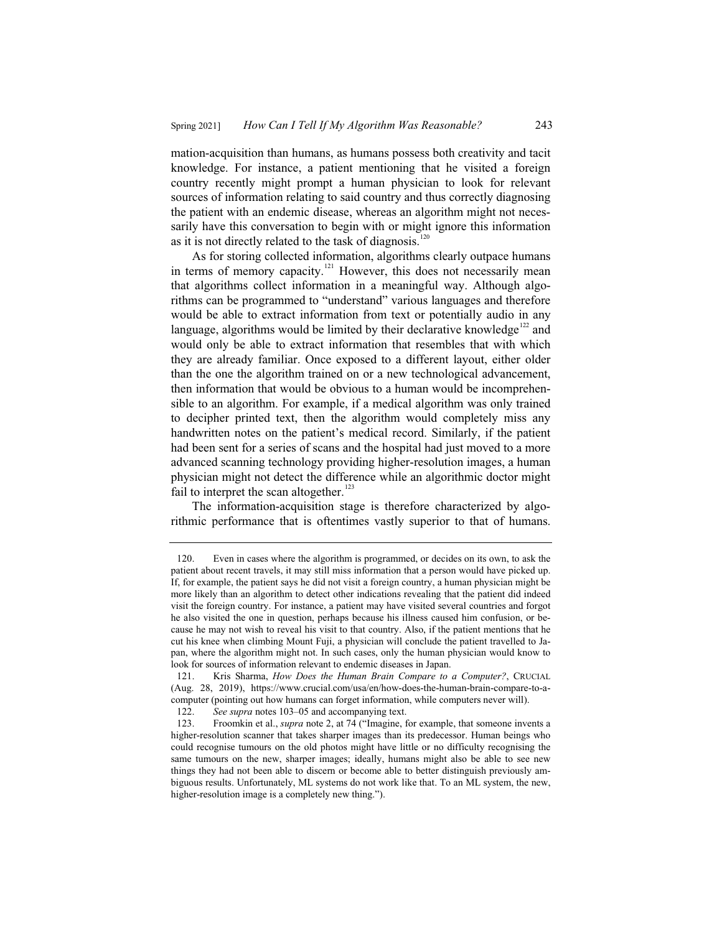mation-acquisition than humans, as humans possess both creativity and tacit knowledge. For instance, a patient mentioning that he visited a foreign country recently might prompt a human physician to look for relevant sources of information relating to said country and thus correctly diagnosing the patient with an endemic disease, whereas an algorithm might not necessarily have this conversation to begin with or might ignore this information as it is not directly related to the task of diagnosis.<sup>120</sup>

As for storing collected information, algorithms clearly outpace humans in terms of memory capacity.<sup>121</sup> However, this does not necessarily mean that algorithms collect information in a meaningful way. Although algorithms can be programmed to "understand" various languages and therefore would be able to extract information from text or potentially audio in any language, algorithms would be limited by their declarative knowledge<sup>122</sup> and would only be able to extract information that resembles that with which they are already familiar. Once exposed to a different layout, either older than the one the algorithm trained on or a new technological advancement, then information that would be obvious to a human would be incomprehensible to an algorithm. For example, if a medical algorithm was only trained to decipher printed text, then the algorithm would completely miss any handwritten notes on the patient's medical record. Similarly, if the patient had been sent for a series of scans and the hospital had just moved to a more advanced scanning technology providing higher-resolution images, a human physician might not detect the difference while an algorithmic doctor might fail to interpret the scan altogether. $123$ 

The information-acquisition stage is therefore characterized by algorithmic performance that is oftentimes vastly superior to that of humans.

<sup>120.</sup> Even in cases where the algorithm is programmed, or decides on its own, to ask the patient about recent travels, it may still miss information that a person would have picked up. If, for example, the patient says he did not visit a foreign country, a human physician might be more likely than an algorithm to detect other indications revealing that the patient did indeed visit the foreign country. For instance, a patient may have visited several countries and forgot he also visited the one in question, perhaps because his illness caused him confusion, or because he may not wish to reveal his visit to that country. Also, if the patient mentions that he cut his knee when climbing Mount Fuji, a physician will conclude the patient travelled to Japan, where the algorithm might not. In such cases, only the human physician would know to look for sources of information relevant to endemic diseases in Japan.

<sup>121.</sup> Kris Sharma, *How Does the Human Brain Compare to a Computer?*, CRUCIAL (Aug. 28, 2019), https://www.crucial.com/usa/en/how-does-the-human-brain-compare-to-acomputer (pointing out how humans can forget information, while computers never will).<br>122. See supra notes 103–05 and accompanying text.

See supra notes 103–05 and accompanying text.

<sup>123.</sup> Froomkin et al., *supra* note 2, at 74 ("Imagine, for example, that someone invents a higher-resolution scanner that takes sharper images than its predecessor. Human beings who could recognise tumours on the old photos might have little or no difficulty recognising the same tumours on the new, sharper images; ideally, humans might also be able to see new things they had not been able to discern or become able to better distinguish previously ambiguous results. Unfortunately, ML systems do not work like that. To an ML system, the new, higher-resolution image is a completely new thing.").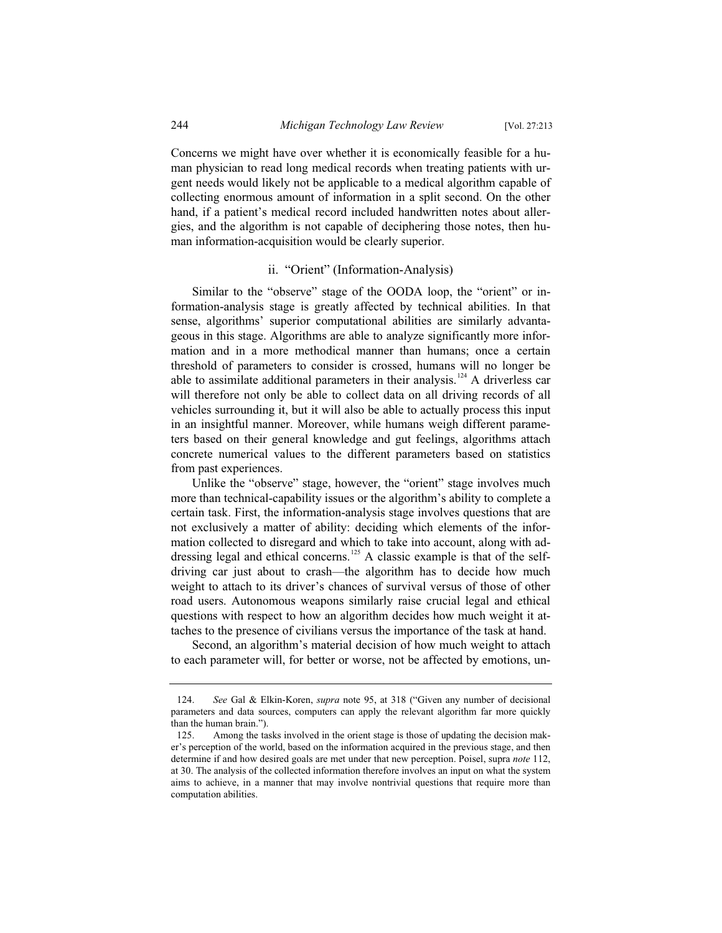Concerns we might have over whether it is economically feasible for a human physician to read long medical records when treating patients with urgent needs would likely not be applicable to a medical algorithm capable of collecting enormous amount of information in a split second. On the other hand, if a patient's medical record included handwritten notes about allergies, and the algorithm is not capable of deciphering those notes, then human information-acquisition would be clearly superior.

#### ii. "Orient" (Information-Analysis)

Similar to the "observe" stage of the OODA loop, the "orient" or information-analysis stage is greatly affected by technical abilities. In that sense, algorithms' superior computational abilities are similarly advantageous in this stage. Algorithms are able to analyze significantly more information and in a more methodical manner than humans; once a certain threshold of parameters to consider is crossed, humans will no longer be able to assimilate additional parameters in their analysis.<sup>124</sup> A driverless car will therefore not only be able to collect data on all driving records of all vehicles surrounding it, but it will also be able to actually process this input in an insightful manner. Moreover, while humans weigh different parameters based on their general knowledge and gut feelings, algorithms attach concrete numerical values to the different parameters based on statistics from past experiences.

Unlike the "observe" stage, however, the "orient" stage involves much more than technical-capability issues or the algorithm's ability to complete a certain task. First, the information-analysis stage involves questions that are not exclusively a matter of ability: deciding which elements of the information collected to disregard and which to take into account, along with addressing legal and ethical concerns.<sup>125</sup> A classic example is that of the selfdriving car just about to crash—the algorithm has to decide how much weight to attach to its driver's chances of survival versus of those of other road users. Autonomous weapons similarly raise crucial legal and ethical questions with respect to how an algorithm decides how much weight it attaches to the presence of civilians versus the importance of the task at hand.

Second, an algorithm's material decision of how much weight to attach to each parameter will, for better or worse, not be affected by emotions, un-

<sup>124.</sup> *See* Gal & Elkin-Koren, *supra* note 95, at 318 ("Given any number of decisional parameters and data sources, computers can apply the relevant algorithm far more quickly than the human brain.").

<sup>125.</sup> Among the tasks involved in the orient stage is those of updating the decision maker's perception of the world, based on the information acquired in the previous stage, and then determine if and how desired goals are met under that new perception. Poisel, supra *note* 112, at 30. The analysis of the collected information therefore involves an input on what the system aims to achieve, in a manner that may involve nontrivial questions that require more than computation abilities.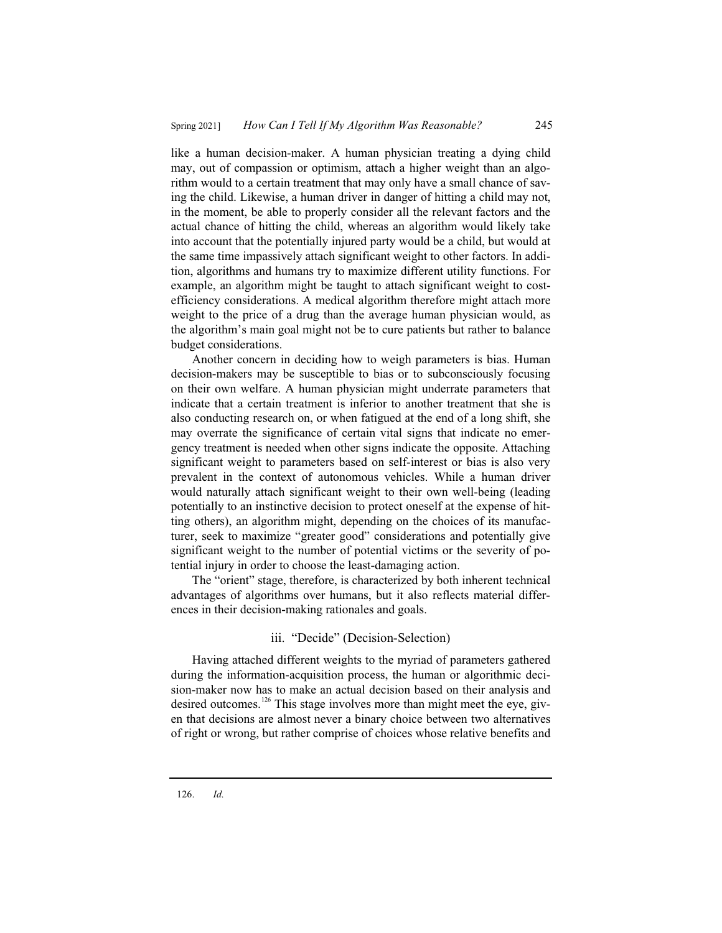like a human decision-maker. A human physician treating a dying child may, out of compassion or optimism, attach a higher weight than an algorithm would to a certain treatment that may only have a small chance of saving the child. Likewise, a human driver in danger of hitting a child may not, in the moment, be able to properly consider all the relevant factors and the actual chance of hitting the child, whereas an algorithm would likely take into account that the potentially injured party would be a child, but would at the same time impassively attach significant weight to other factors. In addition, algorithms and humans try to maximize different utility functions. For example, an algorithm might be taught to attach significant weight to costefficiency considerations. A medical algorithm therefore might attach more weight to the price of a drug than the average human physician would, as the algorithm's main goal might not be to cure patients but rather to balance budget considerations.

Another concern in deciding how to weigh parameters is bias. Human decision-makers may be susceptible to bias or to subconsciously focusing on their own welfare. A human physician might underrate parameters that indicate that a certain treatment is inferior to another treatment that she is also conducting research on, or when fatigued at the end of a long shift, she may overrate the significance of certain vital signs that indicate no emergency treatment is needed when other signs indicate the opposite. Attaching significant weight to parameters based on self-interest or bias is also very prevalent in the context of autonomous vehicles. While a human driver would naturally attach significant weight to their own well-being (leading potentially to an instinctive decision to protect oneself at the expense of hitting others), an algorithm might, depending on the choices of its manufacturer, seek to maximize "greater good" considerations and potentially give significant weight to the number of potential victims or the severity of potential injury in order to choose the least-damaging action.

The "orient" stage, therefore, is characterized by both inherent technical advantages of algorithms over humans, but it also reflects material differences in their decision-making rationales and goals.

### iii. "Decide" (Decision-Selection)

Having attached different weights to the myriad of parameters gathered during the information-acquisition process, the human or algorithmic decision-maker now has to make an actual decision based on their analysis and desired outcomes.<sup>126</sup> This stage involves more than might meet the eye, given that decisions are almost never a binary choice between two alternatives of right or wrong, but rather comprise of choices whose relative benefits and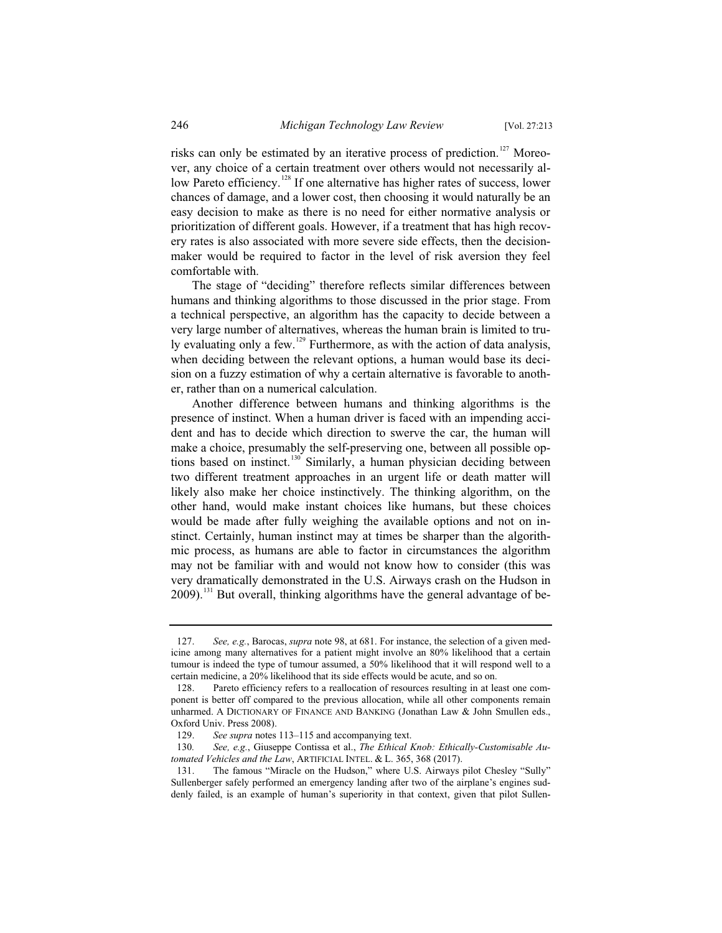risks can only be estimated by an iterative process of prediction.<sup>127</sup> Moreover, any choice of a certain treatment over others would not necessarily allow Pareto efficiency.<sup>128</sup> If one alternative has higher rates of success, lower chances of damage, and a lower cost, then choosing it would naturally be an easy decision to make as there is no need for either normative analysis or prioritization of different goals. However, if a treatment that has high recovery rates is also associated with more severe side effects, then the decisionmaker would be required to factor in the level of risk aversion they feel comfortable with.

The stage of "deciding" therefore reflects similar differences between humans and thinking algorithms to those discussed in the prior stage. From a technical perspective, an algorithm has the capacity to decide between a very large number of alternatives, whereas the human brain is limited to truly evaluating only a few.<sup>129</sup> Furthermore, as with the action of data analysis, when deciding between the relevant options, a human would base its decision on a fuzzy estimation of why a certain alternative is favorable to another, rather than on a numerical calculation.

Another difference between humans and thinking algorithms is the presence of instinct. When a human driver is faced with an impending accident and has to decide which direction to swerve the car, the human will make a choice, presumably the self-preserving one, between all possible options based on instinct.<sup>130</sup> Similarly, a human physician deciding between two different treatment approaches in an urgent life or death matter will likely also make her choice instinctively. The thinking algorithm, on the other hand, would make instant choices like humans, but these choices would be made after fully weighing the available options and not on instinct. Certainly, human instinct may at times be sharper than the algorithmic process, as humans are able to factor in circumstances the algorithm may not be familiar with and would not know how to consider (this was very dramatically demonstrated in the U.S. Airways crash on the Hudson in  $2009$ ).<sup>131</sup> But overall, thinking algorithms have the general advantage of be-

<sup>127.</sup> *See, e.g.*, Barocas, *supra* note 98, at 681. For instance, the selection of a given medicine among many alternatives for a patient might involve an 80% likelihood that a certain tumour is indeed the type of tumour assumed, a 50% likelihood that it will respond well to a certain medicine, a 20% likelihood that its side effects would be acute, and so on.

<sup>128.</sup> Pareto efficiency refers to a reallocation of resources resulting in at least one component is better off compared to the previous allocation, while all other components remain unharmed. A DICTIONARY OF FINANCE AND BANKING (Jonathan Law & John Smullen eds., Oxford Univ. Press 2008).

<sup>129.</sup> *See supra* notes 113–115 and accompanying text.<br>130. *See, e.g.*, Giuseppe Contissa et al., *The Ethical I* 

See, e.g., Giuseppe Contissa et al., *The Ethical Knob: Ethically-Customisable Automated Vehicles and the Law*, ARTIFICIAL INTEL. & L. 365, 368 (2017).

<sup>131.</sup> The famous "Miracle on the Hudson," where U.S. Airways pilot Chesley "Sully" Sullenberger safely performed an emergency landing after two of the airplane's engines suddenly failed, is an example of human's superiority in that context, given that pilot Sullen-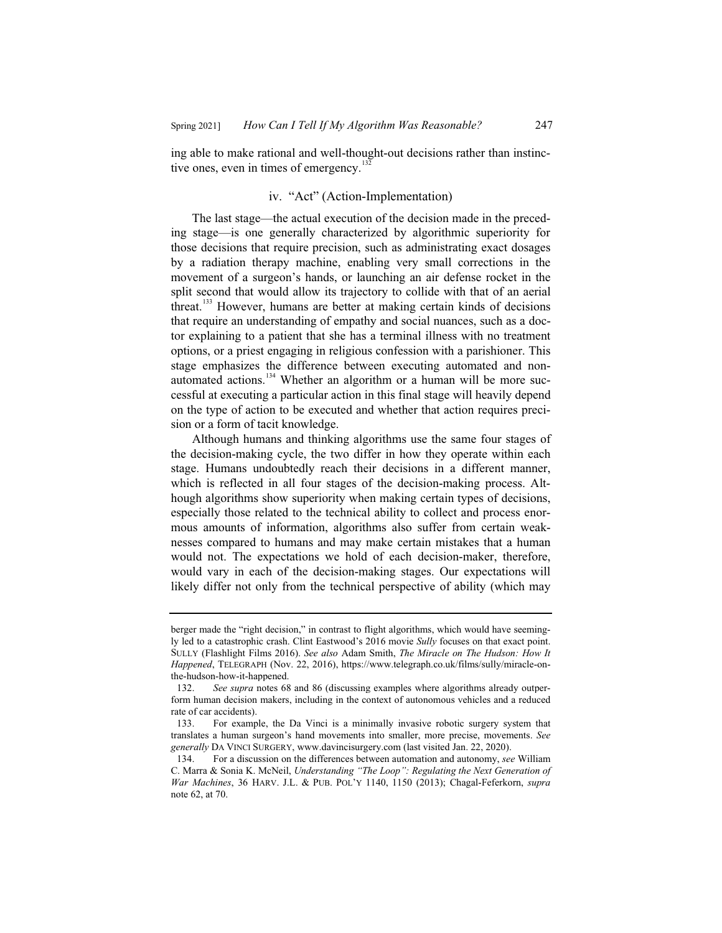ing able to make rational and well-thought-out decisions rather than instinctive ones, even in times of emergency. $132$ 

# iv. "Act" (Action-Implementation)

The last stage—the actual execution of the decision made in the preceding stage—is one generally characterized by algorithmic superiority for those decisions that require precision, such as administrating exact dosages by a radiation therapy machine, enabling very small corrections in the movement of a surgeon's hands, or launching an air defense rocket in the split second that would allow its trajectory to collide with that of an aerial threat.<sup>133</sup> However, humans are better at making certain kinds of decisions that require an understanding of empathy and social nuances, such as a doctor explaining to a patient that she has a terminal illness with no treatment options, or a priest engaging in religious confession with a parishioner. This stage emphasizes the difference between executing automated and nonautomated actions.<sup>134</sup> Whether an algorithm or a human will be more successful at executing a particular action in this final stage will heavily depend on the type of action to be executed and whether that action requires precision or a form of tacit knowledge.

Although humans and thinking algorithms use the same four stages of the decision-making cycle, the two differ in how they operate within each stage. Humans undoubtedly reach their decisions in a different manner, which is reflected in all four stages of the decision-making process. Although algorithms show superiority when making certain types of decisions, especially those related to the technical ability to collect and process enormous amounts of information, algorithms also suffer from certain weaknesses compared to humans and may make certain mistakes that a human would not. The expectations we hold of each decision-maker, therefore, would vary in each of the decision-making stages. Our expectations will likely differ not only from the technical perspective of ability (which may

berger made the "right decision," in contrast to flight algorithms, which would have seemingly led to a catastrophic crash. Clint Eastwood's 2016 movie *Sully* focuses on that exact point. SULLY (Flashlight Films 2016). *See also* Adam Smith, *The Miracle on The Hudson: How It Happened*, TELEGRAPH (Nov. 22, 2016), https://www.telegraph.co.uk/films/sully/miracle-onthe-hudson-how-it-happened.

<sup>132.</sup> *See supra* notes 68 and 86 (discussing examples where algorithms already outperform human decision makers, including in the context of autonomous vehicles and a reduced rate of car accidents).

<sup>133.</sup> For example, the Da Vinci is a minimally invasive robotic surgery system that translates a human surgeon's hand movements into smaller, more precise, movements. *See generally* DA VINCI SURGERY, www.davincisurgery.com (last visited Jan. 22, 2020).

<sup>134.</sup> For a discussion on the differences between automation and autonomy, *see* William C. Marra & Sonia K. McNeil, *Understanding "The Loop": Regulating the Next Generation of War Machines*, 36 HARV. J.L. & PUB. POL'Y 1140, 1150 (2013); Chagal-Feferkorn, *supra*  note 62, at 70.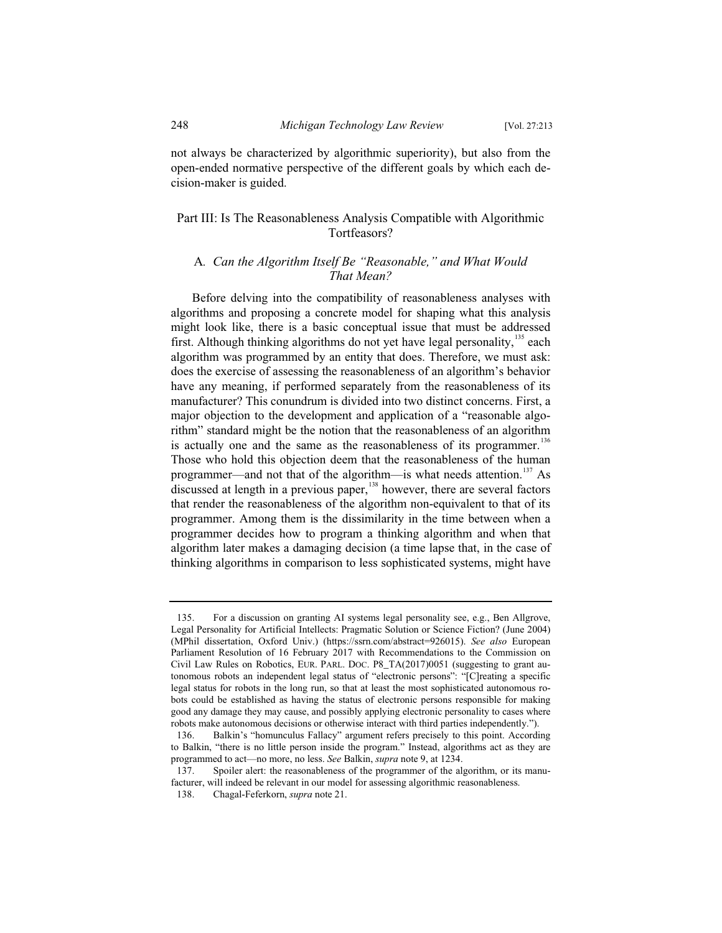not always be characterized by algorithmic superiority), but also from the open-ended normative perspective of the different goals by which each decision-maker is guided.

# Part III: Is The Reasonableness Analysis Compatible with Algorithmic Tortfeasors?

# A*. Can the Algorithm Itself Be "Reasonable," and What Would That Mean?*

Before delving into the compatibility of reasonableness analyses with algorithms and proposing a concrete model for shaping what this analysis might look like, there is a basic conceptual issue that must be addressed first. Although thinking algorithms do not yet have legal personality, $135$  each algorithm was programmed by an entity that does. Therefore, we must ask: does the exercise of assessing the reasonableness of an algorithm's behavior have any meaning, if performed separately from the reasonableness of its manufacturer? This conundrum is divided into two distinct concerns. First, a major objection to the development and application of a "reasonable algorithm" standard might be the notion that the reasonableness of an algorithm is actually one and the same as the reasonableness of its programmer.<sup>136</sup> Those who hold this objection deem that the reasonableness of the human programmer—and not that of the algorithm—is what needs attention.<sup>137</sup> As discussed at length in a previous paper, $138$  however, there are several factors that render the reasonableness of the algorithm non-equivalent to that of its programmer. Among them is the dissimilarity in the time between when a programmer decides how to program a thinking algorithm and when that algorithm later makes a damaging decision (a time lapse that, in the case of thinking algorithms in comparison to less sophisticated systems, might have

<sup>135.</sup> For a discussion on granting AI systems legal personality see, e.g., Ben Allgrove, Legal Personality for Artificial Intellects: Pragmatic Solution or Science Fiction? (June 2004) (MPhil dissertation, Oxford Univ.) (https://ssrn.com/abstract=926015). *See also* European Parliament Resolution of 16 February 2017 with Recommendations to the Commission on Civil Law Rules on Robotics, EUR. PARL. DOC. P8\_TA(2017)0051 (suggesting to grant autonomous robots an independent legal status of "electronic persons": "[C]reating a specific legal status for robots in the long run, so that at least the most sophisticated autonomous robots could be established as having the status of electronic persons responsible for making good any damage they may cause, and possibly applying electronic personality to cases where robots make autonomous decisions or otherwise interact with third parties independently.").

<sup>136.</sup> Balkin's "homunculus Fallacy" argument refers precisely to this point. According to Balkin, "there is no little person inside the program." Instead, algorithms act as they are programmed to act—no more, no less. *See* Balkin, *supra* note 9, at 1234.

<sup>137.</sup> Spoiler alert: the reasonableness of the programmer of the algorithm, or its manufacturer, will indeed be relevant in our model for assessing algorithmic reasonableness.

<sup>138.</sup> Chagal-Feferkorn, *supra* note 21.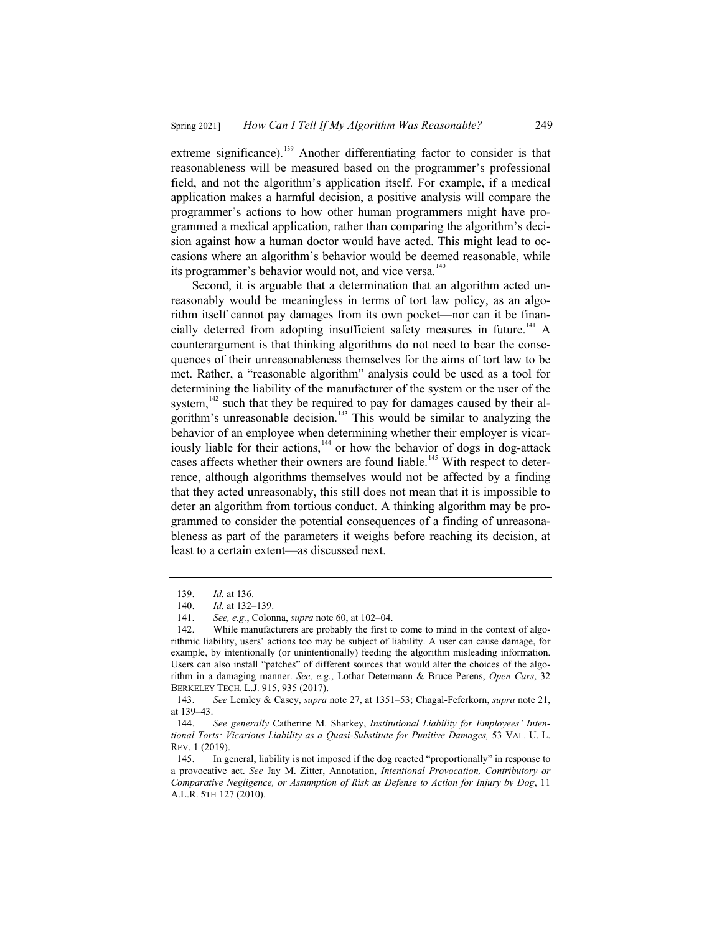extreme significance).<sup>139</sup> Another differentiating factor to consider is that reasonableness will be measured based on the programmer's professional field, and not the algorithm's application itself. For example, if a medical application makes a harmful decision, a positive analysis will compare the programmer's actions to how other human programmers might have programmed a medical application, rather than comparing the algorithm's decision against how a human doctor would have acted. This might lead to occasions where an algorithm's behavior would be deemed reasonable, while its programmer's behavior would not, and vice versa.<sup>140</sup>

Second, it is arguable that a determination that an algorithm acted unreasonably would be meaningless in terms of tort law policy, as an algorithm itself cannot pay damages from its own pocket—nor can it be financially deterred from adopting insufficient safety measures in future.<sup>141</sup> A counterargument is that thinking algorithms do not need to bear the consequences of their unreasonableness themselves for the aims of tort law to be met. Rather, a "reasonable algorithm" analysis could be used as a tool for determining the liability of the manufacturer of the system or the user of the system, $142$  such that they be required to pay for damages caused by their algorithm's unreasonable decision.<sup>143</sup> This would be similar to analyzing the behavior of an employee when determining whether their employer is vicariously liable for their actions,<sup>144</sup> or how the behavior of dogs in dog-attack cases affects whether their owners are found liable.<sup>145</sup> With respect to deterrence, although algorithms themselves would not be affected by a finding that they acted unreasonably, this still does not mean that it is impossible to deter an algorithm from tortious conduct. A thinking algorithm may be programmed to consider the potential consequences of a finding of unreasonableness as part of the parameters it weighs before reaching its decision, at least to a certain extent—as discussed next.

<sup>139.</sup> *Id.* at 136.

<sup>140.</sup> *Id.* at 132–139.

<sup>141.</sup> *See, e.g.*, Colonna, *supra* note 60, at 102–04.

<sup>142.</sup> While manufacturers are probably the first to come to mind in the context of algorithmic liability, users' actions too may be subject of liability. A user can cause damage, for example, by intentionally (or unintentionally) feeding the algorithm misleading information. Users can also install "patches" of different sources that would alter the choices of the algorithm in a damaging manner. *See, e.g.*, Lothar Determann & Bruce Perens, *Open Cars*, 32 BERKELEY TECH. L.J. 915, 935 (2017).

<sup>143.</sup> *See* Lemley & Casey, *supra* note 27, at 1351–53; Chagal-Feferkorn, *supra* note 21, at 139–43.

<sup>144.</sup> *See generally* Catherine M. Sharkey, *Institutional Liability for Employees' Intentional Torts: Vicarious Liability as a Quasi-Substitute for Punitive Damages,* 53 VAL. U. L. REV. 1 (2019).

<sup>145.</sup> In general, liability is not imposed if the dog reacted "proportionally" in response to a provocative act. *See* Jay M. Zitter, Annotation, *Intentional Provocation, Contributory or Comparative Negligence, or Assumption of Risk as Defense to Action for Injury by Dog*, 11 A.L.R. 5TH 127 (2010).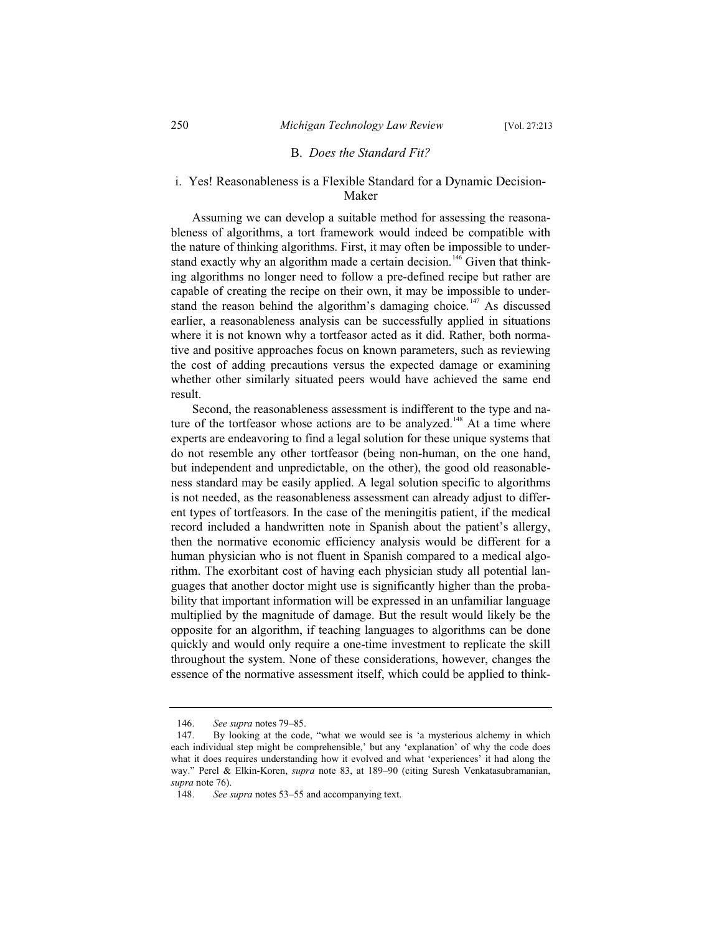# B. *Does the Standard Fit?*

# i. Yes! Reasonableness is a Flexible Standard for a Dynamic Decision-Maker

Assuming we can develop a suitable method for assessing the reasonableness of algorithms, a tort framework would indeed be compatible with the nature of thinking algorithms. First, it may often be impossible to understand exactly why an algorithm made a certain decision.<sup>146</sup> Given that thinking algorithms no longer need to follow a pre-defined recipe but rather are capable of creating the recipe on their own, it may be impossible to understand the reason behind the algorithm's damaging choice.<sup>147</sup> As discussed earlier, a reasonableness analysis can be successfully applied in situations where it is not known why a tortfeasor acted as it did. Rather, both normative and positive approaches focus on known parameters, such as reviewing the cost of adding precautions versus the expected damage or examining whether other similarly situated peers would have achieved the same end result.

Second, the reasonableness assessment is indifferent to the type and nature of the tortfeasor whose actions are to be analyzed.<sup>148</sup> At a time where experts are endeavoring to find a legal solution for these unique systems that do not resemble any other tortfeasor (being non-human, on the one hand, but independent and unpredictable, on the other), the good old reasonableness standard may be easily applied. A legal solution specific to algorithms is not needed, as the reasonableness assessment can already adjust to different types of tortfeasors. In the case of the meningitis patient, if the medical record included a handwritten note in Spanish about the patient's allergy, then the normative economic efficiency analysis would be different for a human physician who is not fluent in Spanish compared to a medical algorithm. The exorbitant cost of having each physician study all potential languages that another doctor might use is significantly higher than the probability that important information will be expressed in an unfamiliar language multiplied by the magnitude of damage. But the result would likely be the opposite for an algorithm, if teaching languages to algorithms can be done quickly and would only require a one-time investment to replicate the skill throughout the system. None of these considerations, however, changes the essence of the normative assessment itself, which could be applied to think-

<sup>146.</sup> *See supra* notes 79–85.

<sup>147.</sup> By looking at the code, "what we would see is 'a mysterious alchemy in which each individual step might be comprehensible,' but any 'explanation' of why the code does what it does requires understanding how it evolved and what 'experiences' it had along the way." Perel & Elkin-Koren, *supra* note 83, at 189–90 (citing Suresh Venkatasubramanian, *supra* note 76).

<sup>148.</sup> *See supra* notes 53–55 and accompanying text.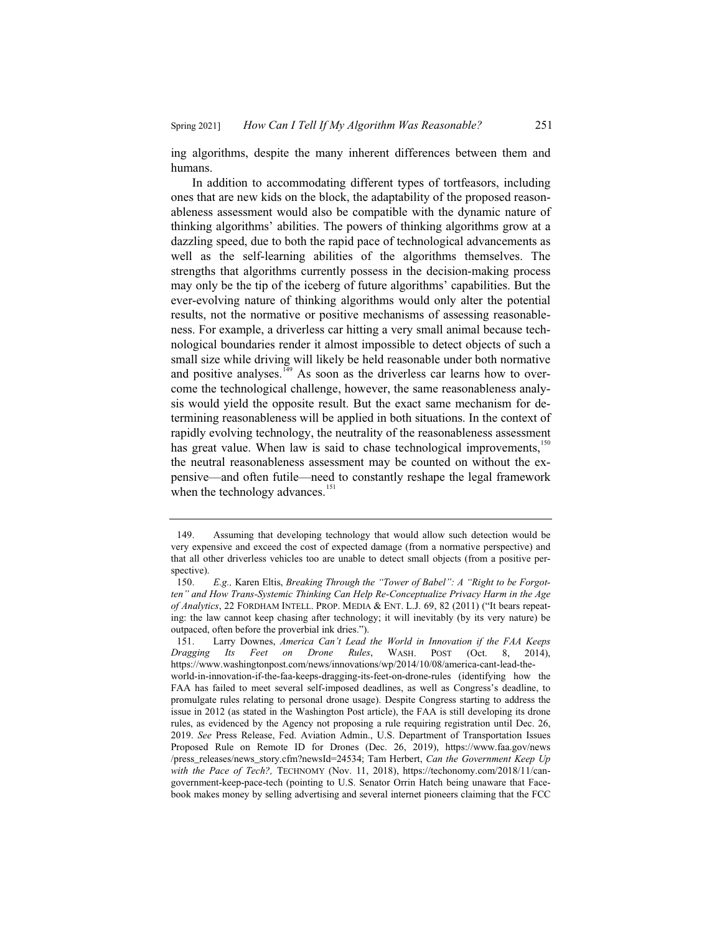ing algorithms, despite the many inherent differences between them and humans.

In addition to accommodating different types of tortfeasors, including ones that are new kids on the block, the adaptability of the proposed reasonableness assessment would also be compatible with the dynamic nature of thinking algorithms' abilities. The powers of thinking algorithms grow at a dazzling speed, due to both the rapid pace of technological advancements as well as the self-learning abilities of the algorithms themselves. The strengths that algorithms currently possess in the decision-making process may only be the tip of the iceberg of future algorithms' capabilities. But the ever-evolving nature of thinking algorithms would only alter the potential results, not the normative or positive mechanisms of assessing reasonableness. For example, a driverless car hitting a very small animal because technological boundaries render it almost impossible to detect objects of such a small size while driving will likely be held reasonable under both normative and positive analyses.<sup>149</sup> As soon as the driverless car learns how to overcome the technological challenge, however, the same reasonableness analysis would yield the opposite result. But the exact same mechanism for determining reasonableness will be applied in both situations. In the context of rapidly evolving technology, the neutrality of the reasonableness assessment has great value. When law is said to chase technological improvements,<sup>150</sup> the neutral reasonableness assessment may be counted on without the expensive—and often futile—need to constantly reshape the legal framework when the technology advances.<sup>151</sup>

<sup>149.</sup> Assuming that developing technology that would allow such detection would be very expensive and exceed the cost of expected damage (from a normative perspective) and that all other driverless vehicles too are unable to detect small objects (from a positive perspective).<br>150.

E.g., Karen Eltis, *Breaking Through the "Tower of Babel": A "Right to be Forgotten" and How Trans-Systemic Thinking Can Help Re-Conceptualize Privacy Harm in the Age of Analytics*, 22 FORDHAM INTELL. PROP. MEDIA & ENT. L.J. 69, 82 (2011) ("It bears repeating: the law cannot keep chasing after technology; it will inevitably (by its very nature) be outpaced, often before the proverbial ink dries.").<br>151. Larry Downes, America Can't Lead

Larry Downes, *America Can't Lead the World in Innovation if the FAA Keeps Dragging Its Feet on Drone Rules*, WASH. POST (Oct. 8, 2014), https://www.washingtonpost.com/news/innovations/wp/2014/10/08/america-cant-lead-the-

world-in-innovation-if-the-faa-keeps-dragging-its-feet-on-drone-rules (identifying how the FAA has failed to meet several self-imposed deadlines, as well as Congress's deadline, to promulgate rules relating to personal drone usage). Despite Congress starting to address the issue in 2012 (as stated in the Washington Post article), the FAA is still developing its drone rules, as evidenced by the Agency not proposing a rule requiring registration until Dec. 26, 2019. *See* Press Release, Fed. Aviation Admin., U.S. Department of Transportation Issues Proposed Rule on Remote ID for Drones (Dec. 26, 2019), https://www.faa.gov/news /press\_releases/news\_story.cfm?newsId=24534; Tam Herbert, *Can the Government Keep Up with the Pace of Tech?,* TECHNOMY (Nov. 11, 2018), https://techonomy.com/2018/11/cangovernment-keep-pace-tech (pointing to U.S. Senator Orrin Hatch being unaware that Facebook makes money by selling advertising and several internet pioneers claiming that the FCC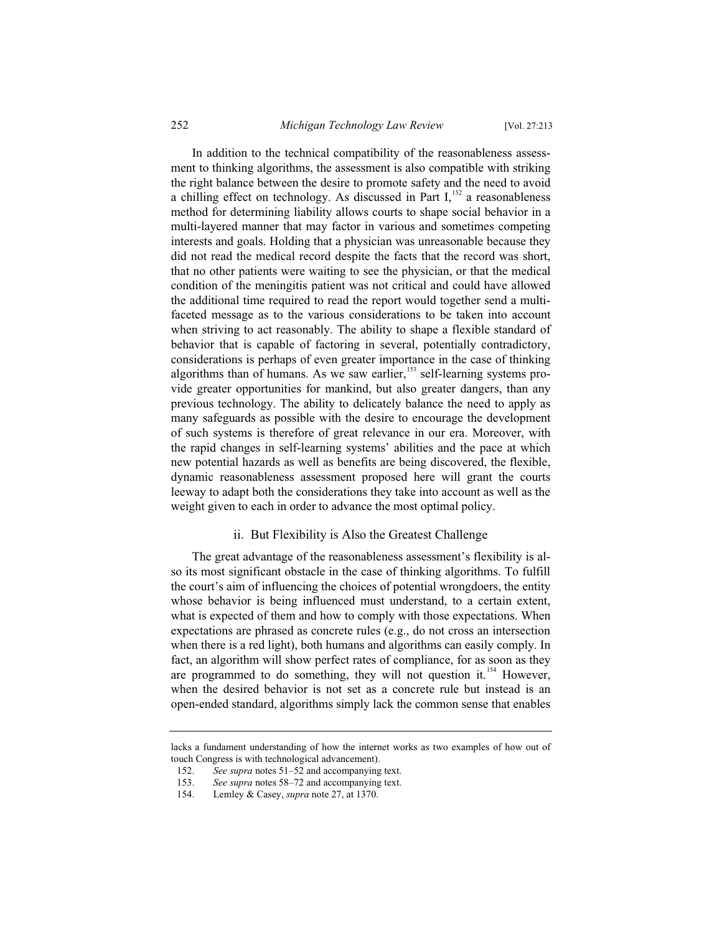In addition to the technical compatibility of the reasonableness assessment to thinking algorithms, the assessment is also compatible with striking the right balance between the desire to promote safety and the need to avoid a chilling effect on technology. As discussed in Part  $I<sub>1</sub><sup>152</sup>$  a reasonableness method for determining liability allows courts to shape social behavior in a multi-layered manner that may factor in various and sometimes competing interests and goals. Holding that a physician was unreasonable because they did not read the medical record despite the facts that the record was short, that no other patients were waiting to see the physician, or that the medical condition of the meningitis patient was not critical and could have allowed the additional time required to read the report would together send a multifaceted message as to the various considerations to be taken into account when striving to act reasonably. The ability to shape a flexible standard of behavior that is capable of factoring in several, potentially contradictory, considerations is perhaps of even greater importance in the case of thinking algorithms than of humans. As we saw earlier, $153$  self-learning systems provide greater opportunities for mankind, but also greater dangers, than any previous technology. The ability to delicately balance the need to apply as many safeguards as possible with the desire to encourage the development of such systems is therefore of great relevance in our era. Moreover, with the rapid changes in self-learning systems' abilities and the pace at which new potential hazards as well as benefits are being discovered, the flexible, dynamic reasonableness assessment proposed here will grant the courts leeway to adapt both the considerations they take into account as well as the weight given to each in order to advance the most optimal policy.

#### ii. But Flexibility is Also the Greatest Challenge

The great advantage of the reasonableness assessment's flexibility is also its most significant obstacle in the case of thinking algorithms. To fulfill the court's aim of influencing the choices of potential wrongdoers, the entity whose behavior is being influenced must understand, to a certain extent, what is expected of them and how to comply with those expectations. When expectations are phrased as concrete rules (e.g., do not cross an intersection when there is a red light), both humans and algorithms can easily comply. In fact, an algorithm will show perfect rates of compliance, for as soon as they are programmed to do something, they will not question it.<sup>154</sup> However, when the desired behavior is not set as a concrete rule but instead is an open-ended standard, algorithms simply lack the common sense that enables

lacks a fundament understanding of how the internet works as two examples of how out of touch Congress is with technological advancement).

<sup>152.</sup> *See supra* notes 51–52 and accompanying text.<br>153. *See supra* notes 58–72 and accompanying text.

See supra notes 58–72 and accompanying text.

<sup>154.</sup> Lemley & Casey, *supra* note 27, at 1370.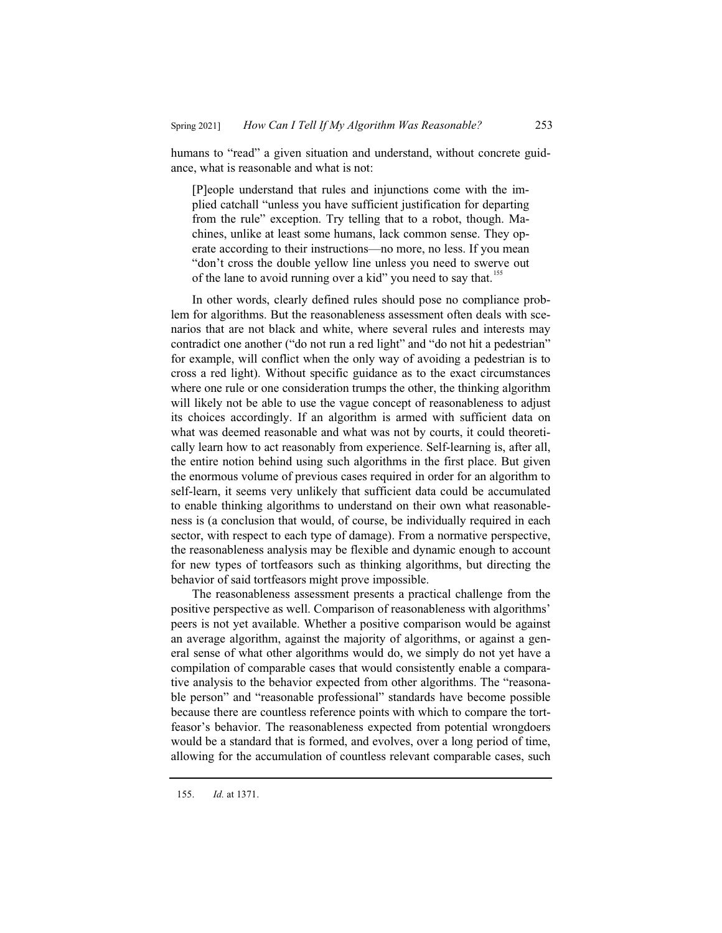humans to "read" a given situation and understand, without concrete guidance, what is reasonable and what is not:

[P]eople understand that rules and injunctions come with the implied catchall "unless you have sufficient justification for departing from the rule" exception. Try telling that to a robot, though. Machines, unlike at least some humans, lack common sense. They operate according to their instructions—no more, no less. If you mean "don't cross the double yellow line unless you need to swerve out of the lane to avoid running over a kid" you need to say that.<sup>155</sup>

In other words, clearly defined rules should pose no compliance problem for algorithms. But the reasonableness assessment often deals with scenarios that are not black and white, where several rules and interests may contradict one another ("do not run a red light" and "do not hit a pedestrian" for example, will conflict when the only way of avoiding a pedestrian is to cross a red light). Without specific guidance as to the exact circumstances where one rule or one consideration trumps the other, the thinking algorithm will likely not be able to use the vague concept of reasonableness to adjust its choices accordingly. If an algorithm is armed with sufficient data on what was deemed reasonable and what was not by courts, it could theoretically learn how to act reasonably from experience. Self-learning is, after all, the entire notion behind using such algorithms in the first place. But given the enormous volume of previous cases required in order for an algorithm to self-learn, it seems very unlikely that sufficient data could be accumulated to enable thinking algorithms to understand on their own what reasonableness is (a conclusion that would, of course, be individually required in each sector, with respect to each type of damage). From a normative perspective, the reasonableness analysis may be flexible and dynamic enough to account for new types of tortfeasors such as thinking algorithms, but directing the behavior of said tortfeasors might prove impossible.

The reasonableness assessment presents a practical challenge from the positive perspective as well. Comparison of reasonableness with algorithms' peers is not yet available. Whether a positive comparison would be against an average algorithm, against the majority of algorithms, or against a general sense of what other algorithms would do, we simply do not yet have a compilation of comparable cases that would consistently enable a comparative analysis to the behavior expected from other algorithms. The "reasonable person" and "reasonable professional" standards have become possible because there are countless reference points with which to compare the tortfeasor's behavior. The reasonableness expected from potential wrongdoers would be a standard that is formed, and evolves, over a long period of time, allowing for the accumulation of countless relevant comparable cases, such

<sup>155.</sup> *Id.* at 1371.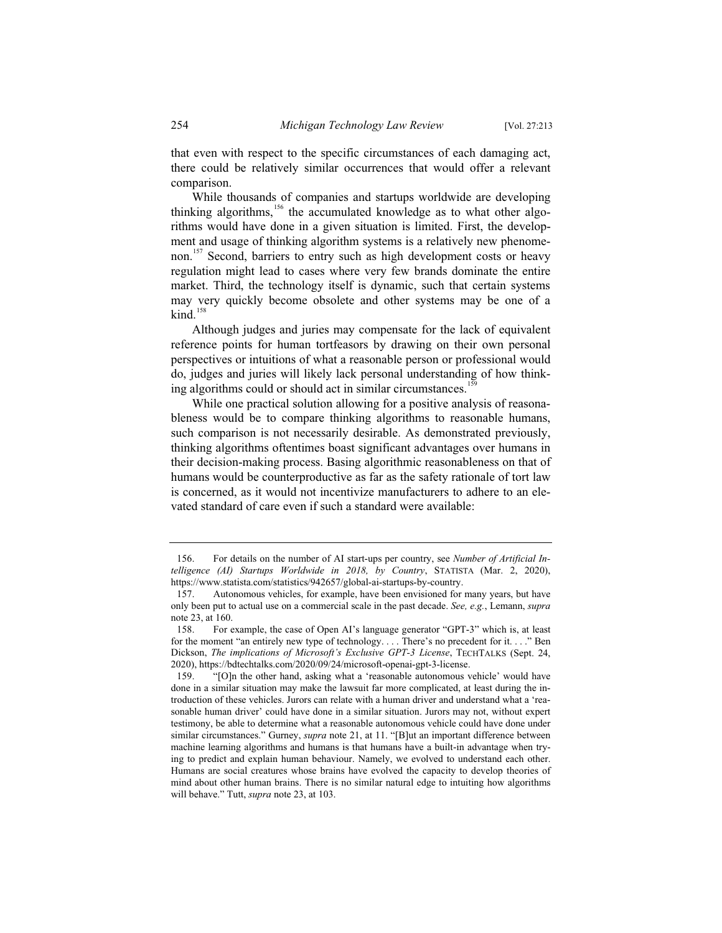that even with respect to the specific circumstances of each damaging act, there could be relatively similar occurrences that would offer a relevant comparison.

While thousands of companies and startups worldwide are developing thinking algorithms, $156$  the accumulated knowledge as to what other algorithms would have done in a given situation is limited. First, the development and usage of thinking algorithm systems is a relatively new phenomenon.<sup>157</sup> Second, barriers to entry such as high development costs or heavy regulation might lead to cases where very few brands dominate the entire market. Third, the technology itself is dynamic, such that certain systems may very quickly become obsolete and other systems may be one of a  $\text{kind.}^{158}$ 

Although judges and juries may compensate for the lack of equivalent reference points for human tortfeasors by drawing on their own personal perspectives or intuitions of what a reasonable person or professional would do, judges and juries will likely lack personal understanding of how thinking algorithms could or should act in similar circumstances.<sup>1</sup>

While one practical solution allowing for a positive analysis of reasonableness would be to compare thinking algorithms to reasonable humans, such comparison is not necessarily desirable. As demonstrated previously, thinking algorithms oftentimes boast significant advantages over humans in their decision-making process. Basing algorithmic reasonableness on that of humans would be counterproductive as far as the safety rationale of tort law is concerned, as it would not incentivize manufacturers to adhere to an elevated standard of care even if such a standard were available:

<sup>156.</sup> For details on the number of AI start-ups per country, see *Number of Artificial Intelligence (AI) Startups Worldwide in 2018, by Country*, STATISTA (Mar. 2, 2020), https://www.statista.com/statistics/942657/global-ai-startups-by-country.

<sup>157.</sup> Autonomous vehicles, for example, have been envisioned for many years, but have only been put to actual use on a commercial scale in the past decade. *See, e.g.*, Lemann, *supra* note 23, at 160.

<sup>158.</sup> For example, the case of Open AI's language generator "GPT-3" which is, at least for the moment "an entirely new type of technology. . . . There's no precedent for it. . . ." Ben Dickson, *The implications of Microsoft's Exclusive GPT-3 License*, TECHTALKS (Sept. 24, 2020), https://bdtechtalks.com/2020/09/24/microsoft-openai-gpt-3-license.

<sup>159. &</sup>quot;[O]n the other hand, asking what a 'reasonable autonomous vehicle' would have done in a similar situation may make the lawsuit far more complicated, at least during the introduction of these vehicles. Jurors can relate with a human driver and understand what a 'reasonable human driver' could have done in a similar situation. Jurors may not, without expert testimony, be able to determine what a reasonable autonomous vehicle could have done under similar circumstances." Gurney, *supra* note 21, at 11. "[B]ut an important difference between machine learning algorithms and humans is that humans have a built-in advantage when trying to predict and explain human behaviour. Namely, we evolved to understand each other. Humans are social creatures whose brains have evolved the capacity to develop theories of mind about other human brains. There is no similar natural edge to intuiting how algorithms will behave." Tutt, *supra* note 23, at 103.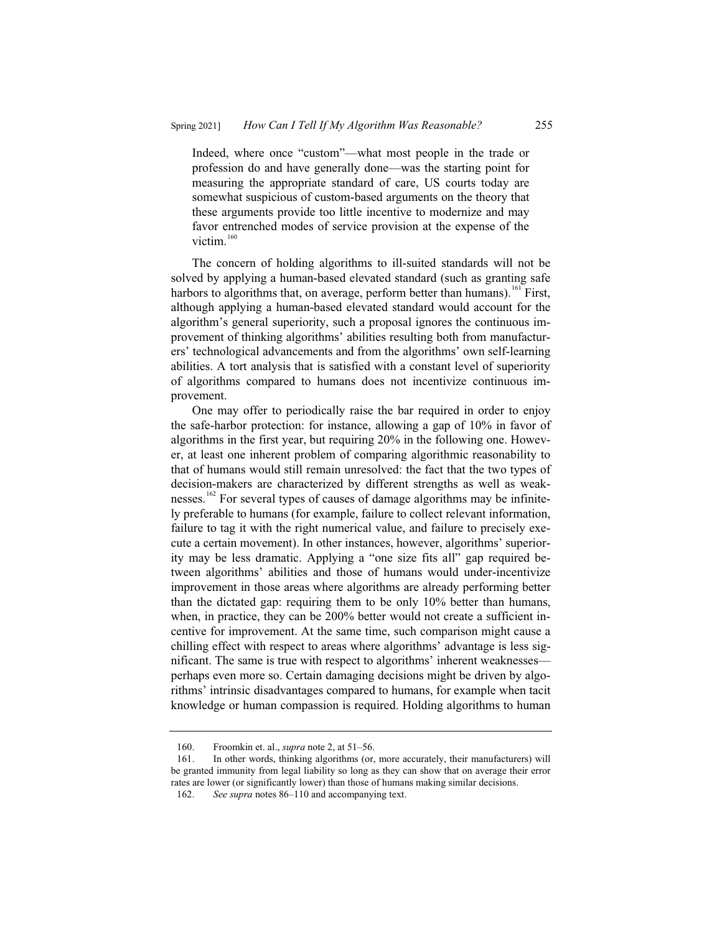Indeed, where once "custom"—what most people in the trade or profession do and have generally done—was the starting point for measuring the appropriate standard of care, US courts today are somewhat suspicious of custom-based arguments on the theory that these arguments provide too little incentive to modernize and may favor entrenched modes of service provision at the expense of the victim.<sup>160</sup>

The concern of holding algorithms to ill-suited standards will not be solved by applying a human-based elevated standard (such as granting safe harbors to algorithms that, on average, perform better than humans).<sup>161</sup> First, although applying a human-based elevated standard would account for the algorithm's general superiority, such a proposal ignores the continuous improvement of thinking algorithms' abilities resulting both from manufacturers' technological advancements and from the algorithms' own self-learning abilities. A tort analysis that is satisfied with a constant level of superiority of algorithms compared to humans does not incentivize continuous improvement.

One may offer to periodically raise the bar required in order to enjoy the safe-harbor protection: for instance, allowing a gap of 10% in favor of algorithms in the first year, but requiring 20% in the following one. However, at least one inherent problem of comparing algorithmic reasonability to that of humans would still remain unresolved: the fact that the two types of decision-makers are characterized by different strengths as well as weaknesses.<sup>162</sup> For several types of causes of damage algorithms may be infinitely preferable to humans (for example, failure to collect relevant information, failure to tag it with the right numerical value, and failure to precisely execute a certain movement). In other instances, however, algorithms' superiority may be less dramatic. Applying a "one size fits all" gap required between algorithms' abilities and those of humans would under-incentivize improvement in those areas where algorithms are already performing better than the dictated gap: requiring them to be only 10% better than humans, when, in practice, they can be 200% better would not create a sufficient incentive for improvement. At the same time, such comparison might cause a chilling effect with respect to areas where algorithms' advantage is less significant. The same is true with respect to algorithms' inherent weaknesses perhaps even more so. Certain damaging decisions might be driven by algorithms' intrinsic disadvantages compared to humans, for example when tacit knowledge or human compassion is required. Holding algorithms to human

<sup>160.</sup> Froomkin et. al., *supra* note 2, at 51–56.

<sup>161.</sup> In other words, thinking algorithms (or, more accurately, their manufacturers) will be granted immunity from legal liability so long as they can show that on average their error rates are lower (or significantly lower) than those of humans making similar decisions.

<sup>162.</sup> *See supra* notes 86–110 and accompanying text.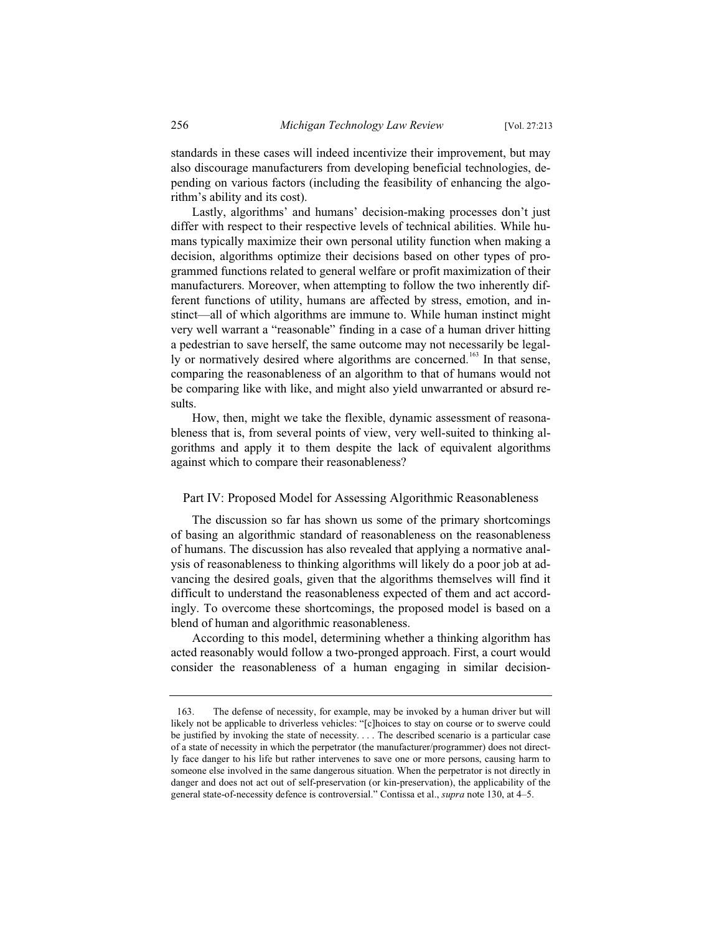standards in these cases will indeed incentivize their improvement, but may also discourage manufacturers from developing beneficial technologies, depending on various factors (including the feasibility of enhancing the algorithm's ability and its cost).

Lastly, algorithms' and humans' decision-making processes don't just differ with respect to their respective levels of technical abilities. While humans typically maximize their own personal utility function when making a decision, algorithms optimize their decisions based on other types of programmed functions related to general welfare or profit maximization of their manufacturers. Moreover, when attempting to follow the two inherently different functions of utility, humans are affected by stress, emotion, and instinct—all of which algorithms are immune to. While human instinct might very well warrant a "reasonable" finding in a case of a human driver hitting a pedestrian to save herself, the same outcome may not necessarily be legally or normatively desired where algorithms are concerned.<sup>163</sup> In that sense, comparing the reasonableness of an algorithm to that of humans would not be comparing like with like, and might also yield unwarranted or absurd results.

How, then, might we take the flexible, dynamic assessment of reasonableness that is, from several points of view, very well-suited to thinking algorithms and apply it to them despite the lack of equivalent algorithms against which to compare their reasonableness?

#### Part IV: Proposed Model for Assessing Algorithmic Reasonableness

The discussion so far has shown us some of the primary shortcomings of basing an algorithmic standard of reasonableness on the reasonableness of humans. The discussion has also revealed that applying a normative analysis of reasonableness to thinking algorithms will likely do a poor job at advancing the desired goals, given that the algorithms themselves will find it difficult to understand the reasonableness expected of them and act accordingly. To overcome these shortcomings, the proposed model is based on a blend of human and algorithmic reasonableness.

According to this model, determining whether a thinking algorithm has acted reasonably would follow a two-pronged approach. First, a court would consider the reasonableness of a human engaging in similar decision-

<sup>163.</sup> The defense of necessity, for example, may be invoked by a human driver but will likely not be applicable to driverless vehicles: "[c]hoices to stay on course or to swerve could be justified by invoking the state of necessity. . . . The described scenario is a particular case of a state of necessity in which the perpetrator (the manufacturer/programmer) does not directly face danger to his life but rather intervenes to save one or more persons, causing harm to someone else involved in the same dangerous situation. When the perpetrator is not directly in danger and does not act out of self-preservation (or kin-preservation), the applicability of the general state-of-necessity defence is controversial." Contissa et al., *supra* note 130, at 4–5.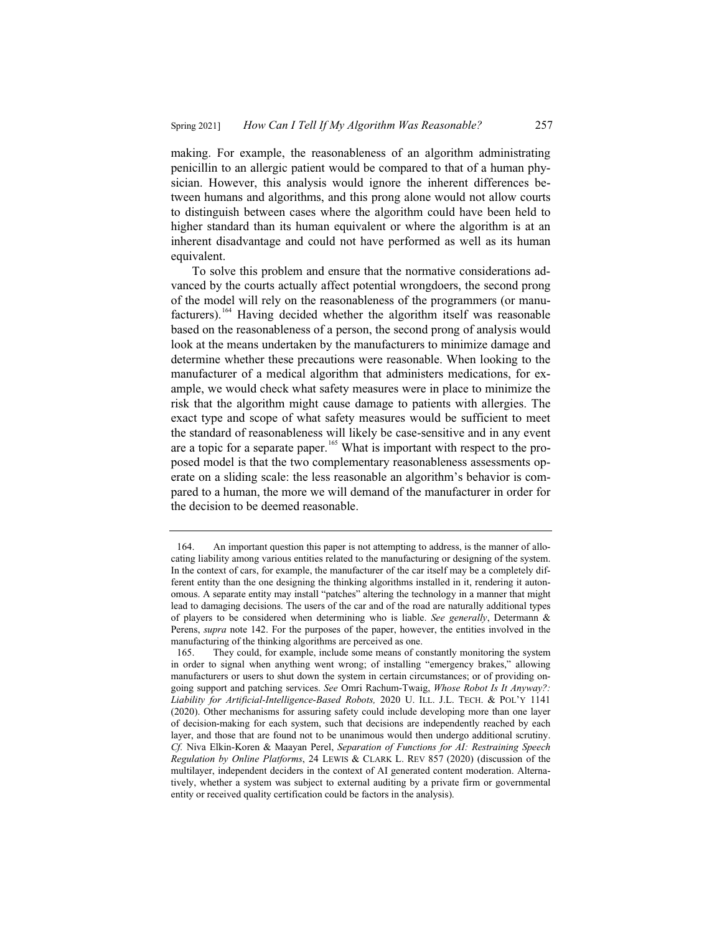making. For example, the reasonableness of an algorithm administrating penicillin to an allergic patient would be compared to that of a human physician. However, this analysis would ignore the inherent differences between humans and algorithms, and this prong alone would not allow courts to distinguish between cases where the algorithm could have been held to higher standard than its human equivalent or where the algorithm is at an inherent disadvantage and could not have performed as well as its human equivalent.

To solve this problem and ensure that the normative considerations advanced by the courts actually affect potential wrongdoers, the second prong of the model will rely on the reasonableness of the programmers (or manufacturers).<sup>164</sup> Having decided whether the algorithm itself was reasonable based on the reasonableness of a person, the second prong of analysis would look at the means undertaken by the manufacturers to minimize damage and determine whether these precautions were reasonable. When looking to the manufacturer of a medical algorithm that administers medications, for example, we would check what safety measures were in place to minimize the risk that the algorithm might cause damage to patients with allergies. The exact type and scope of what safety measures would be sufficient to meet the standard of reasonableness will likely be case-sensitive and in any event are a topic for a separate paper.<sup>165</sup> What is important with respect to the proposed model is that the two complementary reasonableness assessments operate on a sliding scale: the less reasonable an algorithm's behavior is compared to a human, the more we will demand of the manufacturer in order for the decision to be deemed reasonable.

<sup>164.</sup> An important question this paper is not attempting to address, is the manner of allocating liability among various entities related to the manufacturing or designing of the system. In the context of cars, for example, the manufacturer of the car itself may be a completely different entity than the one designing the thinking algorithms installed in it, rendering it autonomous. A separate entity may install "patches" altering the technology in a manner that might lead to damaging decisions. The users of the car and of the road are naturally additional types of players to be considered when determining who is liable. *See generally*, Determann & Perens, *supra* note 142. For the purposes of the paper, however, the entities involved in the manufacturing of the thinking algorithms are perceived as one.

<sup>165.</sup> They could, for example, include some means of constantly monitoring the system in order to signal when anything went wrong; of installing "emergency brakes," allowing manufacturers or users to shut down the system in certain circumstances; or of providing ongoing support and patching services. *See* Omri Rachum-Twaig, *Whose Robot Is It Anyway?:*  Liability for Artificial-Intelligence-Based Robots, 2020 U. ILL. J.L. TECH. & POL'Y 1141 (2020). Other mechanisms for assuring safety could include developing more than one layer of decision-making for each system, such that decisions are independently reached by each layer, and those that are found not to be unanimous would then undergo additional scrutiny. *Cf.* Niva Elkin-Koren & Maayan Perel, *Separation of Functions for AI: Restraining Speech Regulation by Online Platforms*, 24 LEWIS & CLARK L. REV 857 (2020) (discussion of the multilayer, independent deciders in the context of AI generated content moderation. Alternatively, whether a system was subject to external auditing by a private firm or governmental entity or received quality certification could be factors in the analysis).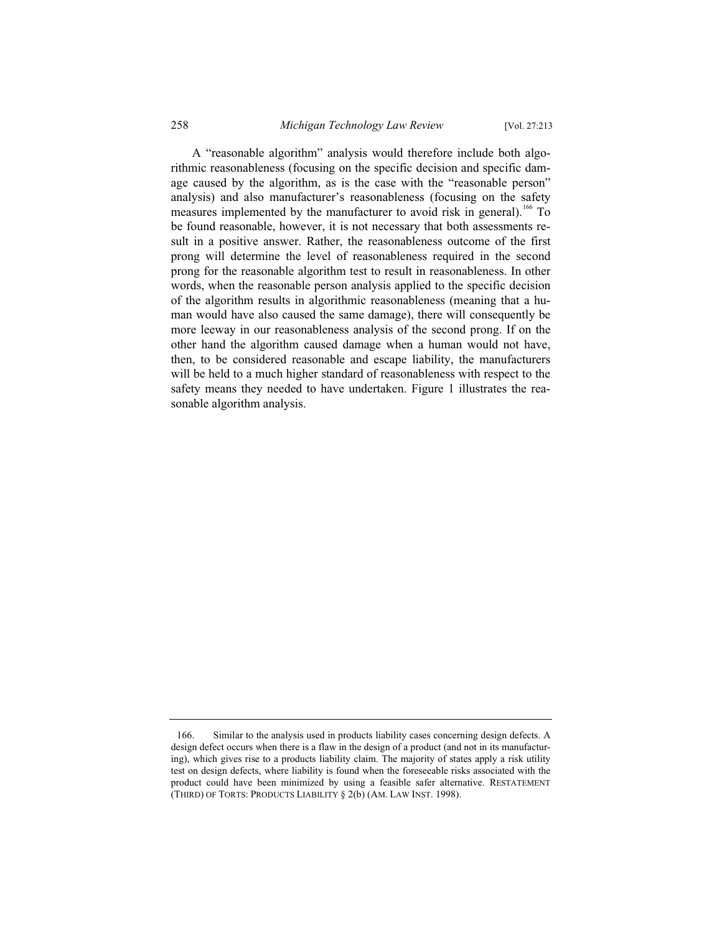A "reasonable algorithm" analysis would therefore include both algorithmic reasonableness (focusing on the specific decision and specific damage caused by the algorithm, as is the case with the "reasonable person" analysis) and also manufacturer's reasonableness (focusing on the safety measures implemented by the manufacturer to avoid risk in general).<sup>166</sup> To be found reasonable, however, it is not necessary that both assessments result in a positive answer. Rather, the reasonableness outcome of the first prong will determine the level of reasonableness required in the second prong for the reasonable algorithm test to result in reasonableness. In other words, when the reasonable person analysis applied to the specific decision of the algorithm results in algorithmic reasonableness (meaning that a human would have also caused the same damage), there will consequently be more leeway in our reasonableness analysis of the second prong. If on the other hand the algorithm caused damage when a human would not have, then, to be considered reasonable and escape liability, the manufacturers will be held to a much higher standard of reasonableness with respect to the safety means they needed to have undertaken. Figure 1 illustrates the reasonable algorithm analysis.

<sup>166.</sup> Similar to the analysis used in products liability cases concerning design defects. A design defect occurs when there is a flaw in the design of a product (and not in its manufacturing), which gives rise to a products liability claim. The majority of states apply a risk utility test on design defects, where liability is found when the foreseeable risks associated with the product could have been minimized by using a feasible safer alternative. RESTATEMENT (THIRD) OF TORTS: PRODUCTS LIABILITY § 2(b) (AM. LAW INST. 1998).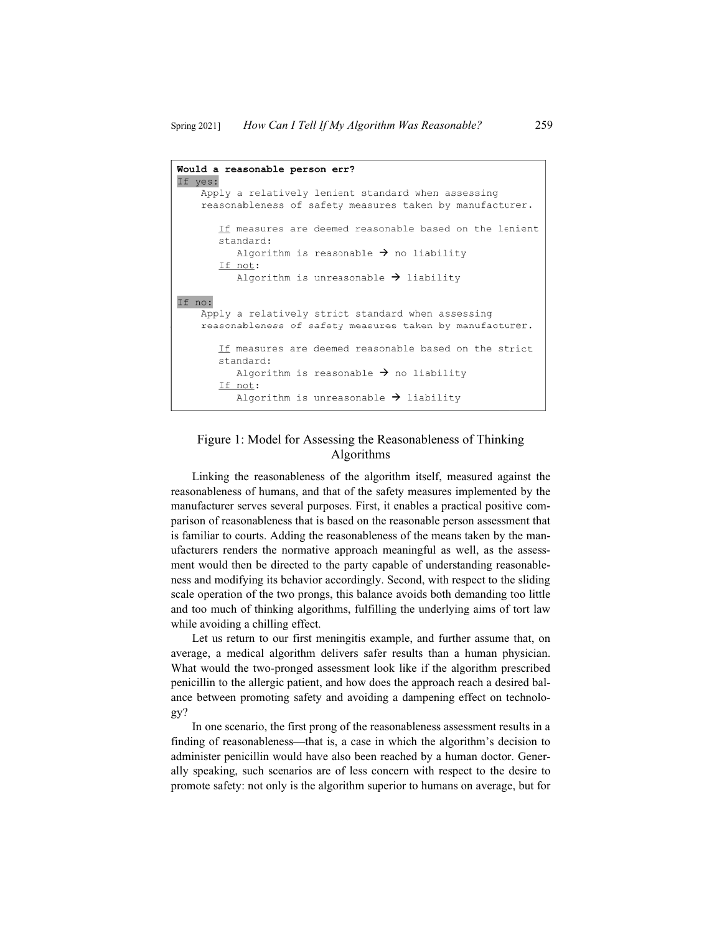```
Would a reasonable person err? 
IIf ves :l 
    Apply a relatively lenient standard when assessing 
    reasonableness of safety measures taken by manufacturer . 
If no:
       If measures are deemed reasonable based on the lenient
       standard : 
           Algorithm is reasonable \rightarrow no liability
       If not : 
           Algorithm is unreasonable \rightarrow liability
    Apply a relatively strict standard when assessing 
    reasonableness of safety measures taken by manufacturer . 
       If measures are deemed reasonable based on the strict
       standard: 
           Algorithm is reasonable \rightarrow no liability
       If not : 
           Algorithm is unreasonable \rightarrow liability
```
### Figure 1: Model for Assessing the Reasonableness of Thinking Algorithms

Linking the reasonableness of the algorithm itself, measured against the reasonableness of humans, and that of the safety measures implemented by the manufacturer serves several purposes. First, it enables a practical positive comparison of reasonableness that is based on the reasonable person assessment that is familiar to courts. Adding the reasonableness of the means taken by the manufacturers renders the normative approach meaningful as well, as the assessment would then be directed to the party capable of understanding reasonableness and modifying its behavior accordingly. Second, with respect to the sliding scale operation of the two prongs, this balance avoids both demanding too little and too much of thinking algorithms, fulfilling the underlying aims of tort law while avoiding a chilling effect.

Let us return to our first meningitis example, and further assume that, on average, a medical algorithm delivers safer results than a human physician. What would the two-pronged assessment look like if the algorithm prescribed penicillin to the allergic patient, and how does the approach reach a desired balance between promoting safety and avoiding a dampening effect on technology?

In one scenario, the first prong of the reasonableness assessment results in a finding of reasonableness—that is, a case in which the algorithm's decision to administer penicillin would have also been reached by a human doctor. Generally speaking, such scenarios are of less concern with respect to the desire to promote safety: not only is the algorithm superior to humans on average, but for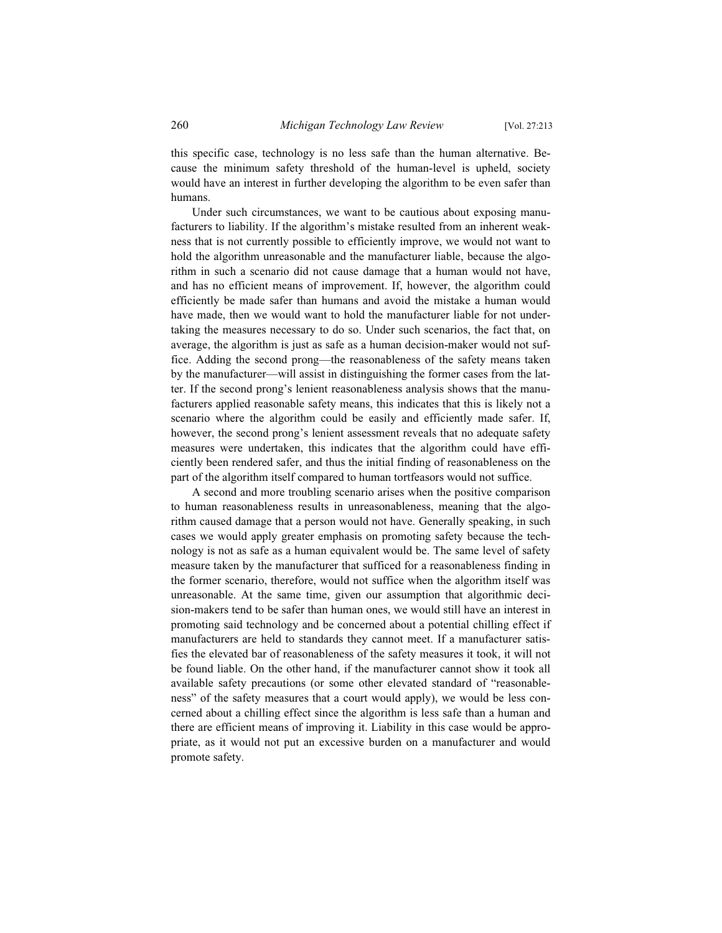this specific case, technology is no less safe than the human alternative. Because the minimum safety threshold of the human-level is upheld, society would have an interest in further developing the algorithm to be even safer than humans.

Under such circumstances, we want to be cautious about exposing manufacturers to liability. If the algorithm's mistake resulted from an inherent weakness that is not currently possible to efficiently improve, we would not want to hold the algorithm unreasonable and the manufacturer liable, because the algorithm in such a scenario did not cause damage that a human would not have, and has no efficient means of improvement. If, however, the algorithm could efficiently be made safer than humans and avoid the mistake a human would have made, then we would want to hold the manufacturer liable for not undertaking the measures necessary to do so. Under such scenarios, the fact that, on average, the algorithm is just as safe as a human decision-maker would not suffice. Adding the second prong—the reasonableness of the safety means taken by the manufacturer—will assist in distinguishing the former cases from the latter. If the second prong's lenient reasonableness analysis shows that the manufacturers applied reasonable safety means, this indicates that this is likely not a scenario where the algorithm could be easily and efficiently made safer. If, however, the second prong's lenient assessment reveals that no adequate safety measures were undertaken, this indicates that the algorithm could have efficiently been rendered safer, and thus the initial finding of reasonableness on the part of the algorithm itself compared to human tortfeasors would not suffice.

A second and more troubling scenario arises when the positive comparison to human reasonableness results in unreasonableness, meaning that the algorithm caused damage that a person would not have. Generally speaking, in such cases we would apply greater emphasis on promoting safety because the technology is not as safe as a human equivalent would be. The same level of safety measure taken by the manufacturer that sufficed for a reasonableness finding in the former scenario, therefore, would not suffice when the algorithm itself was unreasonable. At the same time, given our assumption that algorithmic decision-makers tend to be safer than human ones, we would still have an interest in promoting said technology and be concerned about a potential chilling effect if manufacturers are held to standards they cannot meet. If a manufacturer satisfies the elevated bar of reasonableness of the safety measures it took, it will not be found liable. On the other hand, if the manufacturer cannot show it took all available safety precautions (or some other elevated standard of "reasonableness" of the safety measures that a court would apply), we would be less concerned about a chilling effect since the algorithm is less safe than a human and there are efficient means of improving it. Liability in this case would be appropriate, as it would not put an excessive burden on a manufacturer and would promote safety.